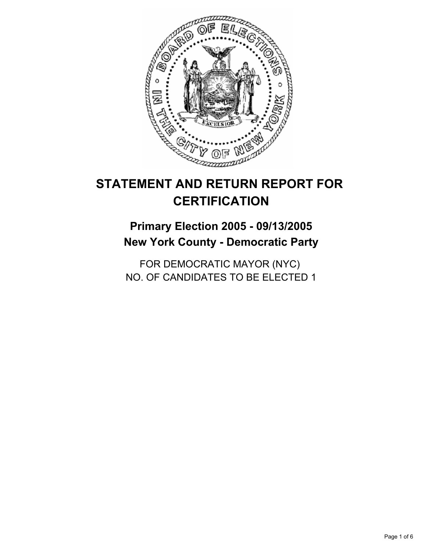

## **Primary Election 2005 - 09/13/2005 New York County - Democratic Party**

FOR DEMOCRATIC MAYOR (NYC) NO. OF CANDIDATES TO BE ELECTED 1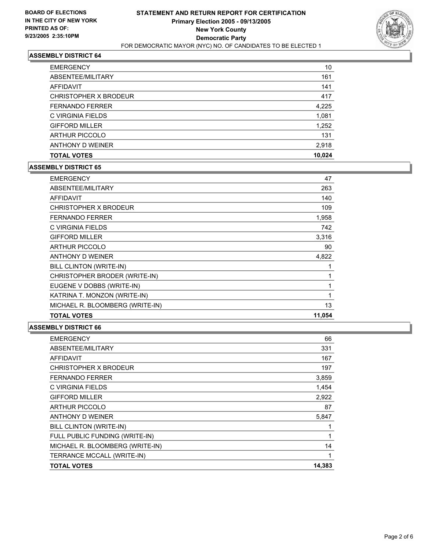

| <b>EMERGENCY</b>       | 10     |
|------------------------|--------|
| ABSENTEE/MILITARY      | 161    |
| AFFIDAVIT              | 141    |
| CHRISTOPHER X BRODEUR  | 417    |
| <b>FERNANDO FERRER</b> | 4,225  |
| C VIRGINIA FIELDS      | 1,081  |
| <b>GIFFORD MILLER</b>  | 1,252  |
| <b>ARTHUR PICCOLO</b>  | 131    |
| ANTHONY D WEINER       | 2,918  |
| <b>TOTAL VOTES</b>     | 10,024 |

#### **ASSEMBLY DISTRICT 65**

| <b>EMERGENCY</b>                | 47     |
|---------------------------------|--------|
| ABSENTEE/MILITARY               | 263    |
| AFFIDAVIT                       | 140    |
| CHRISTOPHER X BRODEUR           | 109    |
| <b>FERNANDO FERRER</b>          | 1,958  |
| C VIRGINIA FIELDS               | 742    |
| <b>GIFFORD MILLER</b>           | 3,316  |
| <b>ARTHUR PICCOLO</b>           | 90     |
| ANTHONY D WEINER                | 4,822  |
| BILL CLINTON (WRITE-IN)         |        |
| CHRISTOPHER BRODER (WRITE-IN)   |        |
| EUGENE V DOBBS (WRITE-IN)       |        |
| KATRINA T. MONZON (WRITE-IN)    |        |
| MICHAEL R. BLOOMBERG (WRITE-IN) | 13     |
| <b>TOTAL VOTES</b>              | 11,054 |

| <b>EMERGENCY</b>                | 66     |
|---------------------------------|--------|
| ABSENTEE/MILITARY               | 331    |
| <b>AFFIDAVIT</b>                | 167    |
| CHRISTOPHER X BRODEUR           | 197    |
| <b>FERNANDO FERRER</b>          | 3,859  |
| C VIRGINIA FIELDS               | 1,454  |
| <b>GIFFORD MILLER</b>           | 2,922  |
| <b>ARTHUR PICCOLO</b>           | 87     |
| ANTHONY D WEINER                | 5,847  |
| BILL CLINTON (WRITE-IN)         |        |
| FULL PUBLIC FUNDING (WRITE-IN)  |        |
| MICHAEL R. BLOOMBERG (WRITE-IN) | 14     |
| TERRANCE MCCALL (WRITE-IN)      |        |
| <b>TOTAL VOTES</b>              | 14,383 |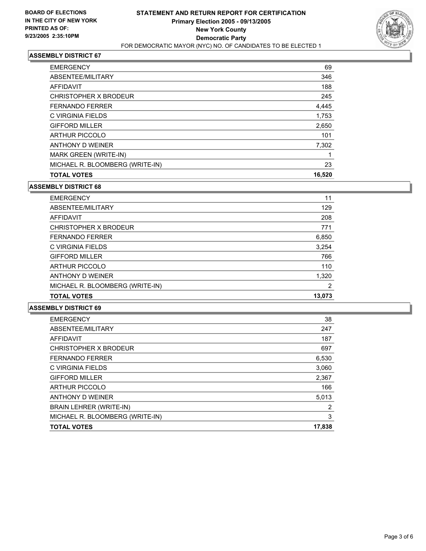

| <b>TOTAL VOTES</b>              | 16,520 |
|---------------------------------|--------|
| MICHAEL R. BLOOMBERG (WRITE-IN) | 23     |
| <b>MARK GREEN (WRITE-IN)</b>    |        |
| ANTHONY D WEINER                | 7,302  |
| <b>ARTHUR PICCOLO</b>           | 101    |
| <b>GIFFORD MILLER</b>           | 2,650  |
| C VIRGINIA FIELDS               | 1,753  |
| <b>FERNANDO FERRER</b>          | 4,445  |
| CHRISTOPHER X BRODEUR           | 245    |
| AFFIDAVIT                       | 188    |
| ABSENTEE/MILITARY               | 346    |
| <b>EMERGENCY</b>                | 69     |

#### **ASSEMBLY DISTRICT 68**

| <b>TOTAL VOTES</b>              | 13,073 |
|---------------------------------|--------|
| MICHAEL R. BLOOMBERG (WRITE-IN) | 2      |
| ANTHONY D WEINER                | 1,320  |
| <b>ARTHUR PICCOLO</b>           | 110    |
| <b>GIFFORD MILLER</b>           | 766    |
| C VIRGINIA FIELDS               | 3,254  |
| <b>FERNANDO FERRER</b>          | 6,850  |
| CHRISTOPHER X BRODEUR           | 771    |
| AFFIDAVIT                       | 208    |
| ABSENTEE/MILITARY               | 129    |
| <b>EMERGENCY</b>                | 11     |

| <b>EMERGENCY</b>                | 38     |
|---------------------------------|--------|
| ABSENTEE/MILITARY               | 247    |
| AFFIDAVIT                       | 187    |
| CHRISTOPHER X BRODEUR           | 697    |
| <b>FERNANDO FERRER</b>          | 6,530  |
| C VIRGINIA FIELDS               | 3,060  |
| <b>GIFFORD MILLER</b>           | 2,367  |
| <b>ARTHUR PICCOLO</b>           | 166    |
| ANTHONY D WEINER                | 5,013  |
| BRAIN LEHRER (WRITE-IN)         | 2      |
| MICHAEL R. BLOOMBERG (WRITE-IN) | 3      |
| <b>TOTAL VOTES</b>              | 17,838 |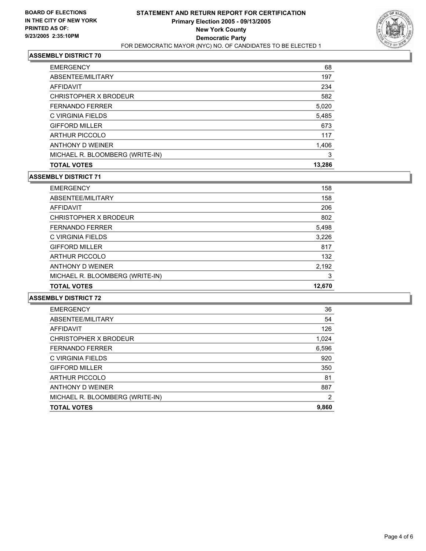

| <b>EMERGENCY</b>                | 68 |
|---------------------------------|----|
| ABSENTEE/MILITARY<br>197        |    |
| 234<br>AFFIDAVIT                |    |
| 582<br>CHRISTOPHER X BRODEUR    |    |
| <b>FERNANDO FERRER</b><br>5,020 |    |
| C VIRGINIA FIELDS<br>5,485      |    |
| <b>GIFFORD MILLER</b><br>673    |    |
| <b>ARTHUR PICCOLO</b><br>117    |    |
| ANTHONY D WEINER<br>1,406       |    |
| MICHAEL R. BLOOMBERG (WRITE-IN) | 3  |
| 13,286<br><b>TOTAL VOTES</b>    |    |

#### **ASSEMBLY DISTRICT 71**

| <b>TOTAL VOTES</b>              | 12.670 |
|---------------------------------|--------|
| MICHAEL R. BLOOMBERG (WRITE-IN) | 3      |
| ANTHONY D WEINER                | 2,192  |
| <b>ARTHUR PICCOLO</b>           | 132    |
| <b>GIFFORD MILLER</b>           | 817    |
| C VIRGINIA FIELDS               | 3,226  |
| <b>FERNANDO FERRER</b>          | 5,498  |
| CHRISTOPHER X BRODEUR           | 802    |
| AFFIDAVIT                       | 206    |
| ABSENTEE/MILITARY               | 158    |
| <b>EMERGENCY</b>                | 158    |

| <b>EMERGENCY</b>                | 36    |
|---------------------------------|-------|
| ABSENTEE/MILITARY               | 54    |
| AFFIDAVIT                       | 126   |
| CHRISTOPHER X BRODEUR           | 1,024 |
| <b>FERNANDO FERRER</b>          | 6,596 |
| C VIRGINIA FIELDS               | 920   |
| <b>GIFFORD MILLER</b>           | 350   |
| <b>ARTHUR PICCOLO</b>           | 81    |
| ANTHONY D WEINER                | 887   |
| MICHAEL R. BLOOMBERG (WRITE-IN) | 2     |
| <b>TOTAL VOTES</b>              | 9,860 |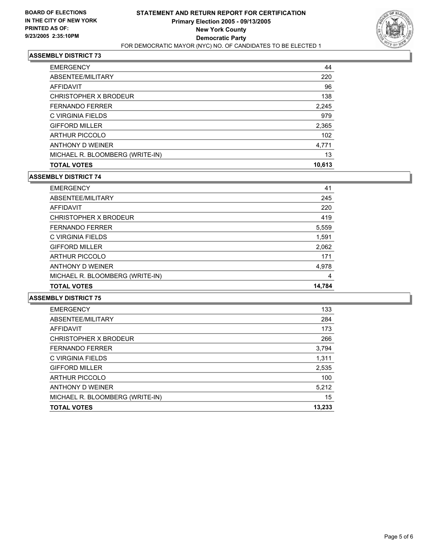

| <b>EMERGENCY</b>                | 44     |  |
|---------------------------------|--------|--|
| ABSENTEE/MILITARY               | 220    |  |
| AFFIDAVIT                       | 96     |  |
| CHRISTOPHER X BRODEUR           | 138    |  |
| <b>FERNANDO FERRER</b>          | 2,245  |  |
| C VIRGINIA FIELDS               | 979    |  |
| <b>GIFFORD MILLER</b>           | 2,365  |  |
| <b>ARTHUR PICCOLO</b>           | 102    |  |
| ANTHONY D WEINER                | 4,771  |  |
| MICHAEL R. BLOOMBERG (WRITE-IN) | 13     |  |
| <b>TOTAL VOTES</b>              | 10,613 |  |

#### **ASSEMBLY DISTRICT 74**

| <b>TOTAL VOTES</b>              | 14.784 |
|---------------------------------|--------|
| MICHAEL R. BLOOMBERG (WRITE-IN) | 4      |
| ANTHONY D WEINER                | 4,978  |
| <b>ARTHUR PICCOLO</b>           | 171    |
| <b>GIFFORD MILLER</b>           | 2,062  |
| C VIRGINIA FIELDS               | 1,591  |
| <b>FERNANDO FERRER</b>          | 5,559  |
| CHRISTOPHER X BRODEUR           | 419    |
| AFFIDAVIT                       | 220    |
| ABSENTEE/MILITARY               | 245    |
| <b>EMERGENCY</b>                | 41     |

| <b>EMERGENCY</b>                | 133    |
|---------------------------------|--------|
| ABSENTEE/MILITARY               | 284    |
| <b>AFFIDAVIT</b>                | 173    |
| CHRISTOPHER X BRODEUR           | 266    |
| <b>FERNANDO FERRER</b>          | 3,794  |
| C VIRGINIA FIELDS               | 1,311  |
| <b>GIFFORD MILLER</b>           | 2,535  |
| <b>ARTHUR PICCOLO</b>           | 100    |
| ANTHONY D WEINER                | 5,212  |
| MICHAEL R. BLOOMBERG (WRITE-IN) | 15     |
| <b>TOTAL VOTES</b>              | 13,233 |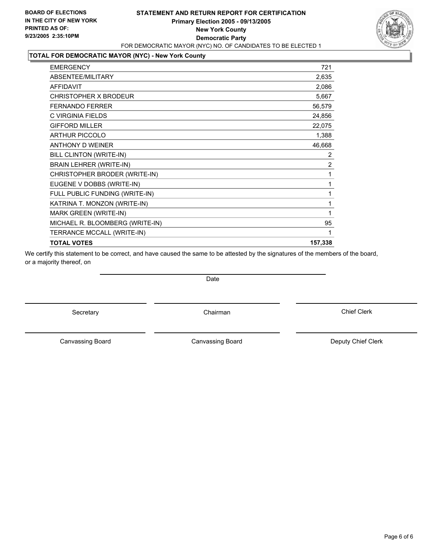## **STATEMENT AND RETURN REPORT FOR CERTIFICATION Primary Election 2005 - 09/13/2005 New York County Democratic Party** FOR DEMOCRATIC MAYOR (NYC) NO. OF CANDIDATES TO BE ELECTED 1

## **TOTAL FOR DEMOCRATIC MAYOR (NYC) - New York County**

| <b>EMERGENCY</b>                | 721            |
|---------------------------------|----------------|
| <b>ABSENTEE/MILITARY</b>        | 2,635          |
| <b>AFFIDAVIT</b>                | 2,086          |
| <b>CHRISTOPHER X BRODEUR</b>    | 5,667          |
| <b>FERNANDO FERRER</b>          | 56,579         |
| C VIRGINIA FIELDS               | 24,856         |
| <b>GIFFORD MILLER</b>           | 22,075         |
| <b>ARTHUR PICCOLO</b>           | 1,388          |
| <b>ANTHONY D WEINER</b>         | 46,668         |
| BILL CLINTON (WRITE-IN)         | $\overline{2}$ |
| <b>BRAIN LEHRER (WRITE-IN)</b>  | $\overline{2}$ |
| CHRISTOPHER BRODER (WRITE-IN)   |                |
| EUGENE V DOBBS (WRITE-IN)       |                |
| FULL PUBLIC FUNDING (WRITE-IN)  |                |
| KATRINA T. MONZON (WRITE-IN)    |                |
| <b>MARK GREEN (WRITE-IN)</b>    |                |
| MICHAEL R. BLOOMBERG (WRITE-IN) | 95             |
| TERRANCE MCCALL (WRITE-IN)      |                |
| <b>TOTAL VOTES</b>              | 157,338        |
|                                 |                |

We certify this statement to be correct, and have caused the same to be attested by the signatures of the members of the board, or a majority thereof, on

Secretary **Chairman** 

Canvassing Board

Canvassing Board **Canvassing Canvassing Board** Deputy Chief Clerk

Chief Clerk



Date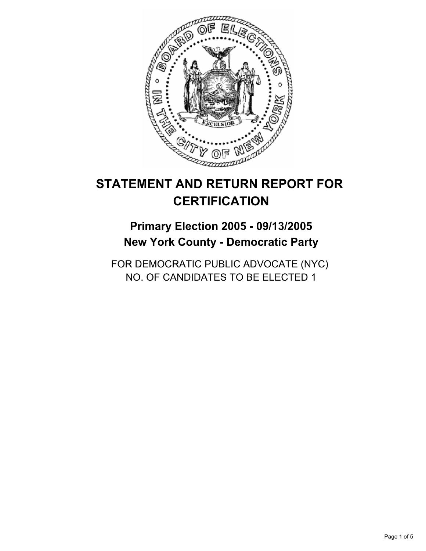

## **Primary Election 2005 - 09/13/2005 New York County - Democratic Party**

FOR DEMOCRATIC PUBLIC ADVOCATE (NYC) NO. OF CANDIDATES TO BE ELECTED 1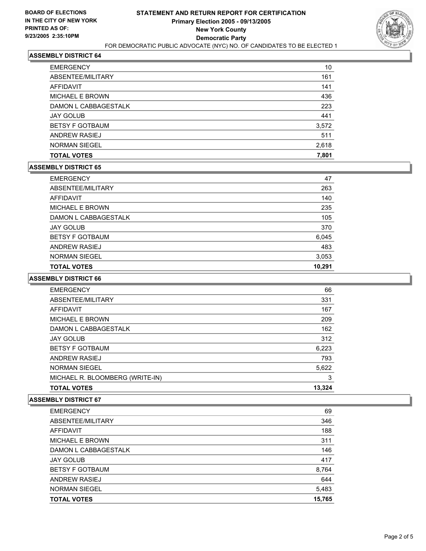

| <b>TOTAL VOTES</b>     | 7,801 |
|------------------------|-------|
| <b>NORMAN SIEGEL</b>   | 2,618 |
| ANDREW RASIEJ          | 511   |
| <b>BETSY F GOTBAUM</b> | 3,572 |
| <b>JAY GOLUB</b>       | 441   |
| DAMON L CABBAGESTALK   | 223   |
| <b>MICHAEL E BROWN</b> | 436   |
| AFFIDAVIT              | 141   |
| ABSENTEE/MILITARY      | 161   |
| <b>EMERGENCY</b>       | 10    |

#### **ASSEMBLY DISTRICT 65**

| <b>EMERGENCY</b>       | 47     |
|------------------------|--------|
| ABSENTEE/MILITARY      | 263    |
| AFFIDAVIT              | 140    |
| <b>MICHAEL E BROWN</b> | 235    |
| DAMON L CABBAGESTALK   | 105    |
| <b>JAY GOLUB</b>       | 370    |
| <b>BETSY F GOTBAUM</b> | 6,045  |
| ANDREW RASIEJ          | 483    |
| <b>NORMAN SIEGEL</b>   | 3,053  |
| <b>TOTAL VOTES</b>     | 10,291 |

#### **ASSEMBLY DISTRICT 66**

| MICHAEL R. BLOOMBERG (WRITE-IN)<br><b>TOTAL VOTES</b> | 13,324 |
|-------------------------------------------------------|--------|
|                                                       | 3      |
| <b>NORMAN SIEGEL</b>                                  | 5,622  |
| ANDREW RASIEJ                                         | 793    |
| <b>BETSY F GOTBAUM</b>                                | 6,223  |
| <b>JAY GOLUB</b>                                      | 312    |
| DAMON L CABBAGESTALK                                  | 162    |
| <b>MICHAEL E BROWN</b>                                | 209    |
| <b>AFFIDAVIT</b>                                      | 167    |
| ABSENTEE/MILITARY                                     | 331    |
| <b>EMERGENCY</b>                                      | 66     |

| <b>EMERGENCY</b>       | 69     |
|------------------------|--------|
| ABSENTEE/MILITARY      | 346    |
| AFFIDAVIT              | 188    |
| <b>MICHAEL E BROWN</b> | 311    |
| DAMON L CABBAGESTALK   | 146    |
| <b>JAY GOLUB</b>       | 417    |
| <b>BETSY F GOTBAUM</b> | 8,764  |
| ANDREW RASIEJ          | 644    |
| <b>NORMAN SIEGEL</b>   | 5,483  |
| <b>TOTAL VOTES</b>     | 15,765 |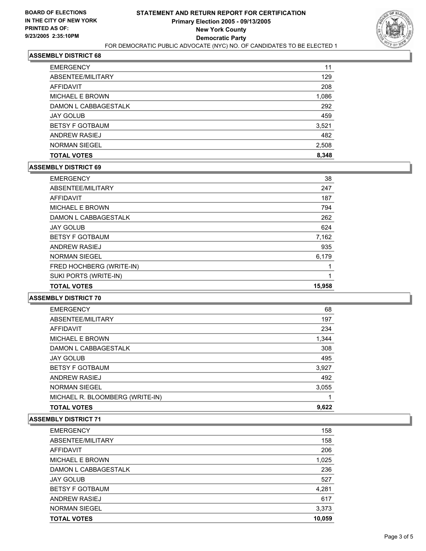

| <b>TOTAL VOTES</b>     | 8,348 |
|------------------------|-------|
| <b>NORMAN SIEGEL</b>   | 2,508 |
| <b>ANDREW RASIEJ</b>   | 482   |
| <b>BETSY F GOTBAUM</b> | 3,521 |
| <b>JAY GOLUB</b>       | 459   |
| DAMON L CABBAGESTALK   | 292   |
| <b>MICHAEL E BROWN</b> | 1,086 |
| AFFIDAVIT              | 208   |
| ABSENTEE/MILITARY      | 129   |
| <b>EMERGENCY</b>       | 11    |

#### **ASSEMBLY DISTRICT 69**

| <b>EMERGENCY</b>         | 38     |
|--------------------------|--------|
| ABSENTEE/MILITARY        | 247    |
| AFFIDAVIT                | 187    |
| <b>MICHAEL E BROWN</b>   | 794    |
| DAMON L CABBAGESTALK     | 262    |
| <b>JAY GOLUB</b>         | 624    |
| <b>BETSY F GOTBAUM</b>   | 7,162  |
| <b>ANDREW RASIEJ</b>     | 935    |
| <b>NORMAN SIEGEL</b>     | 6,179  |
| FRED HOCHBERG (WRITE-IN) |        |
| SUKI PORTS (WRITE-IN)    |        |
| <b>TOTAL VOTES</b>       | 15,958 |

## **ASSEMBLY DISTRICT 70**

| <b>EMERGENCY</b>                | 68    |
|---------------------------------|-------|
| ABSENTEE/MILITARY               | 197   |
| AFFIDAVIT                       | 234   |
| <b>MICHAEL E BROWN</b>          | 1,344 |
| DAMON L CABBAGESTALK            | 308   |
| <b>JAY GOLUB</b>                | 495   |
| <b>BETSY F GOTBAUM</b>          | 3,927 |
| ANDREW RASIEJ                   | 492   |
| <b>NORMAN SIEGEL</b>            | 3,055 |
| MICHAEL R. BLOOMBERG (WRITE-IN) |       |
| <b>TOTAL VOTES</b>              | 9,622 |

| <b>EMERGENCY</b>       | 158    |
|------------------------|--------|
| ABSENTEE/MILITARY      | 158    |
| AFFIDAVIT              | 206    |
| MICHAEL E BROWN        | 1,025  |
| DAMON L CABBAGESTALK   | 236    |
| <b>JAY GOLUB</b>       | 527    |
| <b>BETSY F GOTBAUM</b> | 4,281  |
| ANDREW RASIEJ          | 617    |
| <b>NORMAN SIEGEL</b>   | 3,373  |
| <b>TOTAL VOTES</b>     | 10,059 |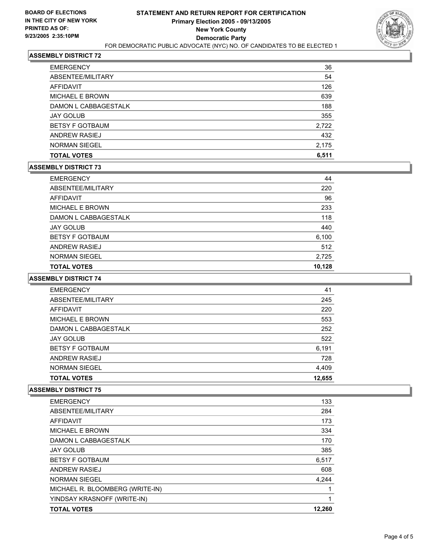

| <b>TOTAL VOTES</b>     | 6,511 |
|------------------------|-------|
| <b>NORMAN SIEGEL</b>   | 2,175 |
| <b>ANDREW RASIEJ</b>   | 432   |
| <b>BETSY F GOTBAUM</b> | 2,722 |
| <b>JAY GOLUB</b>       | 355   |
| DAMON L CABBAGESTALK   | 188   |
| <b>MICHAEL E BROWN</b> | 639   |
| AFFIDAVIT              | 126   |
| ABSENTEE/MILITARY      | 54    |
| <b>EMERGENCY</b>       | 36    |

#### **ASSEMBLY DISTRICT 73**

| <b>EMERGENCY</b>       | 44     |
|------------------------|--------|
| ABSENTEE/MILITARY      | 220    |
| AFFIDAVIT              | 96     |
| <b>MICHAEL E BROWN</b> | 233    |
| DAMON L CABBAGESTALK   | 118    |
| <b>JAY GOLUB</b>       | 440    |
| <b>BETSY F GOTBAUM</b> | 6,100  |
| <b>ANDREW RASIEJ</b>   | 512    |
| <b>NORMAN SIEGEL</b>   | 2,725  |
| <b>TOTAL VOTES</b>     | 10,128 |

## **ASSEMBLY DISTRICT 74**

| <b>EMERGENCY</b>       | 41     |  |
|------------------------|--------|--|
| ABSENTEE/MILITARY      | 245    |  |
| <b>AFFIDAVIT</b>       | 220    |  |
| <b>MICHAEL E BROWN</b> | 553    |  |
| DAMON L CABBAGESTALK   | 252    |  |
| <b>JAY GOLUB</b>       | 522    |  |
| <b>BETSY F GOTBAUM</b> | 6,191  |  |
| ANDREW RASIEJ          | 728    |  |
| <b>NORMAN SIEGEL</b>   | 4,409  |  |
| <b>TOTAL VOTES</b>     | 12,655 |  |

| <b>TOTAL VOTES</b>              | 12,260 |
|---------------------------------|--------|
| YINDSAY KRASNOFF (WRITE-IN)     |        |
| MICHAEL R. BLOOMBERG (WRITE-IN) |        |
| <b>NORMAN SIEGEL</b>            | 4,244  |
| ANDREW RASIEJ                   | 608    |
| <b>BETSY F GOTBAUM</b>          | 6,517  |
| <b>JAY GOLUB</b>                | 385    |
| DAMON L CABBAGESTALK            | 170    |
| <b>MICHAEL E BROWN</b>          | 334    |
| AFFIDAVIT                       | 173    |
| ABSENTEE/MILITARY               | 284    |
| <b>EMERGENCY</b>                | 133    |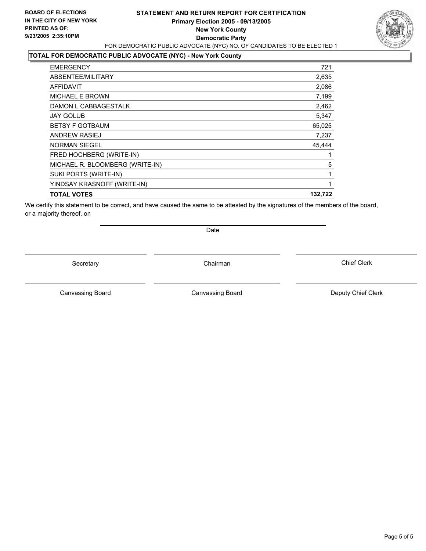## **STATEMENT AND RETURN REPORT FOR CERTIFICATION Primary Election 2005 - 09/13/2005 New York County Democratic Party** FOR DEMOCRATIC PUBLIC ADVOCATE (NYC) NO. OF CANDIDATES TO BE ELECTED 1



## **TOTAL FOR DEMOCRATIC PUBLIC ADVOCATE (NYC) - New York County**

| <b>EMERGENCY</b>                | 721     |
|---------------------------------|---------|
| ABSENTEE/MILITARY               | 2,635   |
| AFFIDAVIT                       | 2,086   |
| <b>MICHAEL E BROWN</b>          | 7,199   |
| DAMON L CABBAGESTALK            | 2,462   |
| <b>JAY GOLUB</b>                | 5,347   |
| <b>BETSY F GOTBAUM</b>          | 65,025  |
| <b>ANDREW RASIEJ</b>            | 7,237   |
| <b>NORMAN SIEGEL</b>            | 45,444  |
| FRED HOCHBERG (WRITE-IN)        |         |
| MICHAEL R. BLOOMBERG (WRITE-IN) | 5       |
| SUKI PORTS (WRITE-IN)           |         |
| YINDSAY KRASNOFF (WRITE-IN)     |         |
| <b>TOTAL VOTES</b>              | 132,722 |
|                                 |         |

We certify this statement to be correct, and have caused the same to be attested by the signatures of the members of the board, or a majority thereof, on

Secretary **Chairman** 

Date

Canvassing Board

Chief Clerk

Canvassing Board **Canvassing Board** Canvassing Board **Deputy Chief Clerk**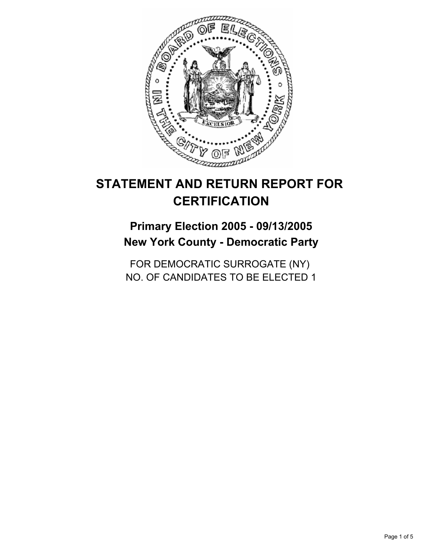

## **Primary Election 2005 - 09/13/2005 New York County - Democratic Party**

FOR DEMOCRATIC SURROGATE (NY) NO. OF CANDIDATES TO BE ELECTED 1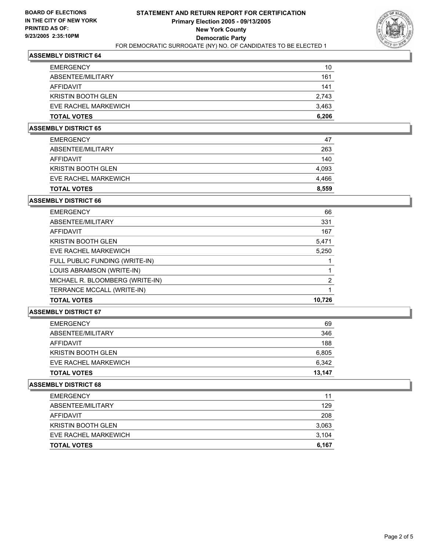

| <b>EMERGENCY</b>          | 10    |
|---------------------------|-------|
| ABSENTEE/MILITARY         | 161   |
| AFFIDAVIT                 | 141   |
| <b>KRISTIN BOOTH GLEN</b> | 2,743 |
| EVE RACHEL MARKEWICH      | 3,463 |
| <b>TOTAL VOTES</b>        | 6,206 |

## **ASSEMBLY DISTRICT 65**

| <b>EMERGENCY</b>          | 47    |
|---------------------------|-------|
| ABSENTEE/MILITARY         | 263   |
| AFFIDAVIT                 | 140   |
| <b>KRISTIN BOOTH GLEN</b> | 4,093 |
| EVE RACHEL MARKEWICH      | 4,466 |
| <b>TOTAL VOTES</b>        | 8,559 |

#### **ASSEMBLY DISTRICT 66**

| <b>EMERGENCY</b>                | 66     |
|---------------------------------|--------|
| ABSENTEE/MILITARY               | 331    |
| AFFIDAVIT                       | 167    |
| <b>KRISTIN BOOTH GLEN</b>       | 5,471  |
| EVE RACHEL MARKEWICH            | 5,250  |
| FULL PUBLIC FUNDING (WRITE-IN)  |        |
| LOUIS ABRAMSON (WRITE-IN)       |        |
| MICHAEL R. BLOOMBERG (WRITE-IN) | っ      |
| TERRANCE MCCALL (WRITE-IN)      |        |
| <b>TOTAL VOTES</b>              | 10,726 |

#### **ASSEMBLY DISTRICT 67**

| <b>TOTAL VOTES</b>        | 13,147 |
|---------------------------|--------|
| EVE RACHEL MARKEWICH      | 6,342  |
| <b>KRISTIN BOOTH GLEN</b> | 6,805  |
| AFFIDAVIT                 | 188    |
| ABSENTEE/MILITARY         | 346    |
| <b>EMERGENCY</b>          | 69     |

| <b>TOTAL VOTES</b>        | 6,167 |
|---------------------------|-------|
| EVE RACHEL MARKEWICH      | 3,104 |
| <b>KRISTIN BOOTH GLEN</b> | 3,063 |
| AFFIDAVIT                 | 208   |
| ABSENTEE/MILITARY         | 129   |
| <b>EMERGENCY</b>          | 11    |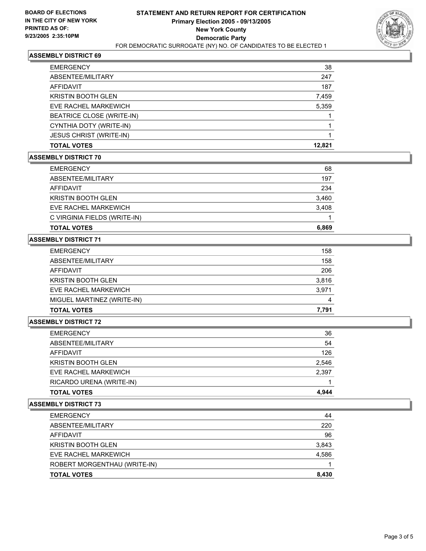

| <b>EMERGENCY</b>               | 38     |
|--------------------------------|--------|
| ABSENTEE/MILITARY              | 247    |
| AFFIDAVIT                      | 187    |
| <b>KRISTIN BOOTH GLEN</b>      | 7,459  |
| EVE RACHEL MARKEWICH           | 5,359  |
| BEATRICE CLOSE (WRITE-IN)      |        |
| CYNTHIA DOTY (WRITE-IN)        |        |
| <b>JESUS CHRIST (WRITE-IN)</b> |        |
| <b>TOTAL VOTES</b>             | 12,821 |

#### **ASSEMBLY DISTRICT 70**

| <b>EMERGENCY</b>             | 68    |
|------------------------------|-------|
| ABSENTEE/MILITARY            | 197   |
| AFFIDAVIT                    | 234   |
| <b>KRISTIN BOOTH GLEN</b>    | 3,460 |
| EVE RACHEL MARKEWICH         | 3,408 |
| C VIRGINIA FIELDS (WRITE-IN) |       |
| <b>TOTAL VOTES</b>           | 6,869 |

## **ASSEMBLY DISTRICT 71**

| <b>EMERGENCY</b>           | 158   |
|----------------------------|-------|
| ABSENTEE/MILITARY          | 158   |
| AFFIDAVIT                  | 206   |
| <b>KRISTIN BOOTH GLEN</b>  | 3,816 |
| EVE RACHEL MARKEWICH       | 3,971 |
| MIGUEL MARTINEZ (WRITE-IN) | 4     |
| <b>TOTAL VOTES</b>         | 7,791 |

## **ASSEMBLY DISTRICT 72**

| <b>EMERGENCY</b>          | 36    |
|---------------------------|-------|
| ABSENTEE/MILITARY         | 54    |
| AFFIDAVIT                 | 126   |
| <b>KRISTIN BOOTH GLEN</b> | 2,546 |
| EVE RACHEL MARKEWICH      | 2,397 |
| RICARDO URENA (WRITE-IN)  |       |
| <b>TOTAL VOTES</b>        | 4,944 |

| ABSENTEE/MILITARY            |       |
|------------------------------|-------|
|                              | 220   |
| AFFIDAVIT                    | 96    |
| <b>KRISTIN BOOTH GLEN</b>    | 3,843 |
| EVE RACHEL MARKEWICH         | 4,586 |
| ROBERT MORGENTHAU (WRITE-IN) |       |
| <b>TOTAL VOTES</b>           | 8,430 |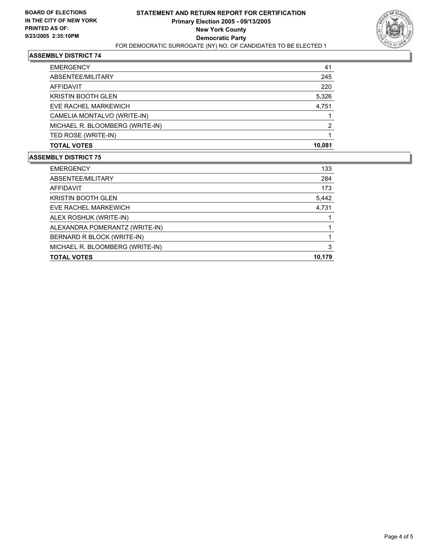

| <b>EMERGENCY</b>                | 41     |
|---------------------------------|--------|
| ABSENTEE/MILITARY               | 245    |
| AFFIDAVIT                       | 220    |
| <b>KRISTIN BOOTH GLEN</b>       | 5,326  |
| EVE RACHEL MARKEWICH            | 4,751  |
| CAMELIA MONTALVO (WRITE-IN)     |        |
| MICHAEL R. BLOOMBERG (WRITE-IN) | 2      |
| TED ROSE (WRITE-IN)             |        |
| <b>TOTAL VOTES</b>              | 10,081 |

| 133<br><b>EMERGENCY</b>              |
|--------------------------------------|
| ABSENTEE/MILITARY<br>284             |
| 173<br>AFFIDAVIT                     |
| <b>KRISTIN BOOTH GLEN</b><br>5,442   |
| 4,731<br>EVE RACHEL MARKEWICH        |
| ALEX ROSHUK (WRITE-IN)               |
| ALEXANDRA POMERANTZ (WRITE-IN)       |
| BERNARD R BLOCK (WRITE-IN)           |
| MICHAEL R. BLOOMBERG (WRITE-IN)<br>3 |
| 10,179<br><b>TOTAL VOTES</b>         |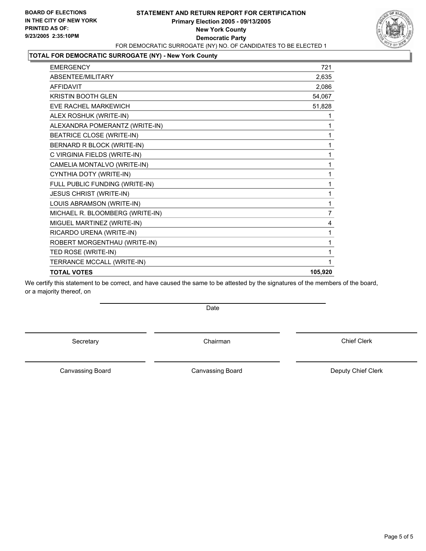## **STATEMENT AND RETURN REPORT FOR CERTIFICATION Primary Election 2005 - 09/13/2005 New York County Democratic Party** FOR DEMOCRATIC SURROGATE (NY) NO. OF CANDIDATES TO BE ELECTED 1



#### **TOTAL FOR DEMOCRATIC SURROGATE (NY) - New York County**

| <b>EMERGENCY</b>                 | 721     |
|----------------------------------|---------|
| ABSENTEE/MILITARY                | 2,635   |
| <b>AFFIDAVIT</b>                 | 2,086   |
| <b>KRISTIN BOOTH GLEN</b>        | 54,067  |
| <b>EVE RACHEL MARKEWICH</b>      | 51,828  |
| ALEX ROSHUK (WRITE-IN)           |         |
| ALEXANDRA POMERANTZ (WRITE-IN)   |         |
| <b>BEATRICE CLOSE (WRITE-IN)</b> |         |
| BERNARD R BLOCK (WRITE-IN)       |         |
| C VIRGINIA FIELDS (WRITE-IN)     |         |
| CAMELIA MONTALVO (WRITE-IN)      |         |
| CYNTHIA DOTY (WRITE-IN)          |         |
| FULL PUBLIC FUNDING (WRITE-IN)   |         |
| <b>JESUS CHRIST (WRITE-IN)</b>   |         |
| LOUIS ABRAMSON (WRITE-IN)        |         |
| MICHAEL R. BLOOMBERG (WRITE-IN)  | 7       |
| MIGUEL MARTINEZ (WRITE-IN)       | 4       |
| RICARDO URENA (WRITE-IN)         |         |
| ROBERT MORGENTHAU (WRITE-IN)     |         |
| TED ROSE (WRITE-IN)              |         |
| TERRANCE MCCALL (WRITE-IN)       |         |
| <b>TOTAL VOTES</b>               | 105,920 |

We certify this statement to be correct, and have caused the same to be attested by the signatures of the members of the board, or a majority thereof, on

Date

Secretary **Chairman** 

Chief Clerk

Canvassing Board

Canvassing Board **Canvassing Board** Canvassing Board **Deputy Chief Clerk**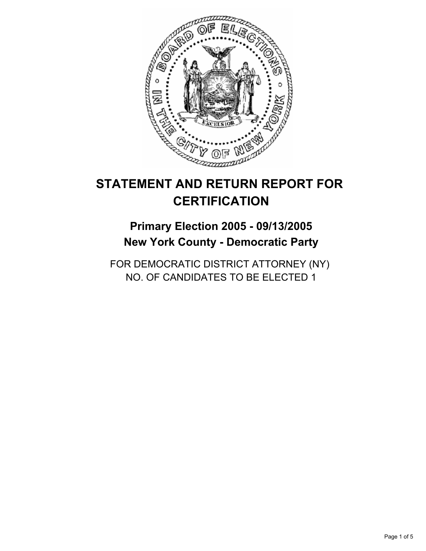

## **Primary Election 2005 - 09/13/2005 New York County - Democratic Party**

FOR DEMOCRATIC DISTRICT ATTORNEY (NY) NO. OF CANDIDATES TO BE ELECTED 1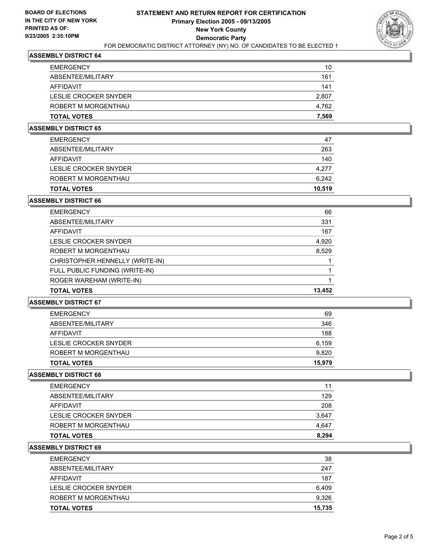

| <b>TOTAL VOTES</b>    | 7,569 |
|-----------------------|-------|
| ROBERT M MORGENTHAU   | 4,762 |
| LESLIE CROCKER SNYDER | 2,807 |
| AFFIDAVIT             | 141   |
| ABSENTEE/MILITARY     | 161   |
| <b>EMERGENCY</b>      | 10    |

## **ASSEMBLY DISTRICT 65**

| <b>TOTAL VOTES</b>    | 10.519 |
|-----------------------|--------|
| ROBERT M MORGENTHAU   | 6,242  |
| LESLIE CROCKER SNYDER | 4,277  |
| AFFIDAVIT             | 140    |
| ABSENTEE/MILITARY     | 263    |
| <b>EMERGENCY</b>      | 47     |

#### **ASSEMBLY DISTRICT 66**

| <b>EMERGENCY</b>                | 66     |
|---------------------------------|--------|
| ABSENTEE/MILITARY               | 331    |
| AFFIDAVIT                       | 167    |
| LESLIE CROCKER SNYDER           | 4,920  |
| ROBERT M MORGENTHAU             | 8,529  |
| CHRISTOPHER HENNELLY (WRITE-IN) |        |
| FULL PUBLIC FUNDING (WRITE-IN)  |        |
| ROGER WAREHAM (WRITE-IN)        |        |
| <b>TOTAL VOTES</b>              | 13,452 |

## **ASSEMBLY DISTRICT 67**

| <b>TOTAL VOTES</b>    | 15,979 |
|-----------------------|--------|
| ROBERT M MORGENTHAU   | 9,820  |
| LESLIE CROCKER SNYDER | 6,159  |
| AFFIDAVIT             | 188    |
| ABSENTEE/MILITARY     | 346    |
| <b>EMERGENCY</b>      | 69     |

#### **ASSEMBLY DISTRICT 68**

| <b>EMERGENCY</b>      | 11    |
|-----------------------|-------|
| ABSENTEE/MILITARY     | 129   |
| AFFIDAVIT             | 208   |
| LESLIE CROCKER SNYDER | 3,647 |
| ROBERT M MORGENTHAU   | 4,647 |
| <b>TOTAL VOTES</b>    | 8,294 |

| <b>TOTAL VOTES</b>    | 15,735 |
|-----------------------|--------|
| ROBERT M MORGENTHAU   | 9.326  |
| LESLIE CROCKER SNYDER | 6,409  |
| AFFIDAVIT             | 187    |
| ABSENTEE/MILITARY     | 247    |
| <b>EMERGENCY</b>      | 38     |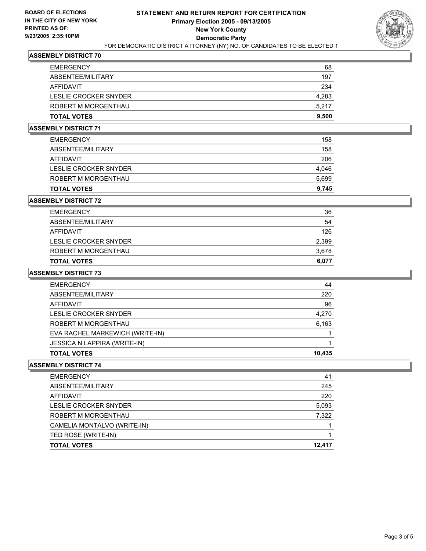

| <b>EMERGENCY</b>      | 68    |
|-----------------------|-------|
| ABSENTEE/MILITARY     | 197   |
| AFFIDAVIT             | 234   |
| LESLIE CROCKER SNYDER | 4,283 |
| ROBERT M MORGENTHAU   | 5,217 |
| <b>TOTAL VOTES</b>    | 9,500 |

## **ASSEMBLY DISTRICT 71**

| <b>TOTAL VOTES</b>    | 9,745 |
|-----------------------|-------|
| ROBERT M MORGENTHAU   | 5,699 |
| LESLIE CROCKER SNYDER | 4,046 |
| AFFIDAVIT             | 206   |
| ABSENTEE/MILITARY     | 158   |
| <b>EMERGENCY</b>      | 158   |

#### **ASSEMBLY DISTRICT 72**

| <b>EMERGENCY</b>      | 36    |
|-----------------------|-------|
| ABSENTEE/MILITARY     | 54    |
| AFFIDAVIT             | 126   |
| LESLIE CROCKER SNYDER | 2,399 |
| ROBERT M MORGENTHAU   | 3,678 |
| <b>TOTAL VOTES</b>    | 6,077 |

#### **ASSEMBLY DISTRICT 73**

| <b>EMERGENCY</b>                    | 44     |
|-------------------------------------|--------|
| ABSENTEE/MILITARY                   | 220    |
| AFFIDAVIT                           | 96     |
| LESLIE CROCKER SNYDER               | 4,270  |
| ROBERT M MORGENTHAU                 | 6,163  |
| EVA RACHEL MARKEWICH (WRITE-IN)     |        |
| <b>JESSICA N LAPPIRA (WRITE-IN)</b> |        |
| <b>TOTAL VOTES</b>                  | 10,435 |

| <b>EMERGENCY</b>            | 41     |
|-----------------------------|--------|
| ABSENTEE/MILITARY           | 245    |
| AFFIDAVIT                   | 220    |
| LESLIE CROCKER SNYDER       | 5,093  |
| ROBERT M MORGENTHAU         | 7,322  |
| CAMELIA MONTALVO (WRITE-IN) |        |
| TED ROSE (WRITE-IN)         |        |
| <b>TOTAL VOTES</b>          | 12,417 |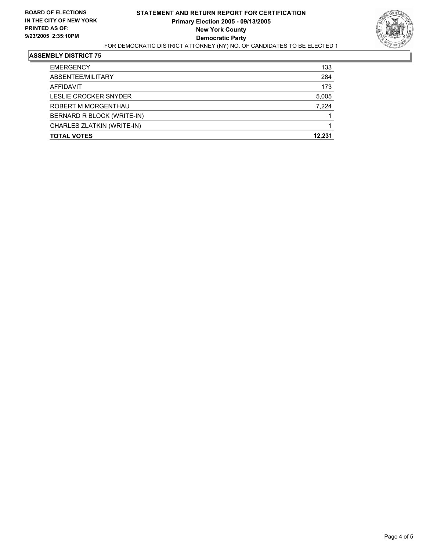

| 133    |
|--------|
| 284    |
| 173    |
| 5,005  |
| 7,224  |
|        |
|        |
| 12.231 |
|        |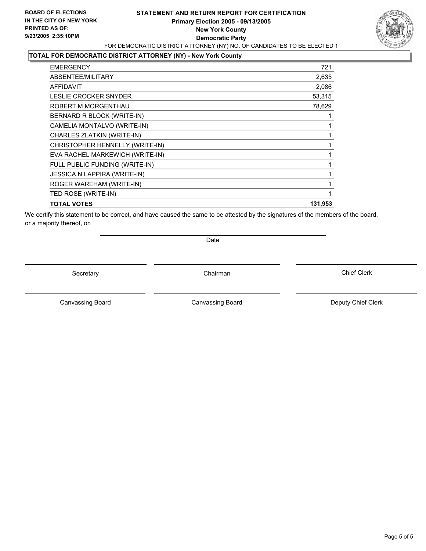## **STATEMENT AND RETURN REPORT FOR CERTIFICATION Primary Election 2005 - 09/13/2005 New York County Democratic Party** FOR DEMOCRATIC DISTRICT ATTORNEY (NY) NO. OF CANDIDATES TO BE ELECTED 1



## **TOTAL FOR DEMOCRATIC DISTRICT ATTORNEY (NY) - New York County**

| <b>EMERGENCY</b>                    | 721     |
|-------------------------------------|---------|
| ABSENTEE/MILITARY                   | 2,635   |
| <b>AFFIDAVIT</b>                    | 2,086   |
| LESLIE CROCKER SNYDER               | 53,315  |
| ROBERT M MORGENTHAU                 | 78,629  |
| BERNARD R BLOCK (WRITE-IN)          |         |
| CAMELIA MONTALVO (WRITE-IN)         |         |
| CHARLES ZLATKIN (WRITE-IN)          |         |
| CHRISTOPHER HENNELLY (WRITE-IN)     |         |
| EVA RACHEL MARKEWICH (WRITE-IN)     |         |
| FULL PUBLIC FUNDING (WRITE-IN)      |         |
| <b>JESSICA N LAPPIRA (WRITE-IN)</b> |         |
| ROGER WAREHAM (WRITE-IN)            |         |
| TED ROSE (WRITE-IN)                 |         |
| <b>TOTAL VOTES</b>                  | 131,953 |

We certify this statement to be correct, and have caused the same to be attested by the signatures of the members of the board, or a majority thereof, on

Date

Secretary Chairman

Canvassing Board **Canvassing Board** Canvassing Board **Deputy Chief Clerk** 

Canvassing Board

Chief Clerk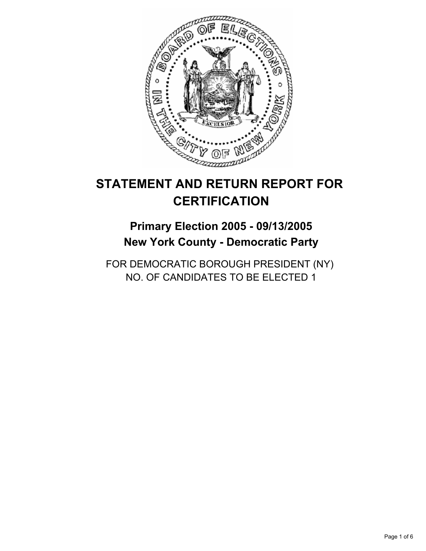

## **Primary Election 2005 - 09/13/2005 New York County - Democratic Party**

FOR DEMOCRATIC BOROUGH PRESIDENT (NY) NO. OF CANDIDATES TO BE ELECTED 1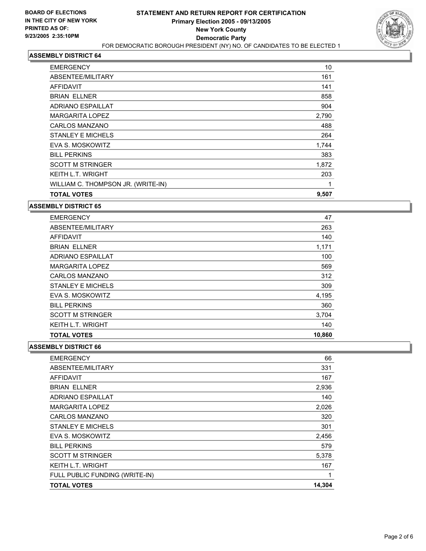

| <b>EMERGENCY</b>                   | 10    |  |
|------------------------------------|-------|--|
| ABSENTEE/MILITARY                  | 161   |  |
| <b>AFFIDAVIT</b>                   | 141   |  |
| <b>BRIAN ELLNER</b>                | 858   |  |
| <b>ADRIANO ESPAILLAT</b>           | 904   |  |
| <b>MARGARITA LOPEZ</b>             | 2,790 |  |
| <b>CARLOS MANZANO</b>              | 488   |  |
| <b>STANLEY E MICHELS</b>           | 264   |  |
| EVA S. MOSKOWITZ                   | 1,744 |  |
| <b>BILL PERKINS</b>                | 383   |  |
| <b>SCOTT M STRINGER</b>            | 1,872 |  |
| <b>KEITH L.T. WRIGHT</b>           | 203   |  |
| WILLIAM C. THOMPSON JR. (WRITE-IN) |       |  |
| <b>TOTAL VOTES</b>                 | 9,507 |  |

**ASSEMBLY DISTRICT 65**

| <b>EMERGENCY</b>         | 47     |
|--------------------------|--------|
| ABSENTEE/MILITARY        | 263    |
| AFFIDAVIT                | 140    |
| <b>BRIAN ELLNER</b>      | 1,171  |
| ADRIANO ESPAILLAT        | 100    |
| MARGARITA LOPEZ          | 569    |
| <b>CARLOS MANZANO</b>    | 312    |
| <b>STANLEY E MICHELS</b> | 309    |
| EVA S. MOSKOWITZ         | 4,195  |
| <b>BILL PERKINS</b>      | 360    |
| <b>SCOTT M STRINGER</b>  | 3,704  |
| <b>KEITH L.T. WRIGHT</b> | 140    |
| <b>TOTAL VOTES</b>       | 10,860 |

| <b>EMERGENCY</b>               | 66     |
|--------------------------------|--------|
| ABSENTEE/MILITARY              | 331    |
| AFFIDAVIT                      | 167    |
| <b>BRIAN ELLNER</b>            | 2,936  |
| <b>ADRIANO ESPAILLAT</b>       | 140    |
| <b>MARGARITA LOPEZ</b>         | 2,026  |
| <b>CARLOS MANZANO</b>          | 320    |
| <b>STANLEY E MICHELS</b>       | 301    |
| EVA S. MOSKOWITZ               | 2,456  |
| <b>BILL PERKINS</b>            | 579    |
| <b>SCOTT M STRINGER</b>        | 5,378  |
| <b>KEITH L.T. WRIGHT</b>       | 167    |
| FULL PUBLIC FUNDING (WRITE-IN) |        |
| <b>TOTAL VOTES</b>             | 14,304 |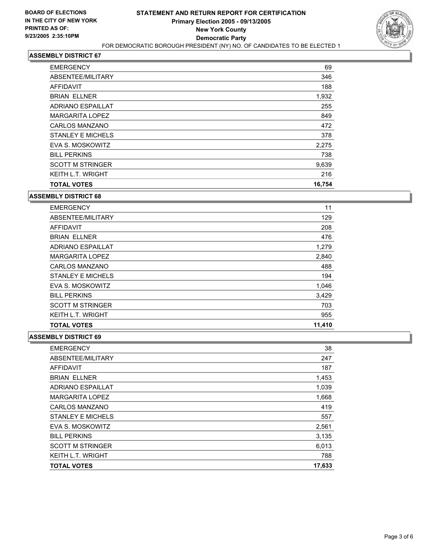

| <b>EMERGENCY</b>         | 69     |
|--------------------------|--------|
| ABSENTEE/MILITARY        | 346    |
| <b>AFFIDAVIT</b>         | 188    |
| <b>BRIAN ELLNER</b>      | 1,932  |
| <b>ADRIANO ESPAILLAT</b> | 255    |
| MARGARITA LOPEZ          | 849    |
| <b>CARLOS MANZANO</b>    | 472    |
| <b>STANLEY E MICHELS</b> | 378    |
| EVA S. MOSKOWITZ         | 2,275  |
| <b>BILL PERKINS</b>      | 738    |
| <b>SCOTT M STRINGER</b>  | 9,639  |
| <b>KEITH L.T. WRIGHT</b> | 216    |
| <b>TOTAL VOTES</b>       | 16,754 |

#### **ASSEMBLY DISTRICT 68**

| <b>TOTAL VOTES</b>       | 11,410 |
|--------------------------|--------|
| <b>KEITH L.T. WRIGHT</b> | 955    |
| <b>SCOTT M STRINGER</b>  | 703    |
| <b>BILL PERKINS</b>      | 3,429  |
| EVA S. MOSKOWITZ         | 1,046  |
| STANLEY E MICHELS        | 194    |
| <b>CARLOS MANZANO</b>    | 488    |
| <b>MARGARITA LOPEZ</b>   | 2,840  |
| <b>ADRIANO ESPAILLAT</b> | 1,279  |
| <b>BRIAN ELLNER</b>      | 476    |
| AFFIDAVIT                | 208    |
| ABSENTEE/MILITARY        | 129    |
| <b>EMERGENCY</b>         | 11     |

| <b>EMERGENCY</b>         | 38     |
|--------------------------|--------|
| ABSENTEE/MILITARY        | 247    |
| <b>AFFIDAVIT</b>         | 187    |
| <b>BRIAN ELLNER</b>      | 1,453  |
| <b>ADRIANO ESPAILLAT</b> | 1,039  |
| <b>MARGARITA LOPEZ</b>   | 1,668  |
| <b>CARLOS MANZANO</b>    | 419    |
| <b>STANLEY E MICHELS</b> | 557    |
| EVA S. MOSKOWITZ         | 2,561  |
| <b>BILL PERKINS</b>      | 3.135  |
| <b>SCOTT M STRINGER</b>  | 6,013  |
| <b>KEITH L.T. WRIGHT</b> | 788    |
| <b>TOTAL VOTES</b>       | 17,633 |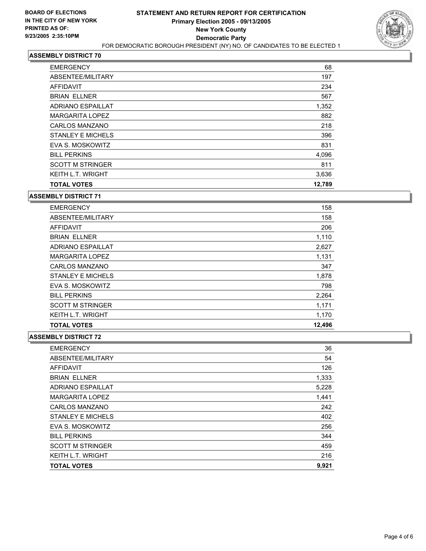

| <b>EMERGENCY</b>         | 68     |
|--------------------------|--------|
| ABSENTEE/MILITARY        | 197    |
| <b>AFFIDAVIT</b>         | 234    |
| <b>BRIAN ELLNER</b>      | 567    |
| <b>ADRIANO ESPAILLAT</b> | 1,352  |
| MARGARITA LOPEZ          | 882    |
| <b>CARLOS MANZANO</b>    | 218    |
| <b>STANLEY E MICHELS</b> | 396    |
| EVA S. MOSKOWITZ         | 831    |
| <b>BILL PERKINS</b>      | 4,096  |
| <b>SCOTT M STRINGER</b>  | 811    |
| <b>KEITH L.T. WRIGHT</b> | 3,636  |
| <b>TOTAL VOTES</b>       | 12,789 |

#### **ASSEMBLY DISTRICT 71**

| <b>EMERGENCY</b>         | 158    |
|--------------------------|--------|
| ABSENTEE/MILITARY        | 158    |
| AFFIDAVIT                | 206    |
| <b>BRIAN ELLNER</b>      | 1,110  |
| <b>ADRIANO ESPAILLAT</b> | 2,627  |
| <b>MARGARITA LOPEZ</b>   | 1,131  |
| <b>CARLOS MANZANO</b>    | 347    |
| <b>STANLEY E MICHELS</b> | 1,878  |
| EVA S. MOSKOWITZ         | 798    |
| <b>BILL PERKINS</b>      | 2,264  |
| <b>SCOTT M STRINGER</b>  | 1,171  |
| <b>KEITH L.T. WRIGHT</b> | 1,170  |
| <b>TOTAL VOTES</b>       | 12,496 |

| <b>EMERGENCY</b>         | 36    |
|--------------------------|-------|
| ABSENTEE/MILITARY        | 54    |
| <b>AFFIDAVIT</b>         | 126   |
| <b>BRIAN ELLNER</b>      | 1,333 |
| <b>ADRIANO ESPAILLAT</b> | 5,228 |
| <b>MARGARITA LOPEZ</b>   | 1,441 |
| <b>CARLOS MANZANO</b>    | 242   |
| <b>STANLEY E MICHELS</b> | 402   |
| EVA S. MOSKOWITZ         | 256   |
| <b>BILL PERKINS</b>      | 344   |
| <b>SCOTT M STRINGER</b>  | 459   |
| <b>KEITH L.T. WRIGHT</b> | 216   |
| <b>TOTAL VOTES</b>       | 9,921 |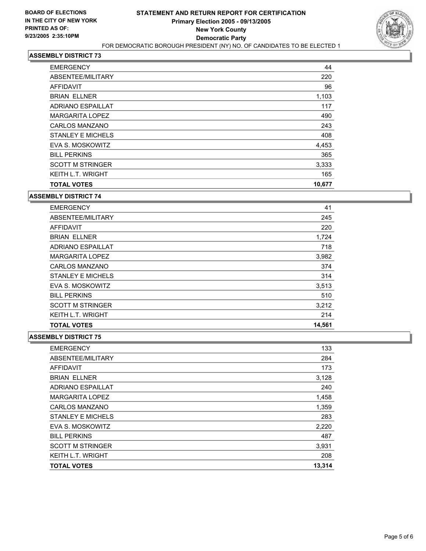

| <b>EMERGENCY</b>         | 44     |
|--------------------------|--------|
| ABSENTEE/MILITARY        | 220    |
| AFFIDAVIT                | 96     |
| <b>BRIAN ELLNER</b>      | 1,103  |
| <b>ADRIANO ESPAILLAT</b> | 117    |
| <b>MARGARITA LOPEZ</b>   | 490    |
| <b>CARLOS MANZANO</b>    | 243    |
| STANLEY E MICHELS        | 408    |
| EVA S. MOSKOWITZ         | 4,453  |
| <b>BILL PERKINS</b>      | 365    |
| <b>SCOTT M STRINGER</b>  | 3,333  |
| <b>KEITH L.T. WRIGHT</b> | 165    |
| <b>TOTAL VOTES</b>       | 10,677 |

#### **ASSEMBLY DISTRICT 74**

| <b>EMERGENCY</b>         | 41     |
|--------------------------|--------|
| ABSENTEE/MILITARY        | 245    |
| AFFIDAVIT                | 220    |
| <b>BRIAN ELLNER</b>      | 1,724  |
| <b>ADRIANO ESPAILLAT</b> | 718    |
| <b>MARGARITA LOPEZ</b>   | 3,982  |
| <b>CARLOS MANZANO</b>    | 374    |
| <b>STANLEY E MICHELS</b> | 314    |
| EVA S. MOSKOWITZ         | 3,513  |
| <b>BILL PERKINS</b>      | 510    |
| <b>SCOTT M STRINGER</b>  | 3,212  |
| <b>KEITH L.T. WRIGHT</b> | 214    |
| <b>TOTAL VOTES</b>       | 14,561 |

| <b>EMERGENCY</b>         | 133    |
|--------------------------|--------|
| ABSENTEE/MILITARY        | 284    |
| <b>AFFIDAVIT</b>         | 173    |
| <b>BRIAN ELLNER</b>      | 3,128  |
| <b>ADRIANO ESPAILLAT</b> | 240    |
| <b>MARGARITA LOPEZ</b>   | 1,458  |
| <b>CARLOS MANZANO</b>    | 1,359  |
| <b>STANLEY E MICHELS</b> | 283    |
| EVA S. MOSKOWITZ         | 2,220  |
| <b>BILL PERKINS</b>      | 487    |
| <b>SCOTT M STRINGER</b>  | 3,931  |
| <b>KEITH L.T. WRIGHT</b> | 208    |
| <b>TOTAL VOTES</b>       | 13,314 |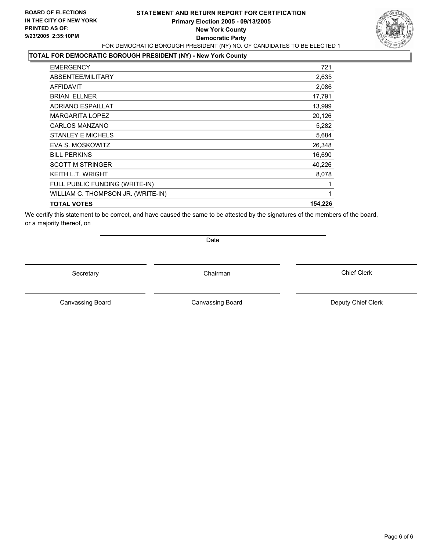## **STATEMENT AND RETURN REPORT FOR CERTIFICATION Primary Election 2005 - 09/13/2005 New York County Democratic Party** FOR DEMOCRATIC BOROUGH PRESIDENT (NY) NO. OF CANDIDATES TO BE ELECTED 1



**TOTAL FOR DEMOCRATIC BOROUGH PRESIDENT (NY) - New York County**

| <b>EMERGENCY</b>                   | 721     |
|------------------------------------|---------|
| ABSENTEE/MILITARY                  | 2,635   |
| <b>AFFIDAVIT</b>                   | 2,086   |
| <b>BRIAN ELLNER</b>                | 17,791  |
| <b>ADRIANO ESPAILLAT</b>           | 13,999  |
| <b>MARGARITA LOPEZ</b>             | 20,126  |
| <b>CARLOS MANZANO</b>              | 5,282   |
| <b>STANLEY E MICHELS</b>           | 5,684   |
| EVA S. MOSKOWITZ                   | 26,348  |
| <b>BILL PERKINS</b>                | 16,690  |
| <b>SCOTT M STRINGER</b>            | 40,226  |
| <b>KEITH L.T. WRIGHT</b>           | 8,078   |
| FULL PUBLIC FUNDING (WRITE-IN)     |         |
| WILLIAM C. THOMPSON JR. (WRITE-IN) |         |
| <b>TOTAL VOTES</b>                 | 154,226 |
|                                    |         |

We certify this statement to be correct, and have caused the same to be attested by the signatures of the members of the board, or a majority thereof, on

Date

Secretary Chairman

Canvassing Board **Canvassing Board** Canvassing Board **Deputy Chief Clerk** 

Canvassing Board

Chief Clerk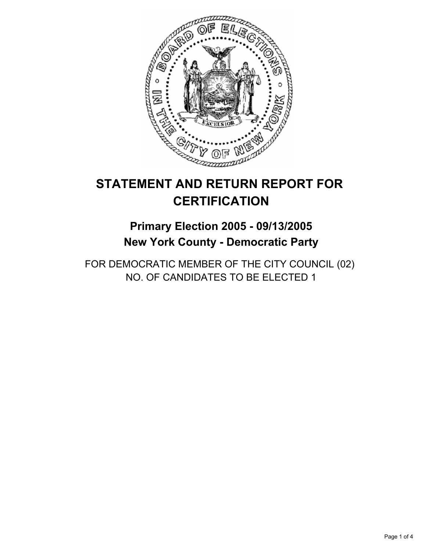

## **Primary Election 2005 - 09/13/2005 New York County - Democratic Party**

FOR DEMOCRATIC MEMBER OF THE CITY COUNCIL (02) NO. OF CANDIDATES TO BE ELECTED 1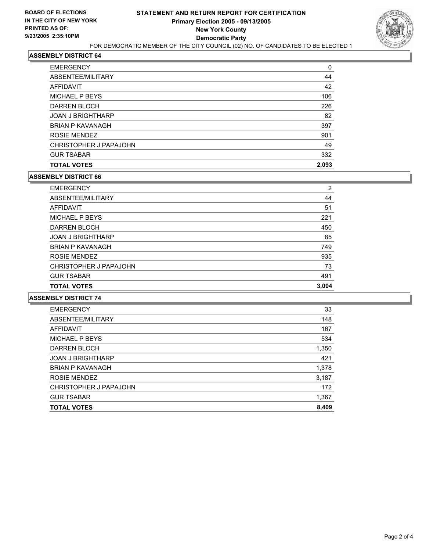

| 44<br>42<br>106<br>226<br>82<br>397<br>901<br>49<br>332<br>2,093 | <b>EMERGENCY</b>         | 0 |
|------------------------------------------------------------------|--------------------------|---|
|                                                                  | ABSENTEE/MILITARY        |   |
|                                                                  | <b>AFFIDAVIT</b>         |   |
|                                                                  | MICHAEL P BEYS           |   |
|                                                                  | DARREN BLOCH             |   |
|                                                                  | <b>JOAN J BRIGHTHARP</b> |   |
|                                                                  | <b>BRIAN P KAVANAGH</b>  |   |
|                                                                  | ROSIE MENDEZ             |   |
|                                                                  | CHRISTOPHER J PAPAJOHN   |   |
|                                                                  | <b>GUR TSABAR</b>        |   |
|                                                                  | <b>TOTAL VOTES</b>       |   |

#### **ASSEMBLY DISTRICT 66**

| <b>EMERGENCY</b>         | 2     |
|--------------------------|-------|
| ABSENTEE/MILITARY        | 44    |
| AFFIDAVIT                | 51    |
| MICHAEL P BEYS           | 221   |
| DARREN BLOCH             | 450   |
| <b>JOAN J BRIGHTHARP</b> | 85    |
| <b>BRIAN P KAVANAGH</b>  | 749   |
| ROSIE MENDEZ             | 935   |
| CHRISTOPHER J PAPAJOHN   | 73    |
| <b>GUR TSABAR</b>        | 491   |
| <b>TOTAL VOTES</b>       | 3,004 |

| <b>EMERGENCY</b>         | 33    |
|--------------------------|-------|
| ABSENTEE/MILITARY        | 148   |
| AFFIDAVIT                | 167   |
| MICHAEL P BEYS           | 534   |
| DARREN BLOCH             | 1,350 |
| <b>JOAN J BRIGHTHARP</b> | 421   |
| <b>BRIAN P KAVANAGH</b>  | 1,378 |
| ROSIE MENDEZ             | 3,187 |
| CHRISTOPHER J PAPAJOHN   | 172   |
| <b>GUR TSABAR</b>        | 1,367 |
| <b>TOTAL VOTES</b>       | 8,409 |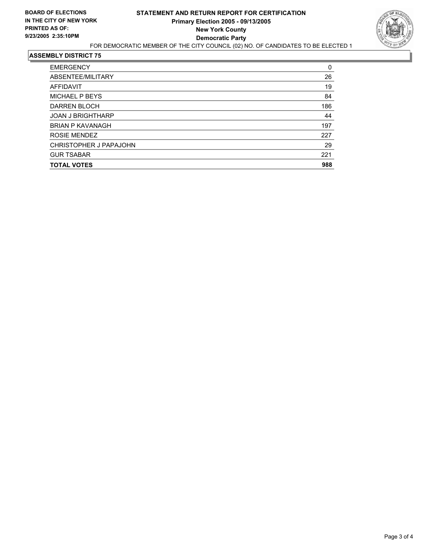

| <b>EMERGENCY</b>         | 0   |
|--------------------------|-----|
| ABSENTEE/MILITARY        | 26  |
| AFFIDAVIT                | 19  |
| MICHAEL P BEYS           | 84  |
| DARREN BLOCH             | 186 |
| <b>JOAN J BRIGHTHARP</b> | 44  |
| <b>BRIAN P KAVANAGH</b>  | 197 |
| ROSIE MENDEZ             | 227 |
| CHRISTOPHER J PAPAJOHN   | 29  |
| <b>GUR TSABAR</b>        | 221 |
| <b>TOTAL VOTES</b>       | 988 |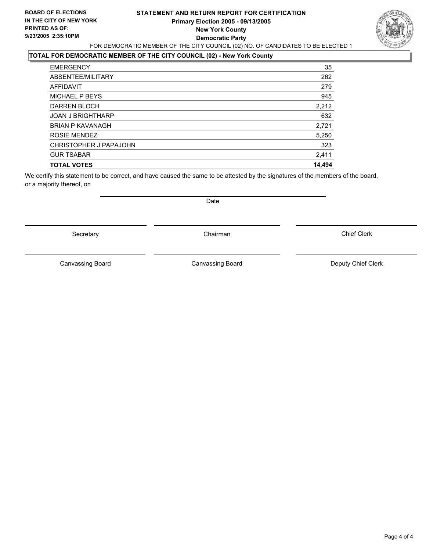## **STATEMENT AND RETURN REPORT FOR CERTIFICATION Primary Election 2005 - 09/13/2005 New York County Democratic Party** FOR DEMOCRATIC MEMBER OF THE CITY COUNCIL (02) NO. OF CANDIDATES TO BE ELECTED 1



## **TOTAL FOR DEMOCRATIC MEMBER OF THE CITY COUNCIL (02) - New York County**

| <b>EMERGENCY</b>         | 35     |
|--------------------------|--------|
| ABSENTEE/MILITARY        | 262    |
| <b>AFFIDAVIT</b>         | 279    |
| MICHAEL P BEYS           | 945    |
| DARREN BLOCH             | 2,212  |
| <b>JOAN J BRIGHTHARP</b> | 632    |
| <b>BRIAN P KAVANAGH</b>  | 2,721  |
| ROSIE MENDEZ             | 5,250  |
| CHRISTOPHER J PAPAJOHN   | 323    |
| <b>GUR TSABAR</b>        | 2,411  |
| <b>TOTAL VOTES</b>       | 14,494 |
|                          |        |

We certify this statement to be correct, and have caused the same to be attested by the signatures of the members of the board, or a majority thereof, on

Secretary Chairman

Canvassing Board **Canvassing Board** Canvassing Board **Deputy Chief Clerk** 

Date

Canvassing Board

Chief Clerk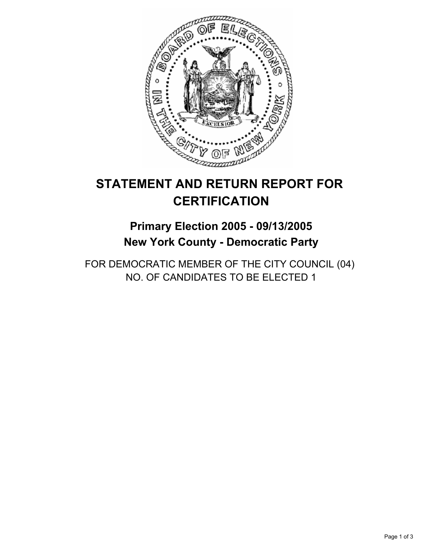

## **Primary Election 2005 - 09/13/2005 New York County - Democratic Party**

FOR DEMOCRATIC MEMBER OF THE CITY COUNCIL (04) NO. OF CANDIDATES TO BE ELECTED 1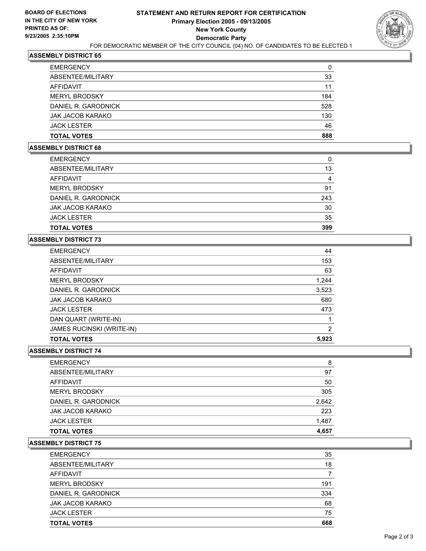

| <b>TOTAL VOTES</b>   | 888 |
|----------------------|-----|
| <b>JACK LESTER</b>   | 46  |
| JAK JACOB KARAKO     | 130 |
| DANIEL R. GARODNICK  | 528 |
| <b>MERYL BRODSKY</b> | 184 |
| <b>AFFIDAVIT</b>     | 11  |
| ABSENTEE/MILITARY    | 33  |
| <b>EMERGENCY</b>     | 0   |

#### **ASSEMBLY DISTRICT 68**

| <b>EMERGENCY</b>        |     |
|-------------------------|-----|
| ABSENTEE/MILITARY       | 13  |
| AFFIDAVIT               |     |
| <b>MERYL BRODSKY</b>    | 91  |
| DANIEL R. GARODNICK     | 243 |
| <b>JAK JACOB KARAKO</b> | 30  |
| <b>JACK LESTER</b>      | 35  |
| <b>TOTAL VOTES</b>      | 399 |

## **ASSEMBLY DISTRICT 73**

| <b>EMERGENCY</b>                 | 44    |
|----------------------------------|-------|
| ABSENTEE/MILITARY                | 153   |
| AFFIDAVIT                        | 63    |
| <b>MERYL BRODSKY</b>             | 1,244 |
| DANIEL R. GARODNICK              | 3,523 |
| <b>JAK JACOB KARAKO</b>          | 680   |
| <b>JACK LESTER</b>               | 473   |
| DAN QUART (WRITE-IN)             |       |
| <b>JAMES RUCINSKI (WRITE-IN)</b> | 2     |
| <b>TOTAL VOTES</b>               | 5,923 |

#### **ASSEMBLY DISTRICT 74**

| <b>JACK LESTER</b>   | 1,487 |
|----------------------|-------|
| JAK JACOB KARAKO     | 223   |
| DANIEL R. GARODNICK  | 2,642 |
| <b>MERYL BRODSKY</b> | 305   |
| <b>AFFIDAVIT</b>     | 50    |
| ABSENTEE/MILITARY    | 97    |
| <b>EMERGENCY</b>     | 8     |

| <b>TOTAL VOTES</b>   | 668 |
|----------------------|-----|
| <b>JACK LESTER</b>   | 75  |
| JAK JACOB KARAKO     | 68  |
| DANIEL R. GARODNICK  | 334 |
| <b>MERYL BRODSKY</b> | 191 |
| AFFIDAVIT            |     |
| ABSENTEE/MILITARY    | 18  |
| <b>EMERGENCY</b>     | 35  |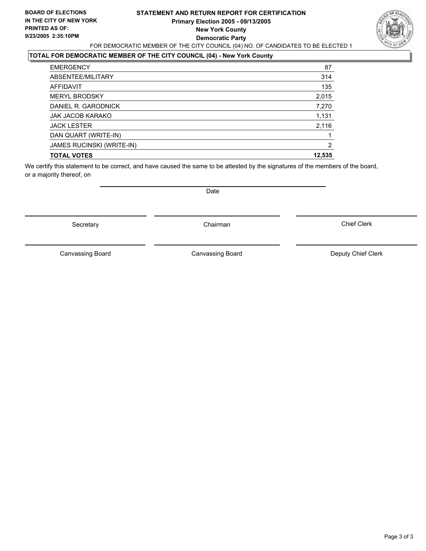### **STATEMENT AND RETURN REPORT FOR CERTIFICATION Primary Election 2005 - 09/13/2005 New York County Democratic Party** FOR DEMOCRATIC MEMBER OF THE CITY COUNCIL (04) NO. OF CANDIDATES TO BE ELECTED 1



## **TOTAL FOR DEMOCRATIC MEMBER OF THE CITY COUNCIL (04) - New York County**

| <b>EMERGENCY</b>                 | 87     |
|----------------------------------|--------|
| ABSENTEE/MILITARY                | 314    |
| <b>AFFIDAVIT</b>                 | 135    |
| <b>MERYL BRODSKY</b>             | 2,015  |
| DANIEL R. GARODNICK              | 7,270  |
| JAK JACOB KARAKO                 | 1,131  |
| <b>JACK LESTER</b>               | 2,116  |
| DAN QUART (WRITE-IN)             |        |
| <b>JAMES RUCINSKI (WRITE-IN)</b> | 2      |
| <b>TOTAL VOTES</b>               | 12,535 |

We certify this statement to be correct, and have caused the same to be attested by the signatures of the members of the board, or a majority thereof, on

Date

Secretary **Chairman** 

Canvassing Board **Canvassing Canvassing Board** Deputy Chief Clerk

Canvassing Board

Chief Clerk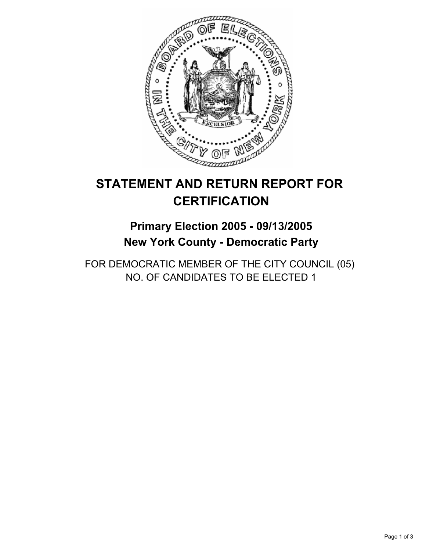

## **Primary Election 2005 - 09/13/2005 New York County - Democratic Party**

FOR DEMOCRATIC MEMBER OF THE CITY COUNCIL (05) NO. OF CANDIDATES TO BE ELECTED 1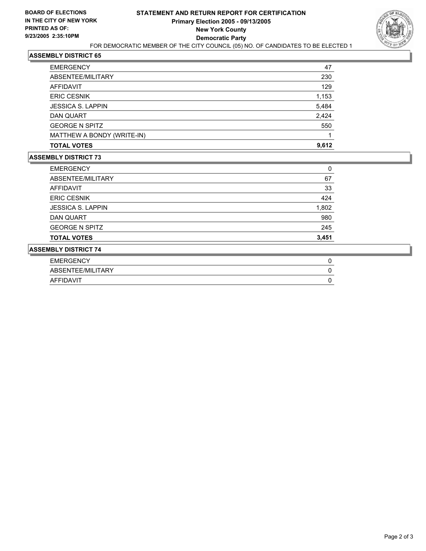

| <b>EMERGENCY</b>           | 47    |
|----------------------------|-------|
| ABSENTEE/MILITARY          | 230   |
| AFFIDAVIT                  | 129   |
| <b>ERIC CESNIK</b>         | 1,153 |
| <b>JESSICA S. LAPPIN</b>   | 5,484 |
| DAN QUART                  | 2,424 |
| <b>GEORGE N SPITZ</b>      | 550   |
| MATTHEW A BONDY (WRITE-IN) |       |
| <b>TOTAL VOTES</b>         | 9,612 |

| <b>ASSEMBLY DISTRICT 74</b> |       |
|-----------------------------|-------|
| <b>TOTAL VOTES</b>          | 3,451 |
| <b>GEORGE N SPITZ</b>       | 245   |
| DAN QUART                   | 980   |
| <b>JESSICA S. LAPPIN</b>    | 1,802 |
| <b>ERIC CESNIK</b>          | 424   |
| AFFIDAVIT                   | 33    |
| ABSENTEE/MILITARY           | 67    |
| <b>EMERGENCY</b>            | 0     |

| <b>EMERGEN</b>     |  |
|--------------------|--|
| SENTEE/MILITARY    |  |
| <b>MT</b><br>, , , |  |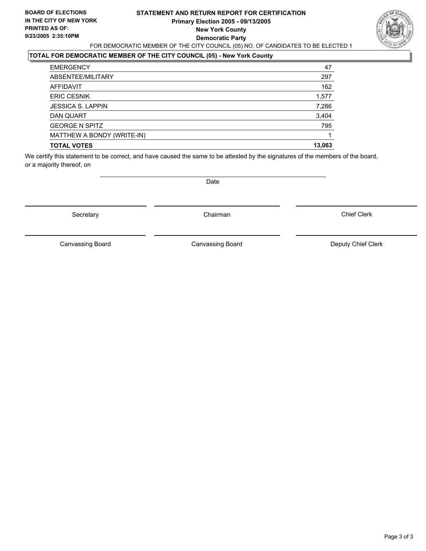#### **STATEMENT AND RETURN REPORT FOR CERTIFICATION Primary Election 2005 - 09/13/2005 New York County Democratic Party** FOR DEMOCRATIC MEMBER OF THE CITY COUNCIL (05) NO. OF CANDIDATES TO BE ELECTED 1



## **TOTAL FOR DEMOCRATIC MEMBER OF THE CITY COUNCIL (05) - New York County**

| <b>EMERGENCY</b>           | 47     |
|----------------------------|--------|
| ABSENTEE/MILITARY          | 297    |
| AFFIDAVIT                  | 162    |
| <b>ERIC CESNIK</b>         | 1,577  |
| <b>JESSICA S. LAPPIN</b>   | 7,286  |
| DAN QUART                  | 3,404  |
| <b>GEORGE N SPITZ</b>      | 795    |
| MATTHEW A BONDY (WRITE-IN) |        |
| <b>TOTAL VOTES</b>         | 13,063 |

We certify this statement to be correct, and have caused the same to be attested by the signatures of the members of the board, or a majority thereof, on

Secretary **Chairman** 

Date

Chief Clerk

Canvassing Board

Canvassing Board **Canvassing Canvassing Board** Deputy Chief Clerk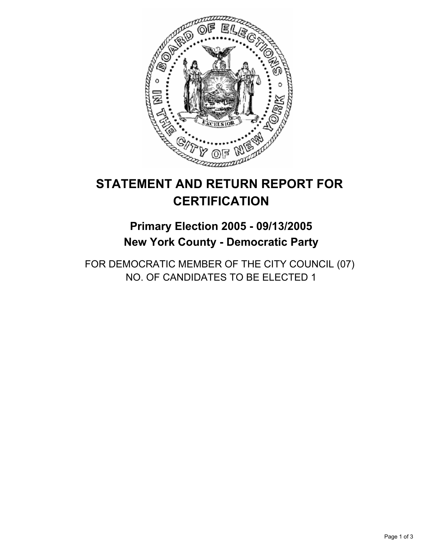

# **Primary Election 2005 - 09/13/2005 New York County - Democratic Party**

FOR DEMOCRATIC MEMBER OF THE CITY COUNCIL (07) NO. OF CANDIDATES TO BE ELECTED 1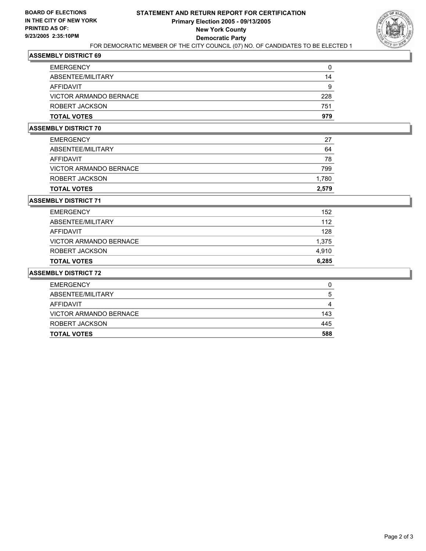

| <b>EMERGENCY</b>       |     |
|------------------------|-----|
| ABSENTEE/MILITARY      | 14  |
| AFFIDAVIT              | 9   |
| VICTOR ARMANDO BERNACE | 228 |
| ROBERT JACKSON         | 751 |
| <b>TOTAL VOTES</b>     | 979 |

### **ASSEMBLY DISTRICT 70**

| <b>TOTAL VOTES</b>     | 2,579 |
|------------------------|-------|
| ROBERT JACKSON         | 1,780 |
| VICTOR ARMANDO BERNACE | 799   |
| AFFIDAVIT              | 78    |
| ABSENTEE/MILITARY      | 64    |
| <b>EMERGENCY</b>       | 27    |

#### **ASSEMBLY DISTRICT 71**

| <b>TOTAL VOTES</b>     | 6,285 |
|------------------------|-------|
| ROBERT JACKSON         | 4,910 |
| VICTOR ARMANDO BERNACE | 1,375 |
| AFFIDAVIT              | 128   |
| ABSENTEE/MILITARY      | 112   |
| <b>EMERGENCY</b>       | 152   |

| <b>EMERGENCY</b>       | U   |
|------------------------|-----|
| ABSENTEE/MILITARY      | b   |
| AFFIDAVIT              |     |
| VICTOR ARMANDO BERNACE | 143 |
| ROBERT JACKSON         | 445 |
| <b>TOTAL VOTES</b>     | 588 |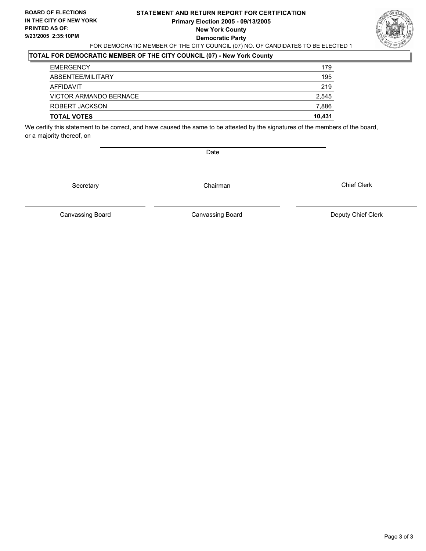#### **STATEMENT AND RETURN REPORT FOR CERTIFICATION Primary Election 2005 - 09/13/2005 New York County Democratic Party** FOR DEMOCRATIC MEMBER OF THE CITY COUNCIL (07) NO. OF CANDIDATES TO BE ELECTED 1



## **TOTAL FOR DEMOCRATIC MEMBER OF THE CITY COUNCIL (07) - New York County**

| <b>TOTAL VOTES</b>     | 10,431 |
|------------------------|--------|
| ROBERT JACKSON         | 7,886  |
| VICTOR ARMANDO BERNACE | 2,545  |
| AFFIDAVIT              | 219    |
| ABSENTEE/MILITARY      | 195    |
| <b>EMERGENCY</b>       | 179    |

We certify this statement to be correct, and have caused the same to be attested by the signatures of the members of the board, or a majority thereof, on

Date

Secretary Chairman

Canvassing Board **Canvassing Board** Canvassing Board **Deputy Chief Clerk** 

Canvassing Board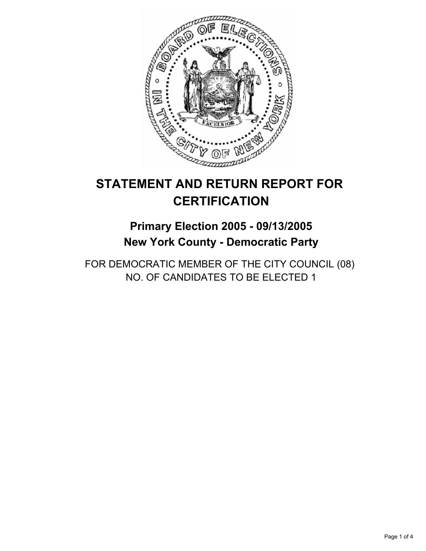

# **Primary Election 2005 - 09/13/2005 New York County - Democratic Party**

FOR DEMOCRATIC MEMBER OF THE CITY COUNCIL (08) NO. OF CANDIDATES TO BE ELECTED 1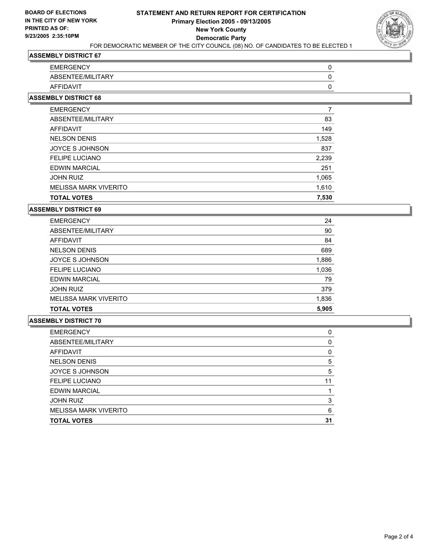

| <b>EMERGENCY</b>  |  |
|-------------------|--|
| ABSENTEE/MILITARY |  |
| <b>AFFIDAVIT</b>  |  |

#### **ASSEMBLY DISTRICT 68**

| <b>EMERGENCY</b>             |       |
|------------------------------|-------|
| ABSENTEE/MILITARY            | 83    |
| AFFIDAVIT                    | 149   |
| <b>NELSON DENIS</b>          | 1,528 |
| JOYCE S JOHNSON              | 837   |
| <b>FELIPE LUCIANO</b>        | 2,239 |
| <b>EDWIN MARCIAL</b>         | 251   |
| <b>JOHN RUIZ</b>             | 1,065 |
| <b>MELISSA MARK VIVERITO</b> | 1,610 |
| <b>TOTAL VOTES</b>           | 7,530 |

#### **ASSEMBLY DISTRICT 69**

|                              | 24    |
|------------------------------|-------|
| ABSENTEE/MILITARY            | 90    |
| AFFIDAVIT                    | 84    |
| <b>NELSON DENIS</b>          | 689   |
| JOYCE S JOHNSON              | 1,886 |
| <b>FELIPE LUCIANO</b>        | 1,036 |
| <b>EDWIN MARCIAL</b>         | 79    |
| <b>JOHN RUIZ</b>             | 379   |
| <b>MELISSA MARK VIVERITO</b> | 1,836 |
| <b>TOTAL VOTES</b>           | 5,905 |

| <b>EMERGENCY</b>             |    |
|------------------------------|----|
| ABSENTEE/MILITARY            |    |
| AFFIDAVIT                    |    |
| <b>NELSON DENIS</b>          |    |
| JOYCE S JOHNSON              |    |
| <b>FELIPE LUCIANO</b>        |    |
| <b>EDWIN MARCIAL</b>         |    |
| <b>JOHN RUIZ</b>             |    |
| <b>MELISSA MARK VIVERITO</b> | 6  |
| <b>TOTAL VOTES</b>           | 31 |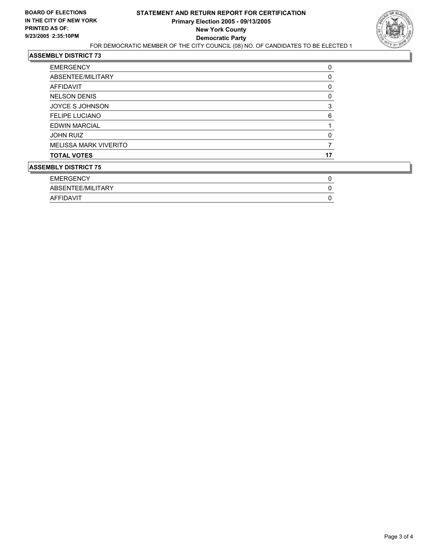

| F11F52F121                   | $\sim$ |
|------------------------------|--------|
| <b>ASSEMBLY DISTRICT 75</b>  |        |
| <b>TOTAL VOTES</b>           | 17     |
| <b>MELISSA MARK VIVERITO</b> |        |
| <b>JOHN RUIZ</b>             |        |
| <b>EDWIN MARCIAL</b>         |        |
| <b>FELIPE LUCIANO</b>        | 6      |
| <b>JOYCE S JOHNSON</b>       | 3      |
| <b>NELSON DENIS</b>          |        |
| AFFIDAVIT                    | 0      |
| ABSENTEE/MILITARY            |        |
| <b>EMERGENCY</b>             | 0      |

| EMERGENCY         |  |
|-------------------|--|
| ABSENTEE/MILITARY |  |
| AFFIDAVIT         |  |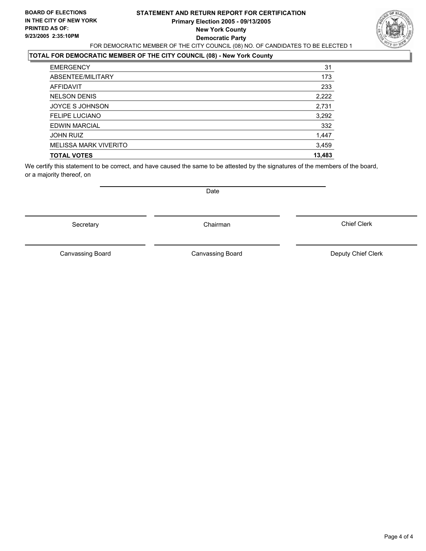### **STATEMENT AND RETURN REPORT FOR CERTIFICATION Primary Election 2005 - 09/13/2005 New York County Democratic Party** FOR DEMOCRATIC MEMBER OF THE CITY COUNCIL (08) NO. OF CANDIDATES TO BE ELECTED 1



### **TOTAL FOR DEMOCRATIC MEMBER OF THE CITY COUNCIL (08) - New York County**

| <b>EMERGENCY</b>             | 31     |
|------------------------------|--------|
| ABSENTEE/MILITARY            | 173    |
| AFFIDAVIT                    | 233    |
| <b>NELSON DENIS</b>          | 2,222  |
| JOYCE S JOHNSON              | 2,731  |
| <b>FELIPE LUCIANO</b>        | 3,292  |
| <b>EDWIN MARCIAL</b>         | 332    |
| <b>JOHN RUIZ</b>             | 1,447  |
| <b>MELISSA MARK VIVERITO</b> | 3,459  |
| <b>TOTAL VOTES</b>           | 13,483 |

We certify this statement to be correct, and have caused the same to be attested by the signatures of the members of the board, or a majority thereof, on

Date

Secretary **Chairman** 

Canvassing Board **Canvassing Canvassing Board** Deputy Chief Clerk

Canvassing Board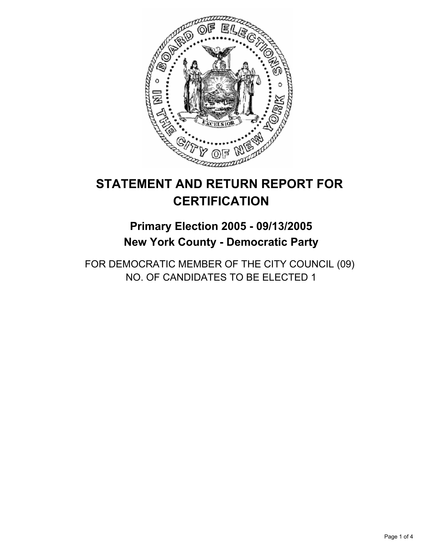

# **Primary Election 2005 - 09/13/2005 New York County - Democratic Party**

FOR DEMOCRATIC MEMBER OF THE CITY COUNCIL (09) NO. OF CANDIDATES TO BE ELECTED 1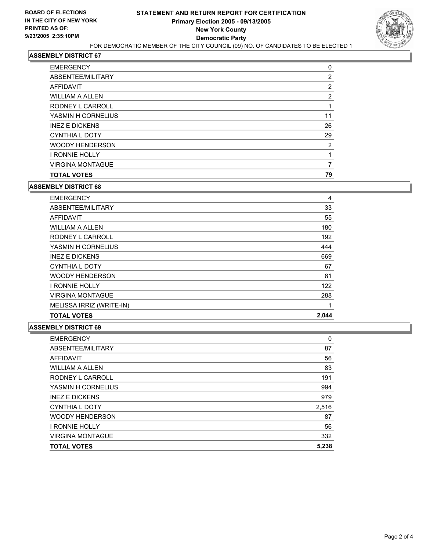

| <b>TOTAL VOTES</b>      | 79 |
|-------------------------|----|
| <b>VIRGINA MONTAGUE</b> |    |
| <b>I RONNIE HOLLY</b>   |    |
| <b>WOODY HENDERSON</b>  | 2  |
| <b>CYNTHIA L DOTY</b>   | 29 |
| <b>INEZ E DICKENS</b>   | 26 |
| YASMIN H CORNELIUS      | 11 |
| RODNEY L CARROLL        |    |
| WILLIAM A ALLEN         | 2  |
| AFFIDAVIT               | 2  |
| ABSENTEE/MILITARY       | 2  |
| <b>EMERGENCY</b>        | 0  |

#### **ASSEMBLY DISTRICT 68**

| <b>EMERGENCY</b>         | 4     |
|--------------------------|-------|
| ABSENTEE/MILITARY        | 33    |
| AFFIDAVIT                | 55    |
| <b>WILLIAM A ALLEN</b>   | 180   |
| RODNEY L CARROLL         | 192   |
| YASMIN H CORNELIUS       | 444   |
| <b>INEZ E DICKENS</b>    | 669   |
| <b>CYNTHIA L DOTY</b>    | 67    |
| <b>WOODY HENDERSON</b>   | 81    |
| I RONNIE HOLLY           | 122   |
| <b>VIRGINA MONTAGUE</b>  | 288   |
| MELISSA IRRIZ (WRITE-IN) |       |
| <b>TOTAL VOTES</b>       | 2.044 |

| <b>EMERGENCY</b>        | 0     |
|-------------------------|-------|
| ABSENTEE/MILITARY       | 87    |
| <b>AFFIDAVIT</b>        | 56    |
| <b>WILLIAM A ALLEN</b>  | 83    |
| RODNEY L CARROLL        | 191   |
| YASMIN H CORNELIUS      | 994   |
| <b>INEZ E DICKENS</b>   | 979   |
| CYNTHIA L DOTY          | 2,516 |
| <b>WOODY HENDERSON</b>  | 87    |
| <b>I RONNIE HOLLY</b>   | 56    |
| <b>VIRGINA MONTAGUE</b> | 332   |
| <b>TOTAL VOTES</b>      | 5,238 |
|                         |       |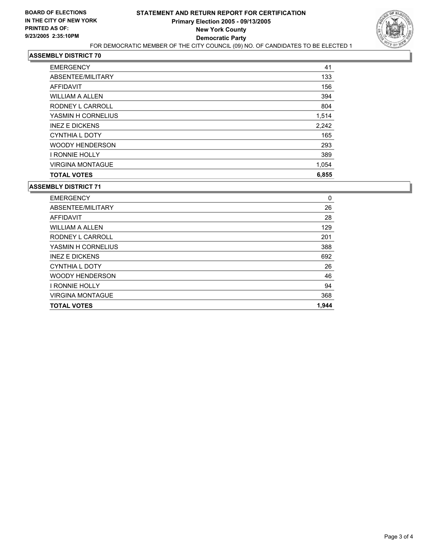

| <b>EMERGENCY</b>        | 41    |
|-------------------------|-------|
| ABSENTEE/MILITARY       | 133   |
| AFFIDAVIT               | 156   |
| <b>WILLIAM A ALLEN</b>  | 394   |
| RODNEY L CARROLL        | 804   |
| YASMIN H CORNELIUS      | 1,514 |
| <b>INEZ E DICKENS</b>   | 2,242 |
| CYNTHIA L DOTY          | 165   |
| <b>WOODY HENDERSON</b>  | 293   |
| <b>I RONNIE HOLLY</b>   | 389   |
| <b>VIRGINA MONTAGUE</b> | 1,054 |
| <b>TOTAL VOTES</b>      | 6,855 |

| <b>TOTAL VOTES</b>      | 1,944 |
|-------------------------|-------|
| <b>VIRGINA MONTAGUE</b> | 368   |
| <b>I RONNIE HOLLY</b>   | 94    |
| <b>WOODY HENDERSON</b>  | 46    |
| <b>CYNTHIA L DOTY</b>   | 26    |
| <b>INEZ E DICKENS</b>   | 692   |
| YASMIN H CORNELIUS      | 388   |
| RODNEY L CARROLL        | 201   |
| <b>WILLIAM A ALLEN</b>  | 129   |
| AFFIDAVIT               | 28    |
| ABSENTEE/MILITARY       | 26    |
| <b>EMERGENCY</b>        | 0     |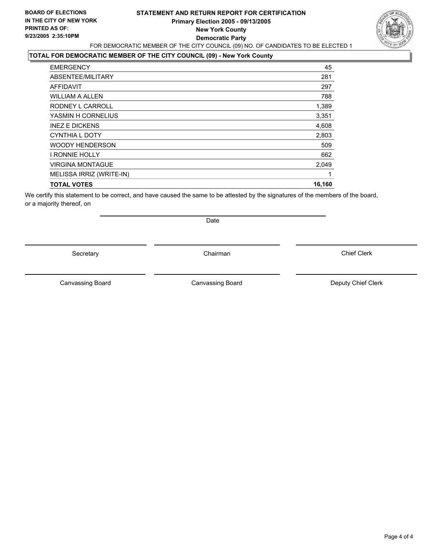### **STATEMENT AND RETURN REPORT FOR CERTIFICATION Primary Election 2005 - 09/13/2005 New York County Democratic Party** FOR DEMOCRATIC MEMBER OF THE CITY COUNCIL (09) NO. OF CANDIDATES TO BE ELECTED 1



## **TOTAL FOR DEMOCRATIC MEMBER OF THE CITY COUNCIL (09) - New York County**

| <b>EMERGENCY</b>         | 45     |
|--------------------------|--------|
| ABSENTEE/MILITARY        | 281    |
| AFFIDAVIT                | 297    |
| <b>WILLIAM A ALLEN</b>   | 788    |
| RODNEY L CARROLL         | 1,389  |
| YASMIN H CORNELIUS       | 3,351  |
| <b>INEZ E DICKENS</b>    | 4,608  |
| <b>CYNTHIA L DOTY</b>    | 2,803  |
| <b>WOODY HENDERSON</b>   | 509    |
| <b>I RONNIE HOLLY</b>    | 662    |
| <b>VIRGINA MONTAGUE</b>  | 2,049  |
| MELISSA IRRIZ (WRITE-IN) |        |
| <b>TOTAL VOTES</b>       | 16,160 |
|                          |        |

We certify this statement to be correct, and have caused the same to be attested by the signatures of the members of the board, or a majority thereof, on

Secretary **Chairman** 

Date

Canvassing Board Canvassing Board **Canvassing Board** Canvassing Board **Deputy Chief Clerk**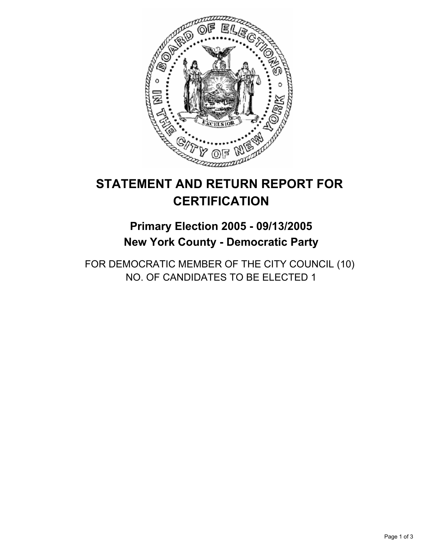

# **Primary Election 2005 - 09/13/2005 New York County - Democratic Party**

FOR DEMOCRATIC MEMBER OF THE CITY COUNCIL (10) NO. OF CANDIDATES TO BE ELECTED 1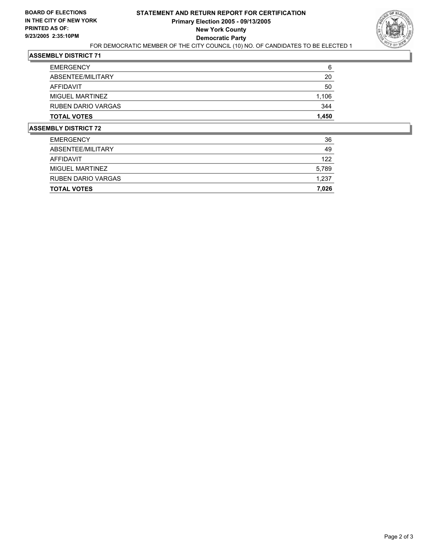

| <b>EMERGENCY</b>          | 6     |
|---------------------------|-------|
| ABSENTEE/MILITARY         | 20    |
| AFFIDAVIT                 | 50    |
| MIGUEL MARTINEZ           | 1,106 |
| <b>RUBEN DARIO VARGAS</b> | 344   |
| <b>TOTAL VOTES</b>        | 1,450 |

| <b>TOTAL VOTES</b>        | 7,026 |
|---------------------------|-------|
| <b>RUBEN DARIO VARGAS</b> | 1,237 |
| MIGUEL MARTINEZ           | 5,789 |
| AFFIDAVIT                 | 122   |
| ABSENTEE/MILITARY         | 49    |
| <b>EMERGENCY</b>          | 36    |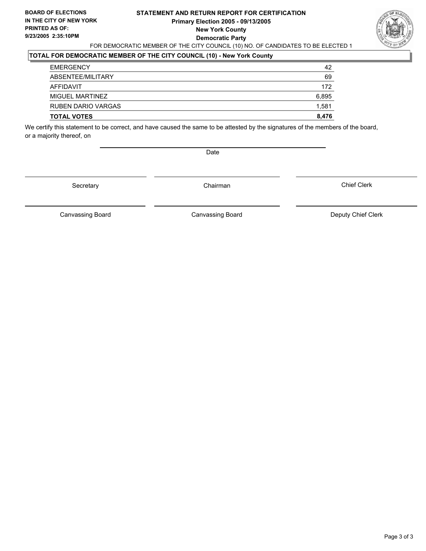#### **STATEMENT AND RETURN REPORT FOR CERTIFICATION Primary Election 2005 - 09/13/2005 New York County Democratic Party** FOR DEMOCRATIC MEMBER OF THE CITY COUNCIL (10) NO. OF CANDIDATES TO BE ELECTED 1



## **TOTAL FOR DEMOCRATIC MEMBER OF THE CITY COUNCIL (10) - New York County**

| <b>TOTAL VOTES</b> | 8,476 |
|--------------------|-------|
| RUBEN DARIO VARGAS | 1,581 |
| MIGUEL MARTINEZ    | 6,895 |
| AFFIDAVIT          | 172   |
| ABSENTEE/MILITARY  | 69    |
| <b>EMERGENCY</b>   | 42    |

We certify this statement to be correct, and have caused the same to be attested by the signatures of the members of the board, or a majority thereof, on

Date

Secretary Chairman

Canvassing Board **Canvassing Board** Canvassing Board **Deputy Chief Clerk** 

Canvassing Board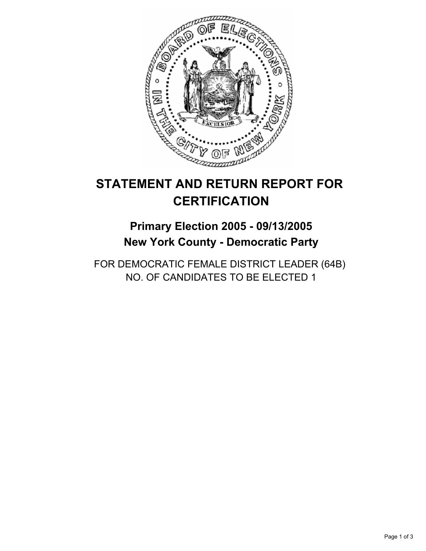

# **Primary Election 2005 - 09/13/2005 New York County - Democratic Party**

FOR DEMOCRATIC FEMALE DISTRICT LEADER (64B) NO. OF CANDIDATES TO BE ELECTED 1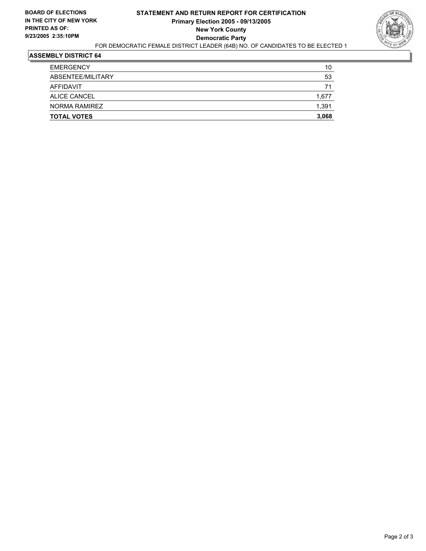

| <b>TOTAL VOTES</b> | 3,068 |
|--------------------|-------|
| NORMA RAMIREZ      | 1,391 |
| ALICE CANCEL       | 1,677 |
| AFFIDAVIT          | 71    |
| ABSENTEE/MILITARY  | 53    |
| <b>EMERGENCY</b>   | 10    |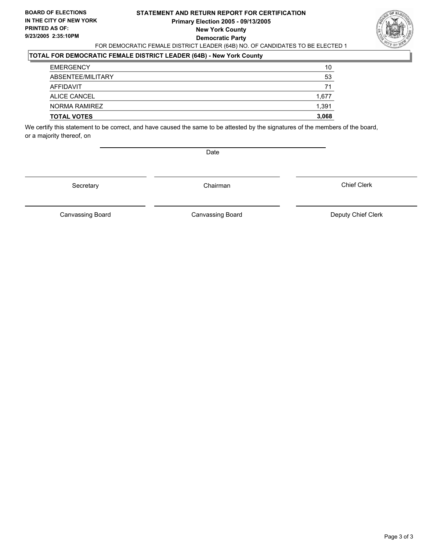#### **STATEMENT AND RETURN REPORT FOR CERTIFICATION Primary Election 2005 - 09/13/2005 New York County Democratic Party** FOR DEMOCRATIC FEMALE DISTRICT LEADER (64B) NO. OF CANDIDATES TO BE ELECTED 1



## **TOTAL FOR DEMOCRATIC FEMALE DISTRICT LEADER (64B) - New York County**

| <b>TOTAL VOTES</b>  | 3,068 |
|---------------------|-------|
| NORMA RAMIREZ       | 1,391 |
| <b>ALICE CANCEL</b> | 1,677 |
| AFFIDAVIT           | 71    |
| ABSENTEE/MILITARY   | 53    |
| <b>EMERGENCY</b>    | 10    |

We certify this statement to be correct, and have caused the same to be attested by the signatures of the members of the board, or a majority thereof, on

Date

Secretary Chairman

Canvassing Board **Canvassing Board** Canvassing Board **Deputy Chief Clerk** 

Canvassing Board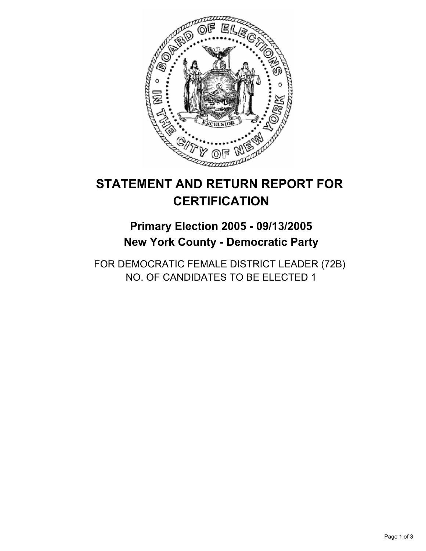

# **Primary Election 2005 - 09/13/2005 New York County - Democratic Party**

FOR DEMOCRATIC FEMALE DISTRICT LEADER (72B) NO. OF CANDIDATES TO BE ELECTED 1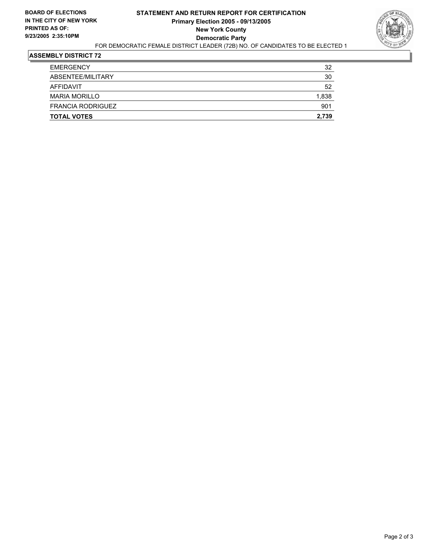

| <b>TOTAL VOTES</b>       | 2,739 |
|--------------------------|-------|
| <b>FRANCIA RODRIGUEZ</b> | 901   |
| <b>MARIA MORILLO</b>     | 1,838 |
| AFFIDAVIT                | 52    |
| ABSENTEE/MILITARY        | 30    |
| <b>EMERGENCY</b>         | 32    |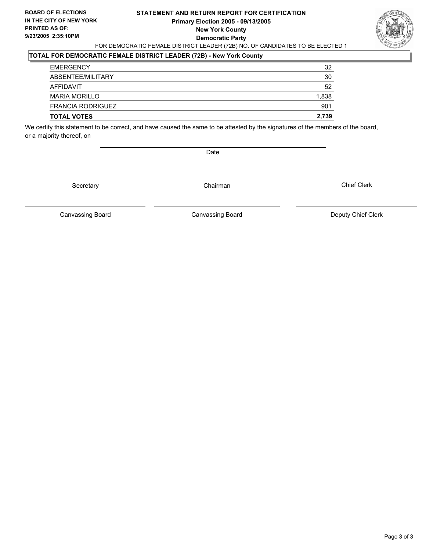#### **STATEMENT AND RETURN REPORT FOR CERTIFICATION Primary Election 2005 - 09/13/2005 New York County Democratic Party** FOR DEMOCRATIC FEMALE DISTRICT LEADER (72B) NO. OF CANDIDATES TO BE ELECTED 1



## **TOTAL FOR DEMOCRATIC FEMALE DISTRICT LEADER (72B) - New York County**

| <b>TOTAL VOTES</b>       | 2,739 |
|--------------------------|-------|
| <b>FRANCIA RODRIGUEZ</b> | 901   |
| <b>MARIA MORILLO</b>     | 1,838 |
| AFFIDAVIT                | 52    |
| ABSENTEE/MILITARY        | 30    |
| <b>EMERGENCY</b>         | 32    |

We certify this statement to be correct, and have caused the same to be attested by the signatures of the members of the board, or a majority thereof, on

Date

Secretary Chairman

Canvassing Board Canvassing Board **Canvassing Board** Canvassing Board **Deputy Chief Clerk**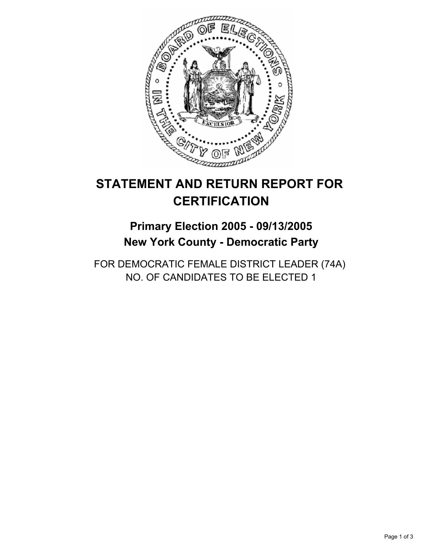

# **Primary Election 2005 - 09/13/2005 New York County - Democratic Party**

FOR DEMOCRATIC FEMALE DISTRICT LEADER (74A) NO. OF CANDIDATES TO BE ELECTED 1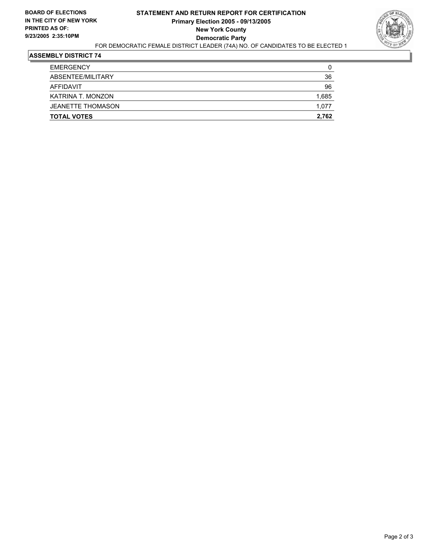

| <b>TOTAL VOTES</b>       | 2,762 |
|--------------------------|-------|
| <b>JEANETTE THOMASON</b> | 1,077 |
| KATRINA T. MONZON        | 1,685 |
| AFFIDAVIT                | 96    |
| ABSENTEE/MILITARY        | 36    |
| <b>EMERGENCY</b>         | 0     |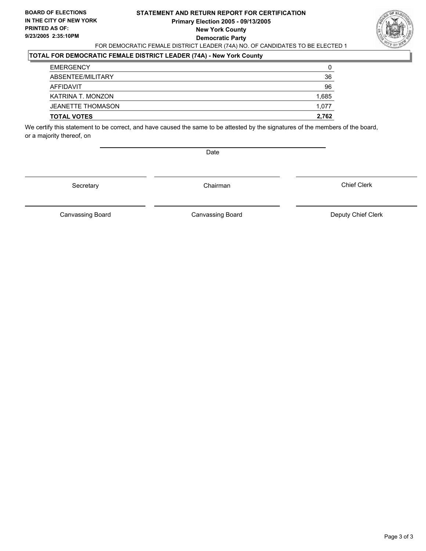#### **STATEMENT AND RETURN REPORT FOR CERTIFICATION Primary Election 2005 - 09/13/2005 New York County Democratic Party** FOR DEMOCRATIC FEMALE DISTRICT LEADER (74A) NO. OF CANDIDATES TO BE ELECTED 1



## **TOTAL FOR DEMOCRATIC FEMALE DISTRICT LEADER (74A) - New York County**

| <b>EMERGENCY</b>         | 0     |
|--------------------------|-------|
| ABSENTEE/MILITARY        | 36    |
| AFFIDAVIT                | 96    |
| KATRINA T. MONZON        | 1,685 |
| <b>JEANETTE THOMASON</b> | 1,077 |
| <b>TOTAL VOTES</b>       | 2,762 |

We certify this statement to be correct, and have caused the same to be attested by the signatures of the members of the board, or a majority thereof, on

Date

Secretary Chairman

Canvassing Board **Canvassing Board** Canvassing Board **Deputy Chief Clerk** 

Canvassing Board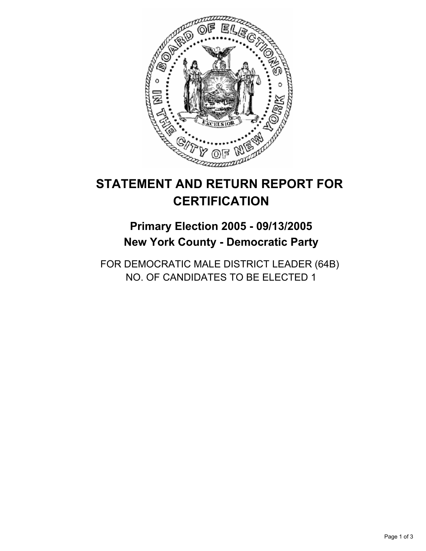

# **Primary Election 2005 - 09/13/2005 New York County - Democratic Party**

FOR DEMOCRATIC MALE DISTRICT LEADER (64B) NO. OF CANDIDATES TO BE ELECTED 1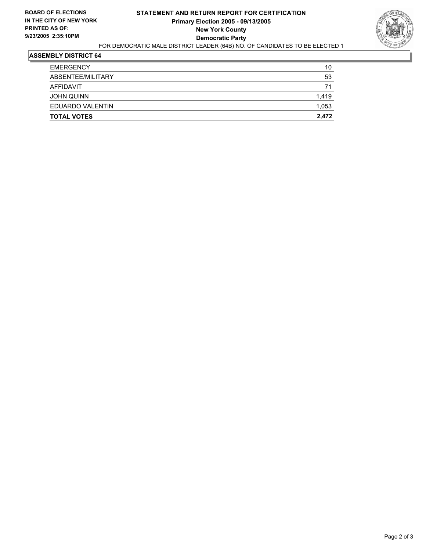

| <b>TOTAL VOTES</b> | 2,472 |
|--------------------|-------|
| EDUARDO VALENTIN   | 1,053 |
| <b>JOHN QUINN</b>  | 1,419 |
| AFFIDAVIT          | 71    |
| ABSENTEE/MILITARY  | 53    |
| EMERGENCY          | 10    |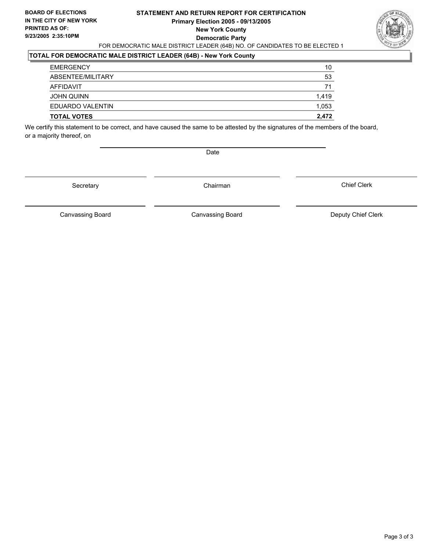#### **STATEMENT AND RETURN REPORT FOR CERTIFICATION Primary Election 2005 - 09/13/2005 New York County Democratic Party** FOR DEMOCRATIC MALE DISTRICT LEADER (64B) NO. OF CANDIDATES TO BE ELECTED 1



## **TOTAL FOR DEMOCRATIC MALE DISTRICT LEADER (64B) - New York County**

| <b>TOTAL VOTES</b> | 2,472 |
|--------------------|-------|
| EDUARDO VALENTIN   | 1,053 |
| <b>JOHN QUINN</b>  | 1,419 |
| AFFIDAVIT          | 71    |
| ABSENTEE/MILITARY  | 53    |
| <b>EMERGENCY</b>   | 10    |

We certify this statement to be correct, and have caused the same to be attested by the signatures of the members of the board, or a majority thereof, on

Date

Secretary Chairman

Canvassing Board **Canvassing Board** Canvassing Board **Deputy Chief Clerk** 

Canvassing Board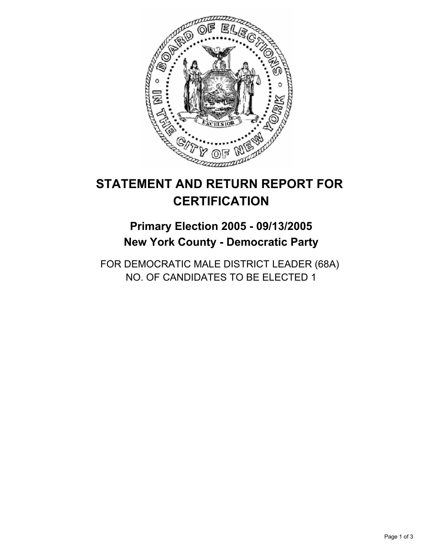

# **Primary Election 2005 - 09/13/2005 New York County - Democratic Party**

FOR DEMOCRATIC MALE DISTRICT LEADER (68A) NO. OF CANDIDATES TO BE ELECTED 1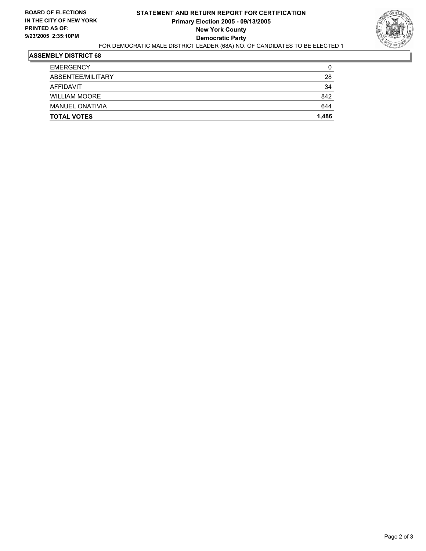

| <b>TOTAL VOTES</b>     | 1,486 |
|------------------------|-------|
| <b>MANUEL ONATIVIA</b> | 644   |
| <b>WILLIAM MOORE</b>   | 842   |
| AFFIDAVIT              | 34    |
| ABSENTEE/MILITARY      | 28    |
| <b>EMERGENCY</b>       | 0     |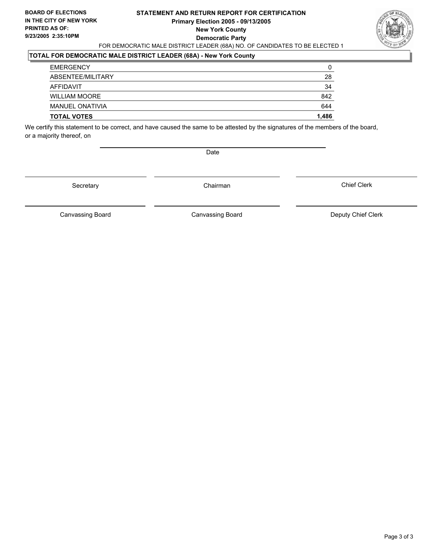#### **STATEMENT AND RETURN REPORT FOR CERTIFICATION Primary Election 2005 - 09/13/2005 New York County Democratic Party** FOR DEMOCRATIC MALE DISTRICT LEADER (68A) NO. OF CANDIDATES TO BE ELECTED 1



## **TOTAL FOR DEMOCRATIC MALE DISTRICT LEADER (68A) - New York County**

| <b>TOTAL VOTES</b>     | 1,486 |
|------------------------|-------|
| <b>MANUEL ONATIVIA</b> | 644   |
| <b>WILLIAM MOORE</b>   | 842   |
| AFFIDAVIT              | 34    |
| ABSENTEE/MILITARY      | 28    |
| <b>EMERGENCY</b>       | 0     |

We certify this statement to be correct, and have caused the same to be attested by the signatures of the members of the board, or a majority thereof, on

Date

Secretary Chairman

Canvassing Board **Canvassing Board** Canvassing Board **Deputy Chief Clerk** 

Canvassing Board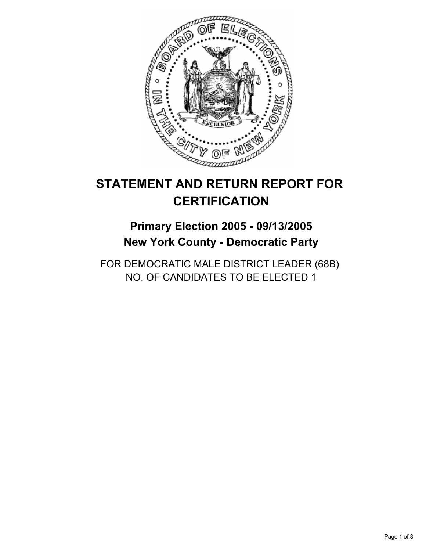

# **Primary Election 2005 - 09/13/2005 New York County - Democratic Party**

FOR DEMOCRATIC MALE DISTRICT LEADER (68B) NO. OF CANDIDATES TO BE ELECTED 1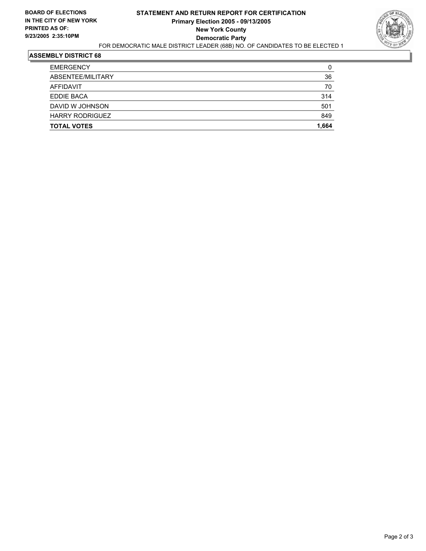

| AFFIDAVIT              | 70    |
|------------------------|-------|
| <b>EDDIE BACA</b>      | 314   |
| DAVID W JOHNSON        | 501   |
| <b>HARRY RODRIGUEZ</b> | 849   |
| <b>TOTAL VOTES</b>     | 1,664 |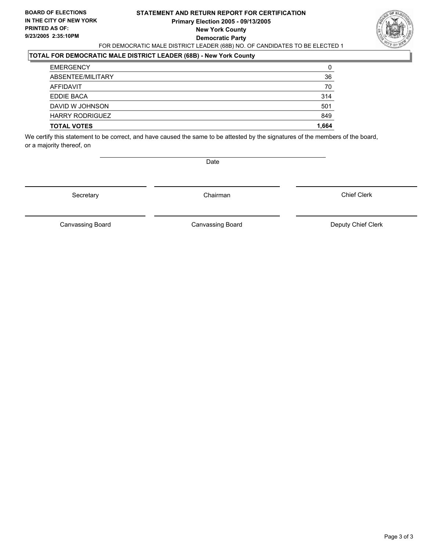#### **STATEMENT AND RETURN REPORT FOR CERTIFICATION Primary Election 2005 - 09/13/2005 New York County Democratic Party** FOR DEMOCRATIC MALE DISTRICT LEADER (68B) NO. OF CANDIDATES TO BE ELECTED 1



#### **TOTAL FOR DEMOCRATIC MALE DISTRICT LEADER (68B) - New York County**

| <b>EMERGENCY</b>       | 0     |
|------------------------|-------|
| ABSENTEE/MILITARY      | 36    |
| AFFIDAVIT              | 70    |
| EDDIE BACA             | 314   |
| DAVID W JOHNSON        | 501   |
| <b>HARRY RODRIGUEZ</b> | 849   |
| <b>TOTAL VOTES</b>     | 1,664 |
|                        |       |

We certify this statement to be correct, and have caused the same to be attested by the signatures of the members of the board, or a majority thereof, on

Date

Secretary **Chairman** 

Chief Clerk

Canvassing Board **Canvassing Board** Canvassing Board **Deputy Chief Clerk** 

Canvassing Board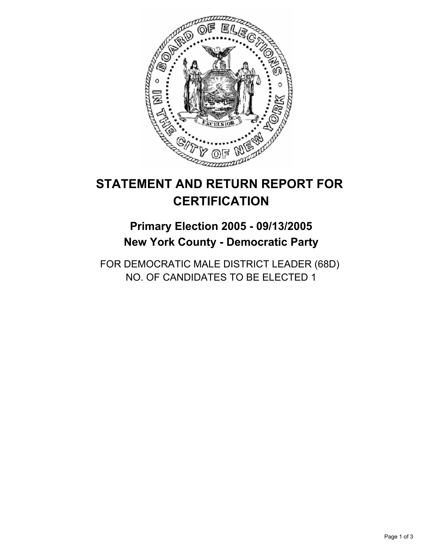

# **Primary Election 2005 - 09/13/2005 New York County - Democratic Party**

FOR DEMOCRATIC MALE DISTRICT LEADER (68D) NO. OF CANDIDATES TO BE ELECTED 1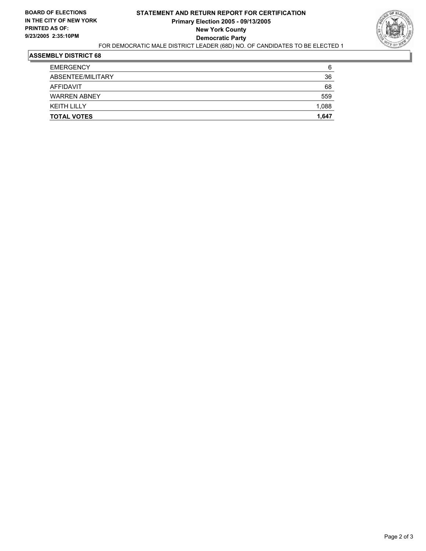

| <b>TOTAL VOTES</b>  | 1,647 |
|---------------------|-------|
| <b>KEITH LILLY</b>  | 1,088 |
| <b>WARREN ABNEY</b> | 559   |
| AFFIDAVIT           | 68    |
| ABSENTEE/MILITARY   | 36    |
| <b>EMERGENCY</b>    | 6     |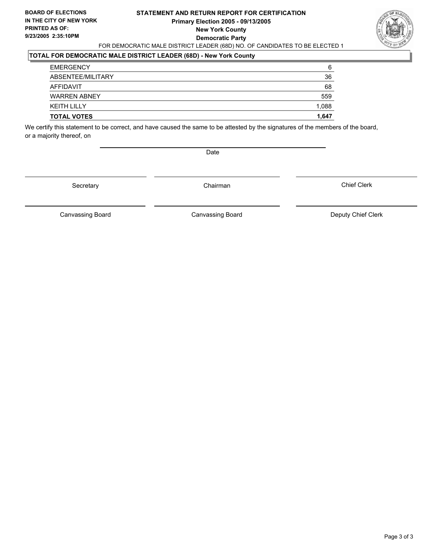#### **STATEMENT AND RETURN REPORT FOR CERTIFICATION Primary Election 2005 - 09/13/2005 New York County Democratic Party** FOR DEMOCRATIC MALE DISTRICT LEADER (68D) NO. OF CANDIDATES TO BE ELECTED 1



## **TOTAL FOR DEMOCRATIC MALE DISTRICT LEADER (68D) - New York County**

| <b>TOTAL VOTES</b>  | 1,647 |
|---------------------|-------|
| <b>KEITH LILLY</b>  | 1,088 |
| <b>WARREN ABNEY</b> | 559   |
| AFFIDAVIT           | 68    |
| ABSENTEE/MILITARY   | 36    |
| <b>EMERGENCY</b>    | 6     |

We certify this statement to be correct, and have caused the same to be attested by the signatures of the members of the board, or a majority thereof, on

Date

Secretary Chairman

Canvassing Board **Canvassing Board** Canvassing Board **Deputy Chief Clerk** 

Canvassing Board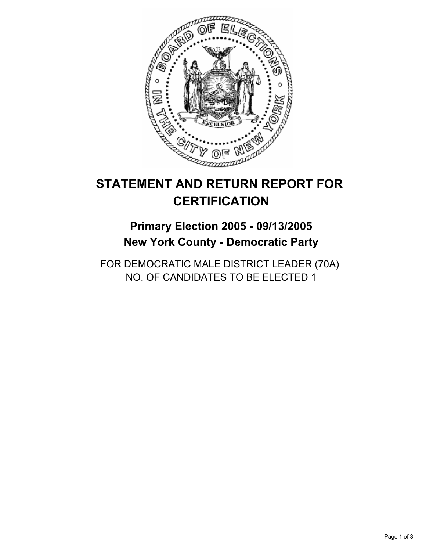

## **Primary Election 2005 - 09/13/2005 New York County - Democratic Party**

FOR DEMOCRATIC MALE DISTRICT LEADER (70A) NO. OF CANDIDATES TO BE ELECTED 1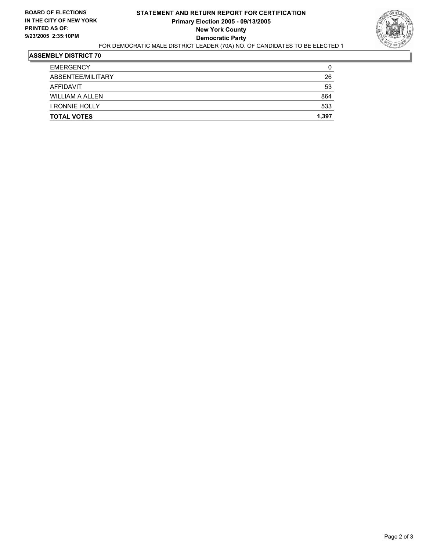

| <b>EMERGENCY</b>      | 0     |
|-----------------------|-------|
| ABSENTEE/MILITARY     | 26    |
| AFFIDAVIT             | 53    |
| WILLIAM A ALLEN       | 864   |
| <b>I RONNIE HOLLY</b> | 533   |
| <b>TOTAL VOTES</b>    | 1,397 |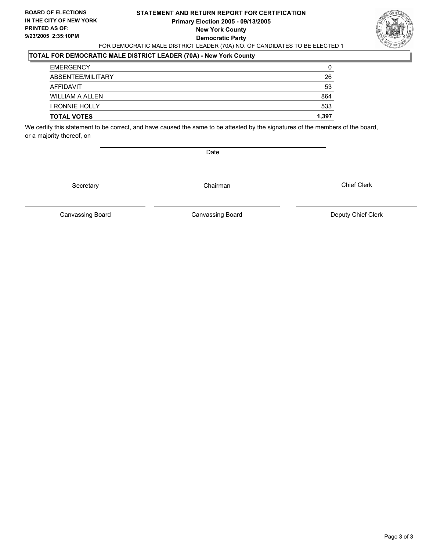#### **STATEMENT AND RETURN REPORT FOR CERTIFICATION Primary Election 2005 - 09/13/2005 New York County Democratic Party** FOR DEMOCRATIC MALE DISTRICT LEADER (70A) NO. OF CANDIDATES TO BE ELECTED 1



### **TOTAL FOR DEMOCRATIC MALE DISTRICT LEADER (70A) - New York County**

| <b>TOTAL VOTES</b>     | 1,397 |
|------------------------|-------|
| <b>I RONNIE HOLLY</b>  | 533   |
| <b>WILLIAM A ALLEN</b> | 864   |
| AFFIDAVIT              | 53    |
| ABSENTEE/MILITARY      | 26    |
| <b>EMERGENCY</b>       | 0     |

We certify this statement to be correct, and have caused the same to be attested by the signatures of the members of the board, or a majority thereof, on

Date

Secretary Chairman

Canvassing Board Canvassing Board **Canvassing Board** Canvassing Board **Deputy Chief Clerk** 

Chief Clerk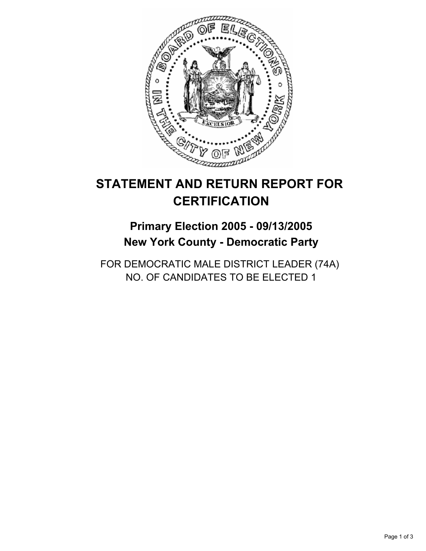

## **Primary Election 2005 - 09/13/2005 New York County - Democratic Party**

FOR DEMOCRATIC MALE DISTRICT LEADER (74A) NO. OF CANDIDATES TO BE ELECTED 1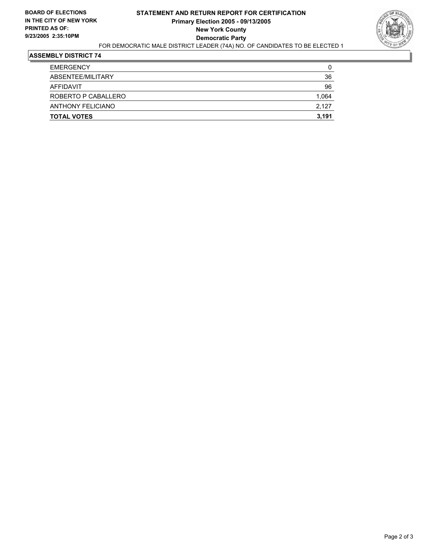

| <b>TOTAL VOTES</b>       | 3,191 |
|--------------------------|-------|
| <b>ANTHONY FELICIANO</b> | 2,127 |
| ROBERTO P CABALLERO      | 1,064 |
| AFFIDAVIT                | 96    |
| ABSENTEE/MILITARY        | 36    |
| <b>EMERGENCY</b>         | 0     |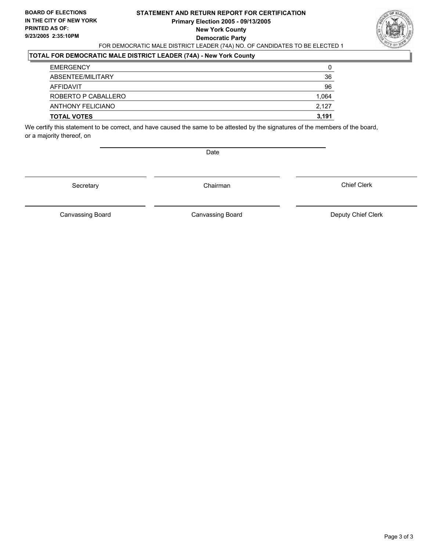#### **STATEMENT AND RETURN REPORT FOR CERTIFICATION Primary Election 2005 - 09/13/2005 New York County Democratic Party** FOR DEMOCRATIC MALE DISTRICT LEADER (74A) NO. OF CANDIDATES TO BE ELECTED 1



### **TOTAL FOR DEMOCRATIC MALE DISTRICT LEADER (74A) - New York County**

| <b>EMERGENCY</b>         | 0     |
|--------------------------|-------|
| ABSENTEE/MILITARY        | 36    |
| AFFIDAVIT                | 96    |
| ROBERTO P CABALLERO      | 1,064 |
| <b>ANTHONY FELICIANO</b> | 2,127 |
| <b>TOTAL VOTES</b>       | 3,191 |

We certify this statement to be correct, and have caused the same to be attested by the signatures of the members of the board, or a majority thereof, on

Date

Secretary Chairman

Canvassing Board **Canvassing Board** Canvassing Board **Deputy Chief Clerk** 

Canvassing Board

Chief Clerk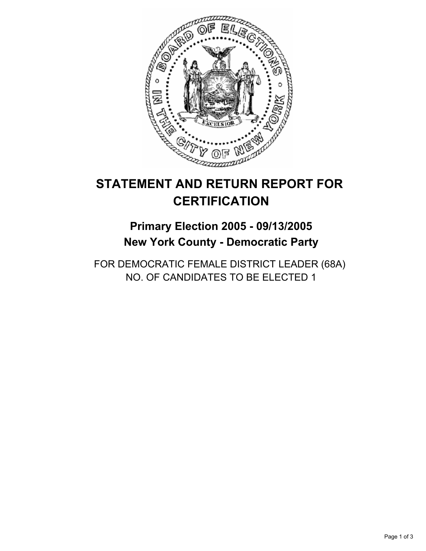

## **Primary Election 2005 - 09/13/2005 New York County - Democratic Party**

FOR DEMOCRATIC FEMALE DISTRICT LEADER (68A) NO. OF CANDIDATES TO BE ELECTED 1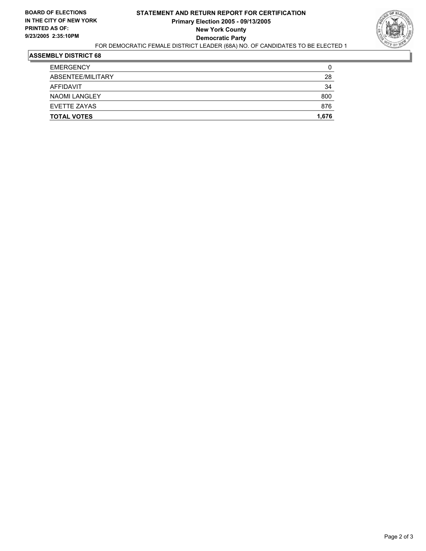

| <b>TOTAL VOTES</b>   | 1,676 |
|----------------------|-------|
| EVETTE ZAYAS         | 876   |
| <b>NAOMI LANGLEY</b> | 800   |
| AFFIDAVIT            | 34    |
| ABSENTEE/MILITARY    | 28    |
| <b>EMERGENCY</b>     | 0     |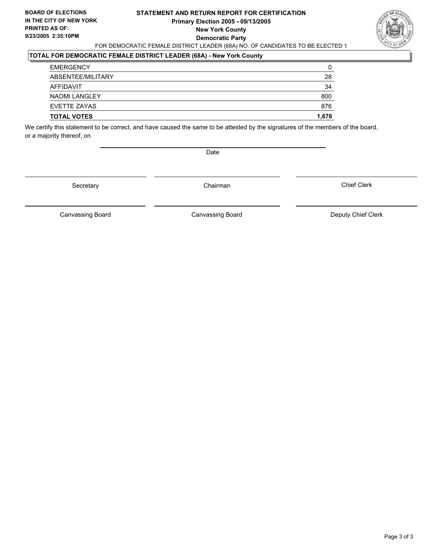#### **STATEMENT AND RETURN REPORT FOR CERTIFICATION Primary Election 2005 - 09/13/2005 New York County Democratic Party** FOR DEMOCRATIC FEMALE DISTRICT LEADER (68A) NO. OF CANDIDATES TO BE ELECTED 1



### **TOTAL FOR DEMOCRATIC FEMALE DISTRICT LEADER (68A) - New York County**

| <b>TOTAL VOTES</b>   | 1,676 |
|----------------------|-------|
| EVETTE ZAYAS         | 876   |
| <b>NAOMI LANGLEY</b> | 800   |
| AFFIDAVIT            | 34    |
| ABSENTEE/MILITARY    | 28    |
| <b>EMERGENCY</b>     | 0     |

We certify this statement to be correct, and have caused the same to be attested by the signatures of the members of the board, or a majority thereof, on

Date

Secretary Chairman

Canvassing Board **Canvassing Board** Canvassing Board **Deputy Chief Clerk** 

Canvassing Board

Chief Clerk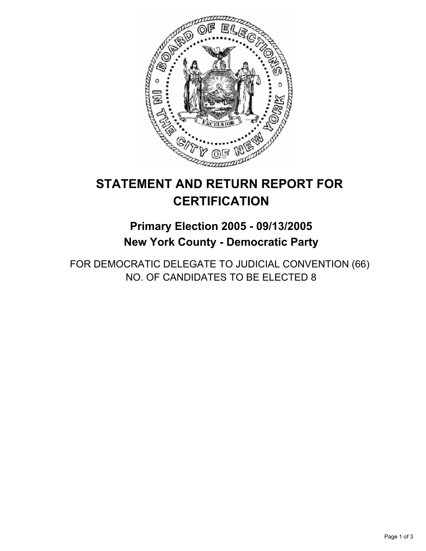

## **Primary Election 2005 - 09/13/2005 New York County - Democratic Party**

FOR DEMOCRATIC DELEGATE TO JUDICIAL CONVENTION (66) NO. OF CANDIDATES TO BE ELECTED 8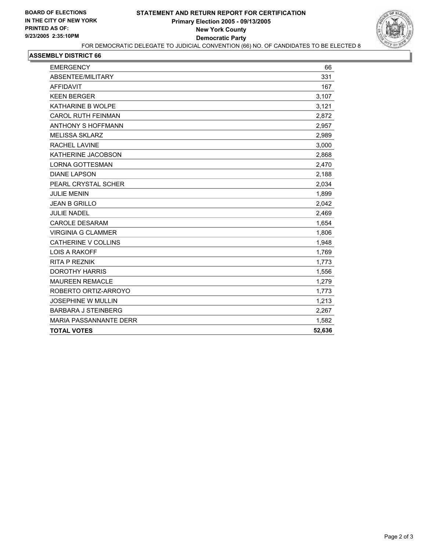

| <b>EMERGENCY</b>              | 66     |
|-------------------------------|--------|
| ABSENTEE/MILITARY             | 331    |
| <b>AFFIDAVIT</b>              | 167    |
| <b>KEEN BERGER</b>            | 3,107  |
| KATHARINE B WOLPE             | 3,121  |
| <b>CAROL RUTH FEINMAN</b>     | 2,872  |
| <b>ANTHONY S HOFFMANN</b>     | 2,957  |
| <b>MELISSA SKLARZ</b>         | 2,989  |
| <b>RACHEL LAVINE</b>          | 3,000  |
| KATHERINE JACOBSON            | 2,868  |
| <b>LORNA GOTTESMAN</b>        | 2,470  |
| <b>DIANE LAPSON</b>           | 2,188  |
| PEARL CRYSTAL SCHER           | 2,034  |
| <b>JULIE MENIN</b>            | 1,899  |
| <b>JEAN B GRILLO</b>          | 2,042  |
| <b>JULIE NADEL</b>            | 2,469  |
| <b>CAROLE DESARAM</b>         | 1,654  |
| <b>VIRGINIA G CLAMMER</b>     | 1,806  |
| <b>CATHERINE V COLLINS</b>    | 1,948  |
| <b>LOIS A RAKOFF</b>          | 1,769  |
| <b>RITA P REZNIK</b>          | 1,773  |
| <b>DOROTHY HARRIS</b>         | 1,556  |
| <b>MAUREEN REMACLE</b>        | 1,279  |
| ROBERTO ORTIZ-ARROYO          | 1,773  |
| <b>JOSEPHINE W MULLIN</b>     | 1,213  |
| <b>BARBARA J STEINBERG</b>    | 2,267  |
| <b>MARIA PASSANNANTE DERR</b> | 1,582  |
| <b>TOTAL VOTES</b>            | 52,636 |
|                               |        |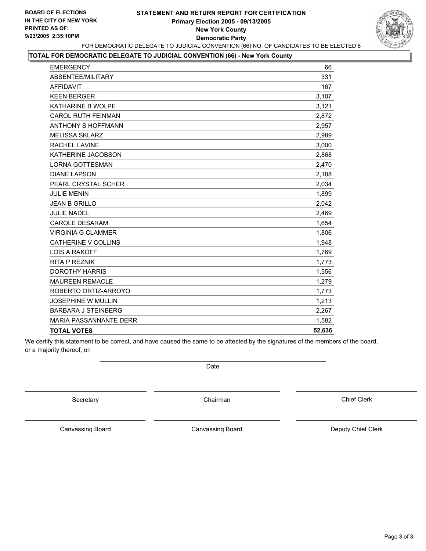#### **STATEMENT AND RETURN REPORT FOR CERTIFICATION Primary Election 2005 - 09/13/2005 New York County Democratic Party** FOR DEMOCRATIC DELEGATE TO JUDICIAL CONVENTION (66) NO. OF CANDIDATES TO BE ELECTED 8



#### **TOTAL FOR DEMOCRATIC DELEGATE TO JUDICIAL CONVENTION (66) - New York County**

| <b>EMERGENCY</b>              | 66     |
|-------------------------------|--------|
| ABSENTEE/MILITARY             | 331    |
| <b>AFFIDAVIT</b>              | 167    |
| <b>KEEN BERGER</b>            | 3,107  |
| KATHARINE B WOLPE             | 3,121  |
| <b>CAROL RUTH FEINMAN</b>     | 2,872  |
| <b>ANTHONY S HOFFMANN</b>     | 2,957  |
| <b>MELISSA SKLARZ</b>         | 2,989  |
| <b>RACHEL LAVINE</b>          | 3,000  |
| KATHERINE JACOBSON            | 2,868  |
| <b>LORNA GOTTESMAN</b>        | 2,470  |
| <b>DIANE LAPSON</b>           | 2,188  |
| PEARL CRYSTAL SCHER           | 2,034  |
| <b>JULIE MENIN</b>            | 1,899  |
| <b>JEAN B GRILLO</b>          | 2,042  |
| <b>JULIE NADEL</b>            | 2,469  |
| <b>CAROLE DESARAM</b>         | 1,654  |
| <b>VIRGINIA G CLAMMER</b>     | 1,806  |
| CATHERINE V COLLINS           | 1,948  |
| <b>LOIS A RAKOFF</b>          | 1,769  |
| <b>RITA P REZNIK</b>          | 1,773  |
| <b>DOROTHY HARRIS</b>         | 1,556  |
| <b>MAUREEN REMACLE</b>        | 1,279  |
| ROBERTO ORTIZ-ARROYO          | 1,773  |
| <b>JOSEPHINE W MULLIN</b>     | 1,213  |
| <b>BARBARA J STEINBERG</b>    | 2,267  |
| <b>MARIA PASSANNANTE DERR</b> | 1,582  |
| <b>TOTAL VOTES</b>            | 52,636 |

We certify this statement to be correct, and have caused the same to be attested by the signatures of the members of the board, or a majority thereof, on

Date

Secretary **Chairman** 

Chief Clerk

Canvassing Board

Canvassing Board **Canvassing Canvassing Board** Deputy Chief Clerk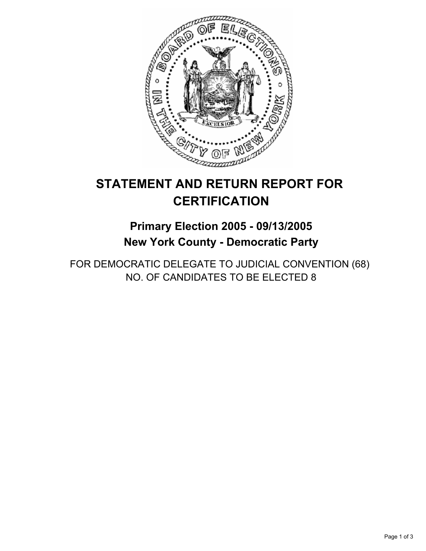

## **Primary Election 2005 - 09/13/2005 New York County - Democratic Party**

FOR DEMOCRATIC DELEGATE TO JUDICIAL CONVENTION (68) NO. OF CANDIDATES TO BE ELECTED 8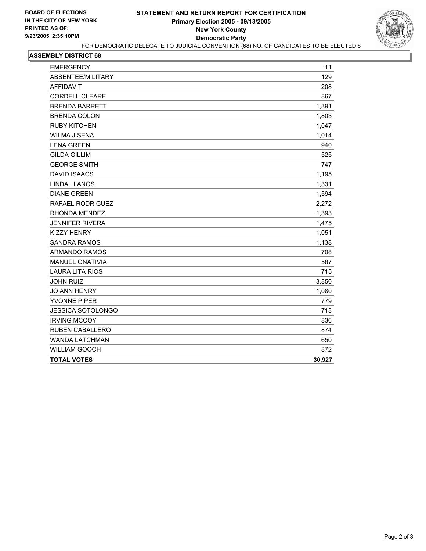

| 129<br>208<br><b>CORDELL CLEARE</b><br>867<br>1,391<br>1,803<br>1,047<br>1,014<br>940<br>525<br><b>GEORGE SMITH</b><br>747<br>1,195<br>1,331<br>1,594<br>2,272<br>1,393<br>1,475<br>1,051<br>1,138<br>708<br>587<br>715<br>3,850<br><b>JO ANN HENRY</b><br>1,060<br><b>YVONNE PIPER</b><br>779<br>713<br>836<br>874<br>650<br>372<br>30,927 | <b>EMERGENCY</b>         | 11 |
|---------------------------------------------------------------------------------------------------------------------------------------------------------------------------------------------------------------------------------------------------------------------------------------------------------------------------------------------|--------------------------|----|
|                                                                                                                                                                                                                                                                                                                                             | ABSENTEE/MILITARY        |    |
|                                                                                                                                                                                                                                                                                                                                             | <b>AFFIDAVIT</b>         |    |
|                                                                                                                                                                                                                                                                                                                                             |                          |    |
|                                                                                                                                                                                                                                                                                                                                             | <b>BRENDA BARRETT</b>    |    |
|                                                                                                                                                                                                                                                                                                                                             | <b>BRENDA COLON</b>      |    |
|                                                                                                                                                                                                                                                                                                                                             | <b>RUBY KITCHEN</b>      |    |
|                                                                                                                                                                                                                                                                                                                                             | <b>WILMA J SENA</b>      |    |
|                                                                                                                                                                                                                                                                                                                                             | <b>LENA GREEN</b>        |    |
|                                                                                                                                                                                                                                                                                                                                             | <b>GILDA GILLIM</b>      |    |
|                                                                                                                                                                                                                                                                                                                                             |                          |    |
|                                                                                                                                                                                                                                                                                                                                             | <b>DAVID ISAACS</b>      |    |
|                                                                                                                                                                                                                                                                                                                                             | <b>LINDA LLANOS</b>      |    |
|                                                                                                                                                                                                                                                                                                                                             | <b>DIANE GREEN</b>       |    |
|                                                                                                                                                                                                                                                                                                                                             | <b>RAFAEL RODRIGUEZ</b>  |    |
|                                                                                                                                                                                                                                                                                                                                             | RHONDA MENDEZ            |    |
|                                                                                                                                                                                                                                                                                                                                             | <b>JENNIFER RIVERA</b>   |    |
|                                                                                                                                                                                                                                                                                                                                             | <b>KIZZY HENRY</b>       |    |
|                                                                                                                                                                                                                                                                                                                                             | <b>SANDRA RAMOS</b>      |    |
|                                                                                                                                                                                                                                                                                                                                             | <b>ARMANDO RAMOS</b>     |    |
|                                                                                                                                                                                                                                                                                                                                             | <b>MANUEL ONATIVIA</b>   |    |
|                                                                                                                                                                                                                                                                                                                                             | <b>LAURA LITA RIOS</b>   |    |
|                                                                                                                                                                                                                                                                                                                                             | <b>JOHN RUIZ</b>         |    |
|                                                                                                                                                                                                                                                                                                                                             |                          |    |
|                                                                                                                                                                                                                                                                                                                                             |                          |    |
|                                                                                                                                                                                                                                                                                                                                             | <b>JESSICA SOTOLONGO</b> |    |
|                                                                                                                                                                                                                                                                                                                                             | <b>IRVING MCCOY</b>      |    |
|                                                                                                                                                                                                                                                                                                                                             | <b>RUBEN CABALLERO</b>   |    |
|                                                                                                                                                                                                                                                                                                                                             | <b>WANDA LATCHMAN</b>    |    |
|                                                                                                                                                                                                                                                                                                                                             | <b>WILLIAM GOOCH</b>     |    |
|                                                                                                                                                                                                                                                                                                                                             | <b>TOTAL VOTES</b>       |    |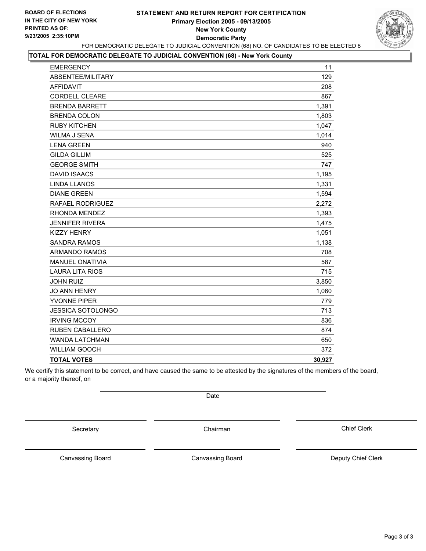#### **STATEMENT AND RETURN REPORT FOR CERTIFICATION Primary Election 2005 - 09/13/2005 New York County Democratic Party** FOR DEMOCRATIC DELEGATE TO JUDICIAL CONVENTION (68) NO. OF CANDIDATES TO BE ELECTED 8



#### **TOTAL FOR DEMOCRATIC DELEGATE TO JUDICIAL CONVENTION (68) - New York County**

| <b>EMERGENCY</b>       | 11     |
|------------------------|--------|
| ABSENTEE/MILITARY      | 129    |
| <b>AFFIDAVIT</b>       | 208    |
| <b>CORDELL CLEARE</b>  | 867    |
| <b>BRENDA BARRETT</b>  | 1,391  |
| <b>BRENDA COLON</b>    | 1,803  |
| <b>RUBY KITCHEN</b>    | 1,047  |
| <b>WILMA J SENA</b>    | 1,014  |
| <b>LENA GREEN</b>      | 940    |
| <b>GILDA GILLIM</b>    | 525    |
| <b>GEORGE SMITH</b>    | 747    |
| <b>DAVID ISAACS</b>    | 1,195  |
| <b>LINDA LLANOS</b>    | 1,331  |
| <b>DIANE GREEN</b>     | 1,594  |
| RAFAEL RODRIGUEZ       | 2,272  |
| RHONDA MENDEZ          | 1,393  |
| <b>JENNIFER RIVERA</b> | 1,475  |
| <b>KIZZY HENRY</b>     | 1,051  |
| <b>SANDRA RAMOS</b>    | 1,138  |
| <b>ARMANDO RAMOS</b>   | 708    |
| <b>MANUEL ONATIVIA</b> | 587    |
| <b>LAURA LITA RIOS</b> | 715    |
| <b>JOHN RUIZ</b>       | 3,850  |
| <b>JO ANN HENRY</b>    | 1,060  |
| <b>YVONNE PIPER</b>    | 779    |
| JESSICA SOTOLONGO      | 713    |
| <b>IRVING MCCOY</b>    | 836    |
| <b>RUBEN CABALLERO</b> | 874    |
| <b>WANDA LATCHMAN</b>  | 650    |
| <b>WILLIAM GOOCH</b>   | 372    |
| <b>TOTAL VOTES</b>     | 30,927 |

We certify this statement to be correct, and have caused the same to be attested by the signatures of the members of the board, or a majority thereof, on

Date

Secretary **Chairman** 

Chief Clerk

Canvassing Board Canvassing Board **Canvassing Board** Canvassing Board **Deputy Chief Clerk**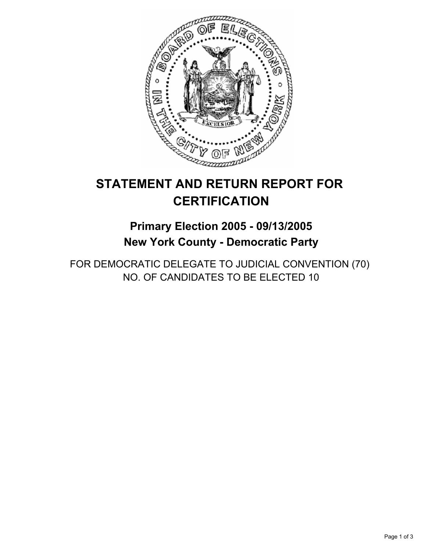

## **Primary Election 2005 - 09/13/2005 New York County - Democratic Party**

FOR DEMOCRATIC DELEGATE TO JUDICIAL CONVENTION (70) NO. OF CANDIDATES TO BE ELECTED 10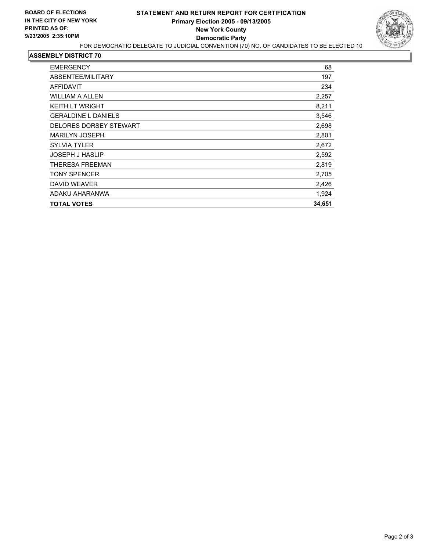

| <b>EMERGENCY</b>              | 68     |
|-------------------------------|--------|
| ABSENTEE/MILITARY             | 197    |
| <b>AFFIDAVIT</b>              | 234    |
| <b>WILLIAM A ALLEN</b>        | 2,257  |
| <b>KEITH LT WRIGHT</b>        | 8,211  |
| <b>GERALDINE L DANIELS</b>    | 3,546  |
| <b>DELORES DORSEY STEWART</b> | 2,698  |
| <b>MARILYN JOSEPH</b>         | 2,801  |
| <b>SYLVIA TYLER</b>           | 2,672  |
| <b>JOSEPH J HASLIP</b>        | 2,592  |
| <b>THERESA FREEMAN</b>        | 2,819  |
| <b>TONY SPENCER</b>           | 2,705  |
| <b>DAVID WEAVER</b>           | 2,426  |
| ADAKU AHARANWA                | 1,924  |
| <b>TOTAL VOTES</b>            | 34,651 |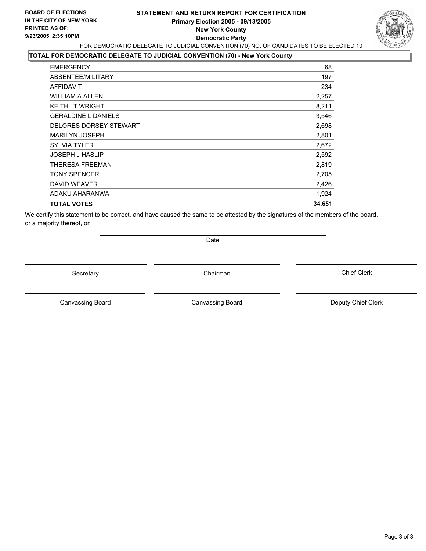#### **STATEMENT AND RETURN REPORT FOR CERTIFICATION Primary Election 2005 - 09/13/2005 New York County Democratic Party** FOR DEMOCRATIC DELEGATE TO JUDICIAL CONVENTION (70) NO. OF CANDIDATES TO BE ELECTED 10



### **TOTAL FOR DEMOCRATIC DELEGATE TO JUDICIAL CONVENTION (70) - New York County**

| <b>EMERGENCY</b>           | 68     |
|----------------------------|--------|
| ABSENTEE/MILITARY          | 197    |
| AFFIDAVIT                  | 234    |
| <b>WILLIAM A ALLEN</b>     | 2,257  |
| <b>KEITH LT WRIGHT</b>     | 8,211  |
| <b>GERALDINE L DANIELS</b> | 3,546  |
| DELORES DORSEY STEWART     | 2,698  |
| <b>MARILYN JOSEPH</b>      | 2,801  |
| <b>SYLVIA TYLER</b>        | 2,672  |
| <b>JOSEPH J HASLIP</b>     | 2,592  |
| THERESA FREEMAN            | 2,819  |
| <b>TONY SPENCER</b>        | 2,705  |
| <b>DAVID WEAVER</b>        | 2,426  |
| ADAKU AHARANWA             | 1,924  |
| <b>TOTAL VOTES</b>         | 34,651 |
|                            |        |

We certify this statement to be correct, and have caused the same to be attested by the signatures of the members of the board, or a majority thereof, on

Date

Secretary Chairman

Canvassing Board **Canvassing Board** Canvassing Board **Deputy Chief Clerk** 

Canvassing Board

Chief Clerk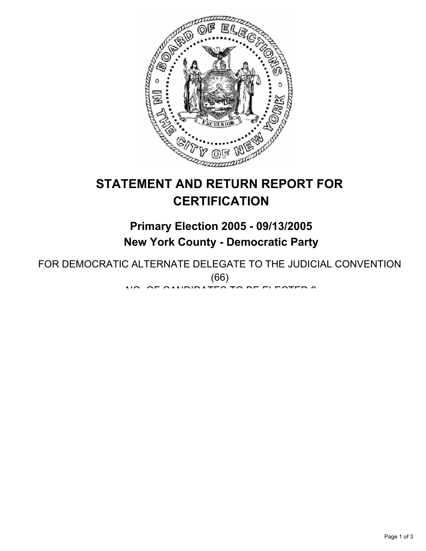

## **Primary Election 2005 - 09/13/2005 New York County - Democratic Party**

FOR DEMOCRATIC ALTERNATE DELEGATE TO THE JUDICIAL CONVENTION (66) NO. OF OILIDIDATES TO BE ELESTED 8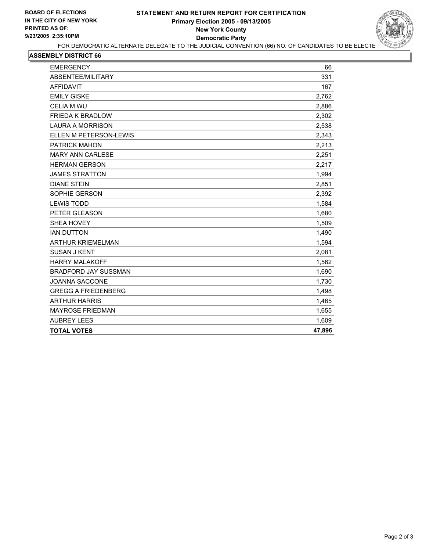

| 331<br>167<br>2,762<br>2,886<br>2,302<br>2,538<br>2,343<br>2,213<br>2,251<br>2,217<br>1,994<br>2,851<br>2,392<br>1,584<br>1,680<br>1,509<br>1,490<br>1,594<br>2,081<br>1,562<br>1,690<br>1,730<br>1,498<br>1,465<br>1,655<br>1,609<br>47,896 | <b>EMERGENCY</b>            | 66 |
|----------------------------------------------------------------------------------------------------------------------------------------------------------------------------------------------------------------------------------------------|-----------------------------|----|
|                                                                                                                                                                                                                                              | ABSENTEE/MILITARY           |    |
|                                                                                                                                                                                                                                              | <b>AFFIDAVIT</b>            |    |
|                                                                                                                                                                                                                                              | <b>EMILY GISKE</b>          |    |
|                                                                                                                                                                                                                                              | <b>CELIA M WU</b>           |    |
|                                                                                                                                                                                                                                              | FRIEDA K BRADLOW            |    |
|                                                                                                                                                                                                                                              | <b>LAURA A MORRISON</b>     |    |
|                                                                                                                                                                                                                                              | ELLEN M PETERSON-LEWIS      |    |
|                                                                                                                                                                                                                                              | <b>PATRICK MAHON</b>        |    |
|                                                                                                                                                                                                                                              | <b>MARY ANN CARLESE</b>     |    |
|                                                                                                                                                                                                                                              | <b>HERMAN GERSON</b>        |    |
|                                                                                                                                                                                                                                              | <b>JAMES STRATTON</b>       |    |
|                                                                                                                                                                                                                                              | <b>DIANE STEIN</b>          |    |
|                                                                                                                                                                                                                                              | SOPHIE GERSON               |    |
|                                                                                                                                                                                                                                              | <b>LEWIS TODD</b>           |    |
|                                                                                                                                                                                                                                              | PETER GLEASON               |    |
|                                                                                                                                                                                                                                              | SHEA HOVEY                  |    |
|                                                                                                                                                                                                                                              | <b>IAN DUTTON</b>           |    |
|                                                                                                                                                                                                                                              | <b>ARTHUR KRIEMELMAN</b>    |    |
|                                                                                                                                                                                                                                              | <b>SUSAN J KENT</b>         |    |
|                                                                                                                                                                                                                                              | <b>HARRY MALAKOFF</b>       |    |
|                                                                                                                                                                                                                                              | <b>BRADFORD JAY SUSSMAN</b> |    |
|                                                                                                                                                                                                                                              | <b>JOANNA SACCONE</b>       |    |
|                                                                                                                                                                                                                                              | <b>GREGG A FRIEDENBERG</b>  |    |
|                                                                                                                                                                                                                                              | <b>ARTHUR HARRIS</b>        |    |
|                                                                                                                                                                                                                                              | <b>MAYROSE FRIEDMAN</b>     |    |
|                                                                                                                                                                                                                                              | <b>AUBREY LEES</b>          |    |
|                                                                                                                                                                                                                                              | <b>TOTAL VOTES</b>          |    |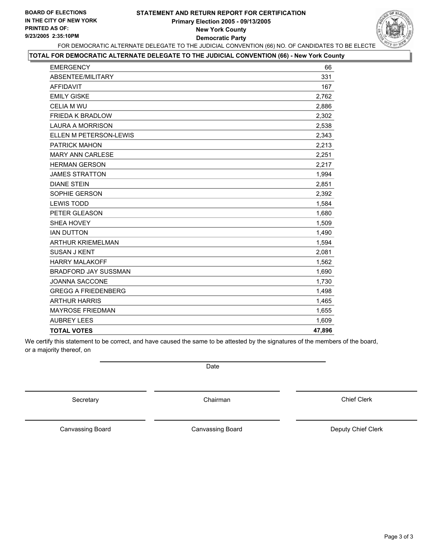### **STATEMENT AND RETURN REPORT FOR CERTIFICATION Primary Election 2005 - 09/13/2005 New York County Democratic Party**



FOR DEMOCRATIC ALTERNATE DELEGATE TO THE JUDICIAL CONVENTION (66) NO. OF CANDIDATES TO BE ELECTE

### **TOTAL FOR DEMOCRATIC ALTERNATE DELEGATE TO THE JUDICIAL CONVENTION (66) - New York County**

| <b>EMERGENCY</b>            | 66     |
|-----------------------------|--------|
| ABSENTEE/MILITARY           | 331    |
| <b>AFFIDAVIT</b>            | 167    |
| <b>EMILY GISKE</b>          | 2,762  |
| <b>CELIA M WU</b>           | 2.886  |
| <b>FRIEDA K BRADLOW</b>     | 2,302  |
| <b>LAURA A MORRISON</b>     | 2,538  |
| ELLEN M PETERSON-LEWIS      | 2,343  |
| <b>PATRICK MAHON</b>        | 2,213  |
| <b>MARY ANN CARLESE</b>     | 2,251  |
| <b>HERMAN GERSON</b>        | 2,217  |
| <b>JAMES STRATTON</b>       | 1,994  |
| <b>DIANE STEIN</b>          | 2,851  |
| SOPHIE GERSON               | 2.392  |
| <b>LEWIS TODD</b>           | 1,584  |
| PETER GLEASON               | 1,680  |
| SHEA HOVEY                  | 1,509  |
| <b>IAN DUTTON</b>           | 1,490  |
| ARTHUR KRIEMELMAN           | 1,594  |
| <b>SUSAN J KENT</b>         | 2,081  |
| <b>HARRY MALAKOFF</b>       | 1,562  |
| <b>BRADFORD JAY SUSSMAN</b> | 1,690  |
| <b>JOANNA SACCONE</b>       | 1,730  |
| <b>GREGG A FRIEDENBERG</b>  | 1,498  |
| <b>ARTHUR HARRIS</b>        | 1,465  |
| <b>MAYROSE FRIEDMAN</b>     | 1,655  |
| <b>AUBREY LEES</b>          | 1,609  |
| <b>TOTAL VOTES</b>          | 47,896 |

We certify this statement to be correct, and have caused the same to be attested by the signatures of the members of the board, or a majority thereof, on

Date

Secretary **Chairman** 

Chief Clerk

Canvassing Board

Canvassing Board **Canvassing Canvassing Board** Deputy Chief Clerk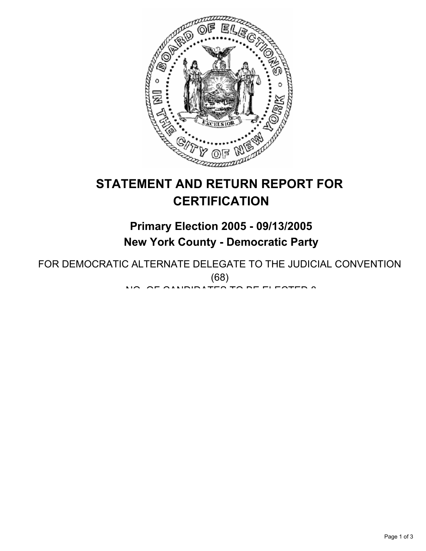

## **Primary Election 2005 - 09/13/2005 New York County - Democratic Party**

FOR DEMOCRATIC ALTERNATE DELEGATE TO THE JUDICIAL CONVENTION (68) NO. OF OILIDIDATES TO BE ELESTED 8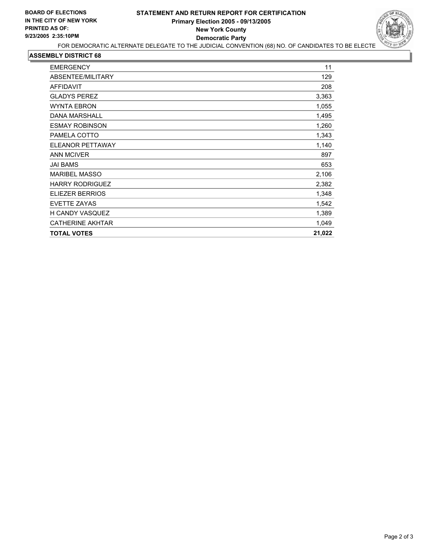

| <b>EMERGENCY</b>        | 11     |
|-------------------------|--------|
| ABSENTEE/MILITARY       | 129    |
| <b>AFFIDAVIT</b>        | 208    |
| <b>GLADYS PEREZ</b>     | 3,363  |
| <b>WYNTA EBRON</b>      | 1,055  |
| <b>DANA MARSHALL</b>    | 1,495  |
| <b>ESMAY ROBINSON</b>   | 1,260  |
| PAMELA COTTO            | 1,343  |
| <b>ELEANOR PETTAWAY</b> | 1,140  |
| <b>ANN MCIVER</b>       | 897    |
| <b>JAI BAMS</b>         | 653    |
| <b>MARIBEL MASSO</b>    | 2,106  |
| <b>HARRY RODRIGUEZ</b>  | 2,382  |
| ELIEZER BERRIOS         | 1,348  |
| <b>EVETTE ZAYAS</b>     | 1,542  |
| <b>H CANDY VASQUEZ</b>  | 1,389  |
| <b>CATHERINE AKHTAR</b> | 1,049  |
| <b>TOTAL VOTES</b>      | 21,022 |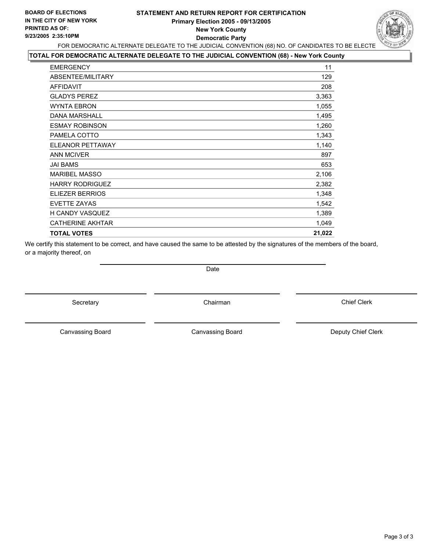### **STATEMENT AND RETURN REPORT FOR CERTIFICATION Primary Election 2005 - 09/13/2005 New York County Democratic Party**



FOR DEMOCRATIC ALTERNATE DELEGATE TO THE JUDICIAL CONVENTION (68) NO. OF CANDIDATES TO BE ELECTE

### **TOTAL FOR DEMOCRATIC ALTERNATE DELEGATE TO THE JUDICIAL CONVENTION (68) - New York County**

| <b>EMERGENCY</b>        | 11     |
|-------------------------|--------|
| ABSENTEE/MILITARY       | 129    |
| <b>AFFIDAVIT</b>        | 208    |
| <b>GLADYS PEREZ</b>     | 3,363  |
| <b>WYNTA EBRON</b>      | 1,055  |
| <b>DANA MARSHALL</b>    | 1,495  |
| <b>ESMAY ROBINSON</b>   | 1,260  |
| PAMELA COTTO            | 1,343  |
| <b>ELEANOR PETTAWAY</b> | 1,140  |
| <b>ANN MCIVER</b>       | 897    |
| <b>JAI BAMS</b>         | 653    |
| <b>MARIBEL MASSO</b>    | 2,106  |
| <b>HARRY RODRIGUEZ</b>  | 2,382  |
| <b>ELIEZER BERRIOS</b>  | 1,348  |
| EVETTE ZAYAS            | 1,542  |
| H CANDY VASQUEZ         | 1,389  |
| <b>CATHERINE AKHTAR</b> | 1,049  |
| <b>TOTAL VOTES</b>      | 21,022 |

We certify this statement to be correct, and have caused the same to be attested by the signatures of the members of the board, or a majority thereof, on

Secretary **Chairman** 

Date

Chief Clerk

Canvassing Board

Canvassing Board **Canvassing Canvassing Canvassing Canvassing Canvassing Canvassing Canvassing Canvassing Canvassing Canvassing Canvassing Canvassing Canvassing Canvassing Canvassing Canvassing Canvassing Canvassing Canvas**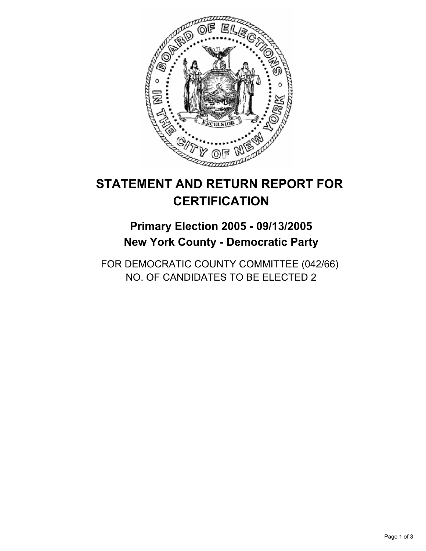

## **Primary Election 2005 - 09/13/2005 New York County - Democratic Party**

FOR DEMOCRATIC COUNTY COMMITTEE (042/66) NO. OF CANDIDATES TO BE ELECTED 2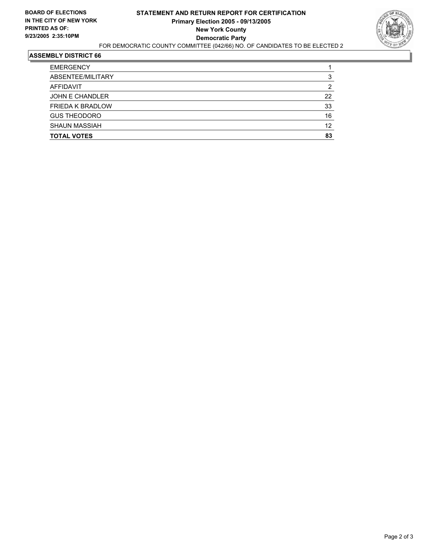

| <b>EMERGENCY</b>        |    |
|-------------------------|----|
| ABSENTEE/MILITARY       |    |
| AFFIDAVIT               |    |
| JOHN E CHANDLER         | 22 |
| <b>FRIEDA K BRADLOW</b> | 33 |
| <b>GUS THEODORO</b>     | 16 |
| <b>SHAUN MASSIAH</b>    | 12 |
| <b>TOTAL VOTES</b>      | 83 |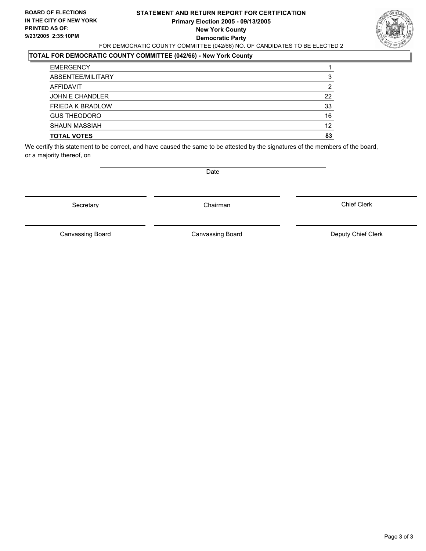#### **STATEMENT AND RETURN REPORT FOR CERTIFICATION Primary Election 2005 - 09/13/2005 New York County Democratic Party** FOR DEMOCRATIC COUNTY COMMITTEE (042/66) NO. OF CANDIDATES TO BE ELECTED 2



### **TOTAL FOR DEMOCRATIC COUNTY COMMITTEE (042/66) - New York County**

| <b>EMERGENCY</b>        |    |
|-------------------------|----|
| ABSENTEE/MILITARY       | 3  |
| AFFIDAVIT               | ົ  |
| JOHN E CHANDLER         | 22 |
| <b>FRIEDA K BRADLOW</b> | 33 |
| <b>GUS THEODORO</b>     | 16 |
| <b>SHAUN MASSIAH</b>    | 12 |
| <b>TOTAL VOTES</b>      | 83 |

We certify this statement to be correct, and have caused the same to be attested by the signatures of the members of the board, or a majority thereof, on

Secretary **Chairman** 

Date

Chief Clerk

Canvassing Board

Canvassing Board **Canvassing Board** Canvassing Board **Deputy Chief Clerk**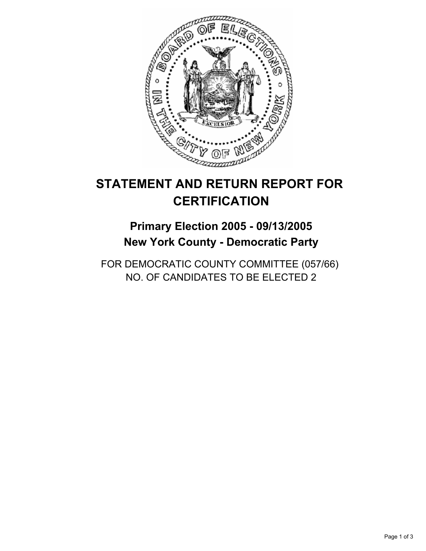

## **Primary Election 2005 - 09/13/2005 New York County - Democratic Party**

FOR DEMOCRATIC COUNTY COMMITTEE (057/66) NO. OF CANDIDATES TO BE ELECTED 2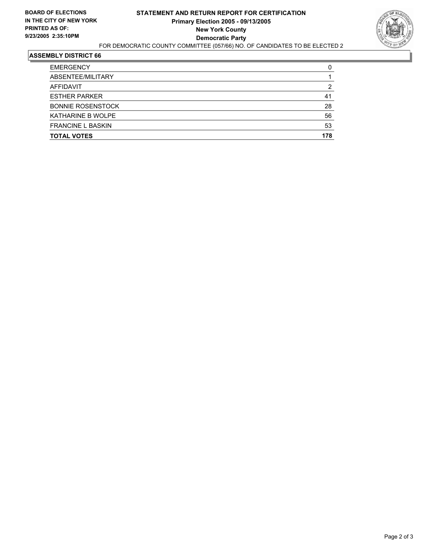

| <b>TOTAL VOTES</b>       | 178 |
|--------------------------|-----|
| <b>FRANCINE L BASKIN</b> | 53  |
| <b>KATHARINE B WOLPE</b> | 56  |
| <b>BONNIE ROSENSTOCK</b> | 28  |
| <b>ESTHER PARKER</b>     | 41  |
| AFFIDAVIT                | 2   |
| ABSENTEE/MILITARY        |     |
| <b>EMERGENCY</b>         |     |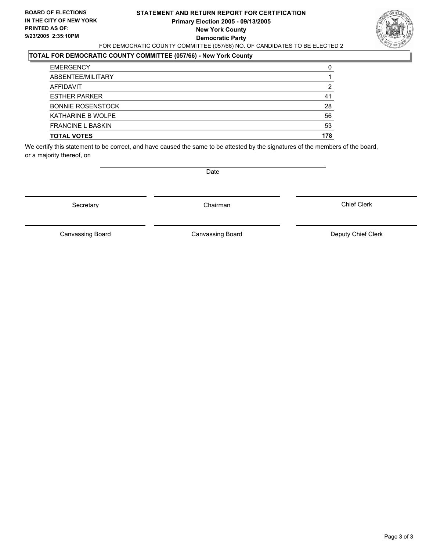#### **STATEMENT AND RETURN REPORT FOR CERTIFICATION Primary Election 2005 - 09/13/2005 New York County Democratic Party** FOR DEMOCRATIC COUNTY COMMITTEE (057/66) NO. OF CANDIDATES TO BE ELECTED 2



### **TOTAL FOR DEMOCRATIC COUNTY COMMITTEE (057/66) - New York County**

| <b>EMERGENCY</b>         |     |
|--------------------------|-----|
| ABSENTEE/MILITARY        |     |
| AFFIDAVIT                | 2   |
| <b>ESTHER PARKER</b>     | 41  |
| <b>BONNIE ROSENSTOCK</b> | 28  |
| <b>KATHARINE B WOLPE</b> | 56  |
| <b>FRANCINE L BASKIN</b> | 53  |
| <b>TOTAL VOTES</b>       | 178 |

We certify this statement to be correct, and have caused the same to be attested by the signatures of the members of the board, or a majority thereof, on

Secretary **Chairman** 

Date

Chief Clerk

Canvassing Board

Canvassing Board **Canvassing Board** Canvassing Board **Deputy Chief Clerk**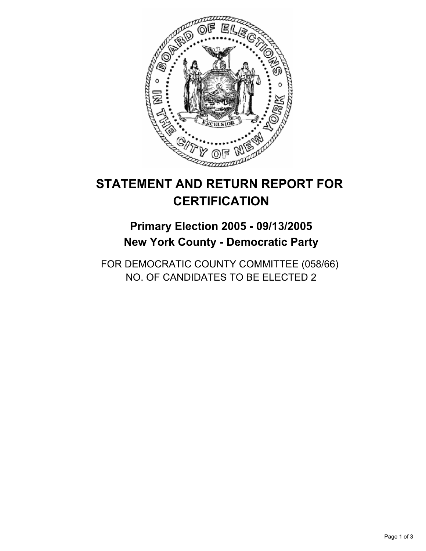

## **Primary Election 2005 - 09/13/2005 New York County - Democratic Party**

FOR DEMOCRATIC COUNTY COMMITTEE (058/66) NO. OF CANDIDATES TO BE ELECTED 2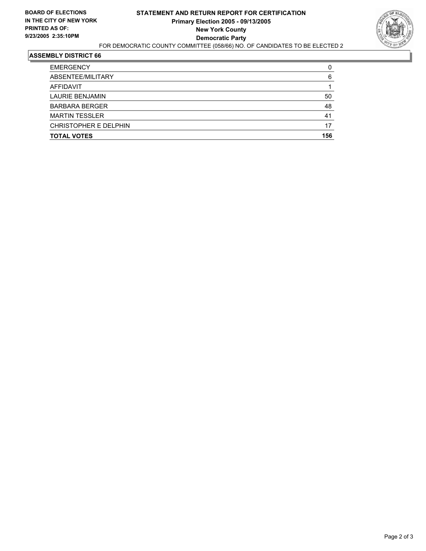

| <b>TOTAL VOTES</b>     | 156 |
|------------------------|-----|
| CHRISTOPHER E DELPHIN  | 17  |
| <b>MARTIN TESSLER</b>  | 41  |
| <b>BARBARA BERGER</b>  | 48  |
| <b>LAURIE BENJAMIN</b> | 50  |
| AFFIDAVIT              |     |
| ABSENTEE/MILITARY      | 6   |
| <b>EMERGENCY</b>       |     |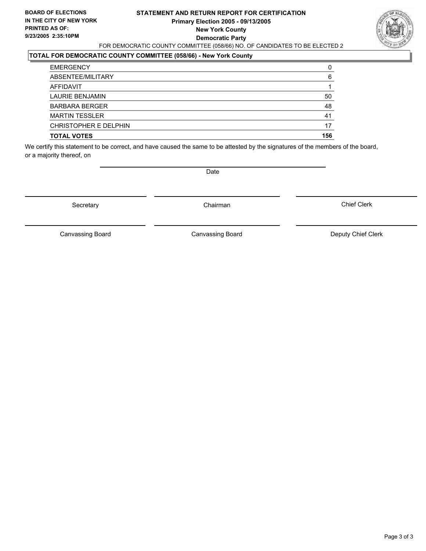#### **STATEMENT AND RETURN REPORT FOR CERTIFICATION Primary Election 2005 - 09/13/2005 New York County Democratic Party** FOR DEMOCRATIC COUNTY COMMITTEE (058/66) NO. OF CANDIDATES TO BE ELECTED 2



### **TOTAL FOR DEMOCRATIC COUNTY COMMITTEE (058/66) - New York County**

| <b>EMERGENCY</b>      |     |
|-----------------------|-----|
| ABSENTEE/MILITARY     | 6   |
| AFFIDAVIT             |     |
| LAURIE BENJAMIN       | 50  |
| <b>BARBARA BERGER</b> | 48  |
| <b>MARTIN TESSLER</b> | 41  |
| CHRISTOPHER E DELPHIN | 17  |
| <b>TOTAL VOTES</b>    | 156 |

We certify this statement to be correct, and have caused the same to be attested by the signatures of the members of the board, or a majority thereof, on

Secretary **Chairman** 

Date

Chief Clerk

Canvassing Board

Canvassing Board **Canvassing Board** Canvassing Board **Deputy Chief Clerk**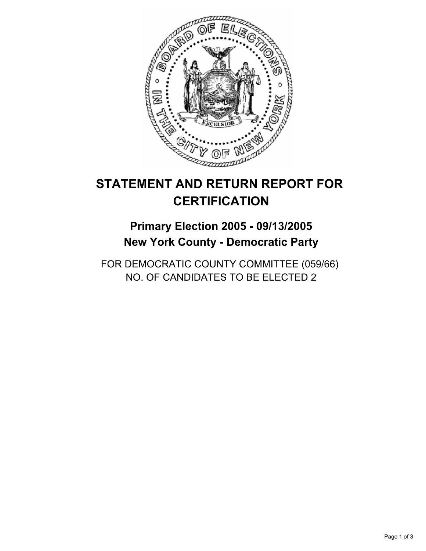

## **Primary Election 2005 - 09/13/2005 New York County - Democratic Party**

FOR DEMOCRATIC COUNTY COMMITTEE (059/66) NO. OF CANDIDATES TO BE ELECTED 2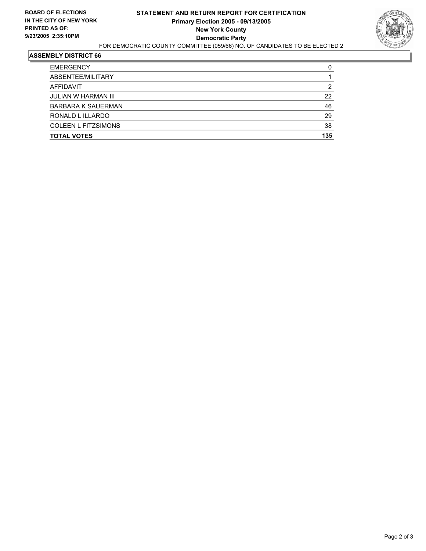

| <b>TOTAL VOTES</b>         | 135 |
|----------------------------|-----|
| <b>COLEEN L FITZSIMONS</b> | 38  |
| RONALD L ILLARDO           | 29  |
| <b>BARBARA K SAUERMAN</b>  | 46  |
| <b>JULIAN W HARMAN III</b> | 22  |
| AFFIDAVIT                  | ≏   |
| ABSENTEE/MILITARY          |     |
| <b>EMERGENCY</b>           |     |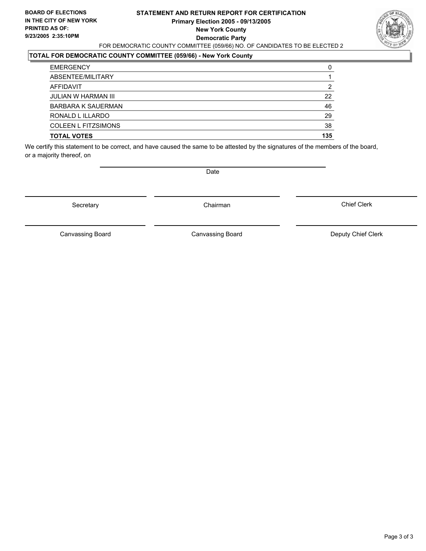#### **STATEMENT AND RETURN REPORT FOR CERTIFICATION Primary Election 2005 - 09/13/2005 New York County Democratic Party** FOR DEMOCRATIC COUNTY COMMITTEE (059/66) NO. OF CANDIDATES TO BE ELECTED 2



#### **TOTAL FOR DEMOCRATIC COUNTY COMMITTEE (059/66) - New York County**

| <b>TOTAL VOTES</b>         | 135 |
|----------------------------|-----|
| <b>COLEEN L FITZSIMONS</b> | 38  |
| RONALD L ILLARDO           | 29  |
| <b>BARBARA K SAUERMAN</b>  | 46  |
| <b>JULIAN W HARMAN III</b> | 22  |
| AFFIDAVIT                  | 2   |
| ABSENTEE/MILITARY          |     |
| <b>EMERGENCY</b>           | 0   |

We certify this statement to be correct, and have caused the same to be attested by the signatures of the members of the board, or a majority thereof, on

Secretary **Chairman** 

Date

Chief Clerk

Canvassing Board

Canvassing Board **Canvassing Board** Canvassing Board **Deputy Chief Clerk**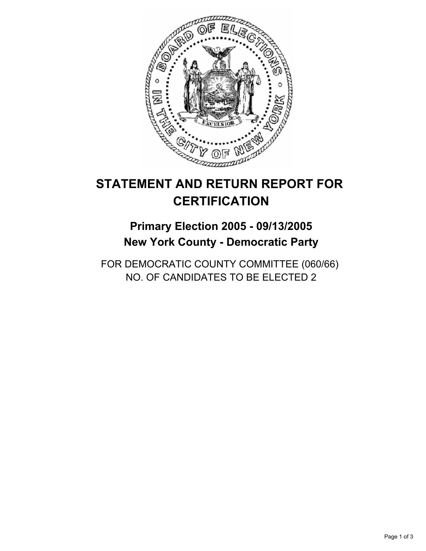

## **Primary Election 2005 - 09/13/2005 New York County - Democratic Party**

FOR DEMOCRATIC COUNTY COMMITTEE (060/66) NO. OF CANDIDATES TO BE ELECTED 2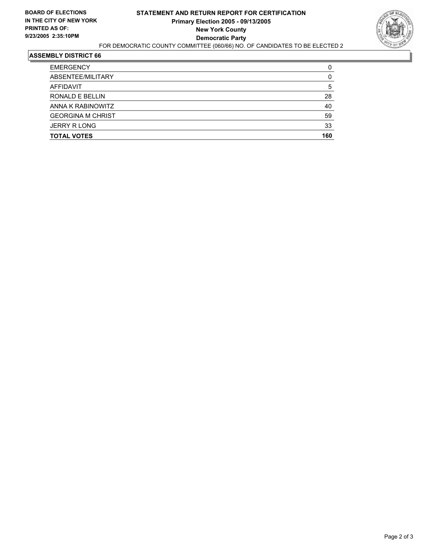

| <b>TOTAL VOTES</b>       | 160 |
|--------------------------|-----|
| <b>JERRY R LONG</b>      | 33  |
| <b>GEORGINA M CHRIST</b> | 59  |
| ANNA K RABINOWITZ        | 40  |
| RONALD E BELLIN          | 28  |
| AFFIDAVIT                | b   |
| ABSENTEE/MILITARY        |     |
| <b>EMERGENCY</b>         |     |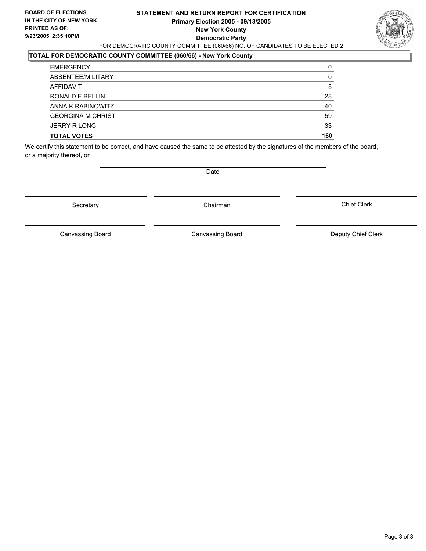#### **STATEMENT AND RETURN REPORT FOR CERTIFICATION Primary Election 2005 - 09/13/2005 New York County Democratic Party** FOR DEMOCRATIC COUNTY COMMITTEE (060/66) NO. OF CANDIDATES TO BE ELECTED 2



### **TOTAL FOR DEMOCRATIC COUNTY COMMITTEE (060/66) - New York County**

| 5   |
|-----|
| 28  |
| 40  |
| 59  |
| 33  |
| 160 |
|     |

We certify this statement to be correct, and have caused the same to be attested by the signatures of the members of the board, or a majority thereof, on

Secretary **Chairman** 

Date

Chief Clerk

Canvassing Board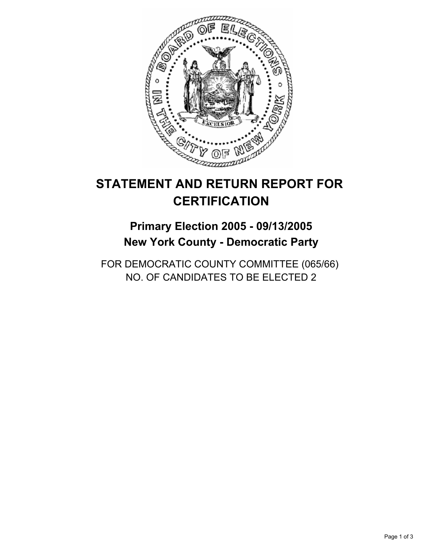

## **Primary Election 2005 - 09/13/2005 New York County - Democratic Party**

FOR DEMOCRATIC COUNTY COMMITTEE (065/66) NO. OF CANDIDATES TO BE ELECTED 2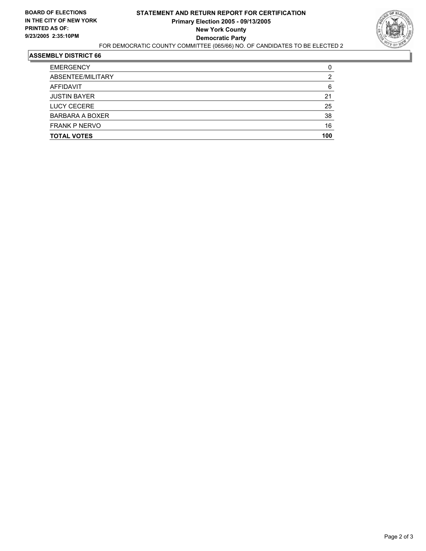

| <b>EMERGENCY</b>     |     |
|----------------------|-----|
| ABSENTEE/MILITARY    |     |
| AFFIDAVIT            | 6   |
| <b>JUSTIN BAYER</b>  | 21  |
| <b>LUCY CECERE</b>   | 25  |
| BARBARA A BOXER      | 38  |
| <b>FRANK P NERVO</b> | 16  |
| <b>TOTAL VOTES</b>   | 100 |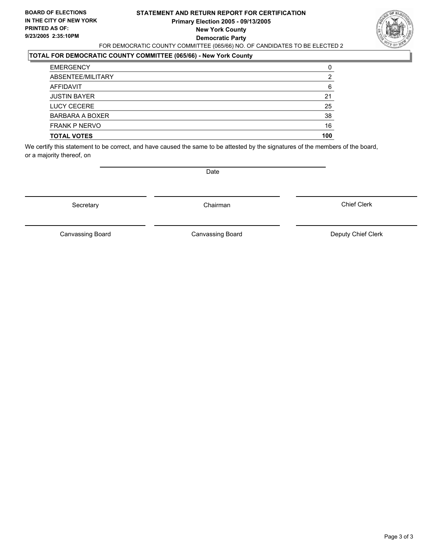#### **STATEMENT AND RETURN REPORT FOR CERTIFICATION Primary Election 2005 - 09/13/2005 New York County Democratic Party** FOR DEMOCRATIC COUNTY COMMITTEE (065/66) NO. OF CANDIDATES TO BE ELECTED 2



### **TOTAL FOR DEMOCRATIC COUNTY COMMITTEE (065/66) - New York County**

| 6   |
|-----|
| 21  |
| 25  |
| 38  |
| 16  |
| 100 |
|     |

We certify this statement to be correct, and have caused the same to be attested by the signatures of the members of the board, or a majority thereof, on

Secretary **Chairman** 

Date

Chief Clerk

Canvassing Board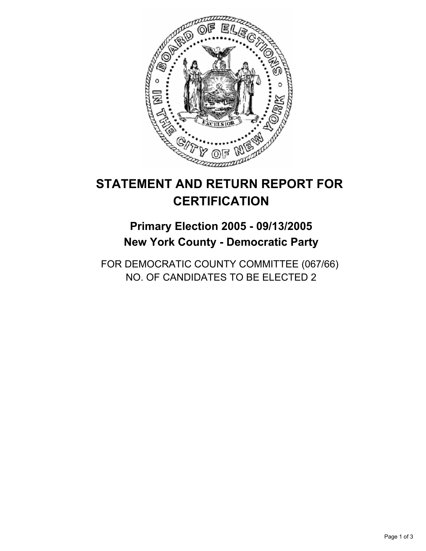

## **Primary Election 2005 - 09/13/2005 New York County - Democratic Party**

FOR DEMOCRATIC COUNTY COMMITTEE (067/66) NO. OF CANDIDATES TO BE ELECTED 2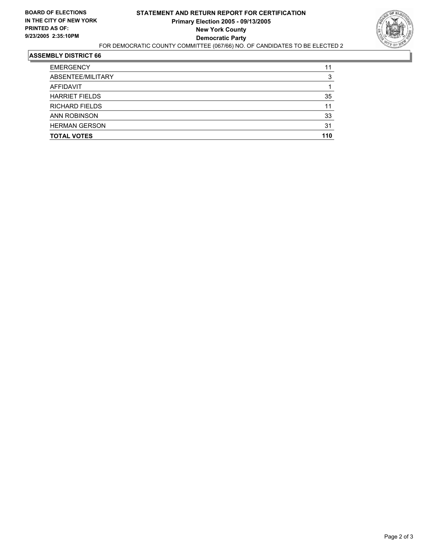

| ABSENTEE/MILITARY<br>AFFIDAVIT | я   |
|--------------------------------|-----|
|                                |     |
|                                |     |
| <b>HARRIET FIELDS</b>          | 35  |
| <b>RICHARD FIELDS</b>          | 11  |
| <b>ANN ROBINSON</b>            | 33  |
| <b>HERMAN GERSON</b>           | 31  |
| <b>TOTAL VOTES</b>             | 110 |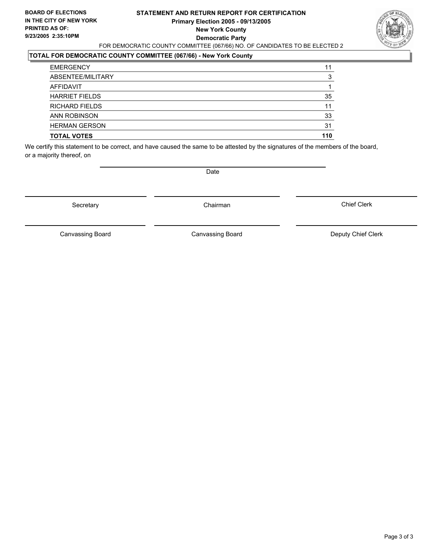#### **STATEMENT AND RETURN REPORT FOR CERTIFICATION Primary Election 2005 - 09/13/2005 New York County Democratic Party** FOR DEMOCRATIC COUNTY COMMITTEE (067/66) NO. OF CANDIDATES TO BE ELECTED 2



### **TOTAL FOR DEMOCRATIC COUNTY COMMITTEE (067/66) - New York County**

| <b>EMERGENCY</b>      | 11  |
|-----------------------|-----|
| ABSENTEE/MILITARY     |     |
| AFFIDAVIT             |     |
| <b>HARRIET FIELDS</b> | 35  |
| <b>RICHARD FIELDS</b> | 11  |
| <b>ANN ROBINSON</b>   | 33  |
| <b>HERMAN GERSON</b>  | 31  |
| <b>TOTAL VOTES</b>    | 110 |

We certify this statement to be correct, and have caused the same to be attested by the signatures of the members of the board, or a majority thereof, on

Secretary **Chairman** 

Date

Chief Clerk

Canvassing Board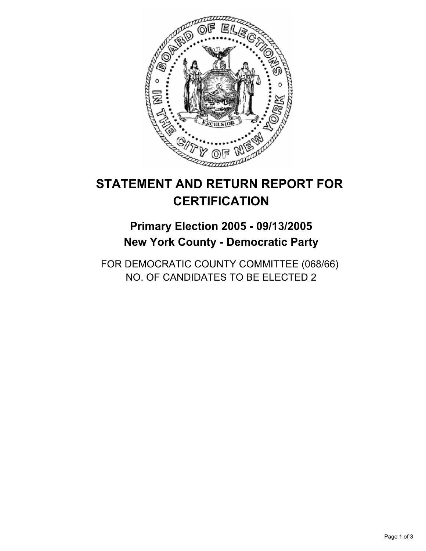

## **Primary Election 2005 - 09/13/2005 New York County - Democratic Party**

FOR DEMOCRATIC COUNTY COMMITTEE (068/66) NO. OF CANDIDATES TO BE ELECTED 2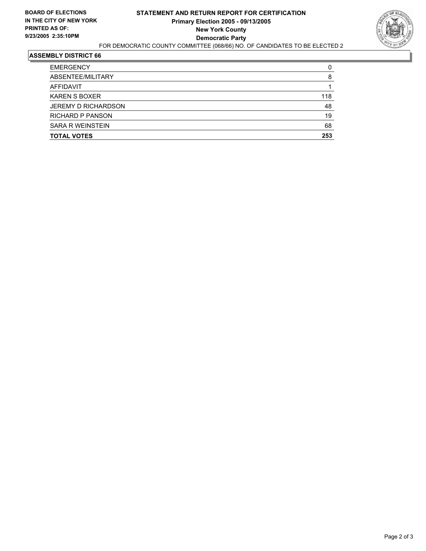

| <b>TOTAL VOTES</b>         | 253 |
|----------------------------|-----|
| <b>SARA R WEINSTEIN</b>    | 68  |
| <b>RICHARD P PANSON</b>    | 19  |
| <b>JEREMY D RICHARDSON</b> | 48  |
| <b>KAREN S BOXER</b>       | 118 |
| AFFIDAVIT                  |     |
| ABSENTEE/MILITARY          | 8   |
| <b>EMERGENCY</b>           | C   |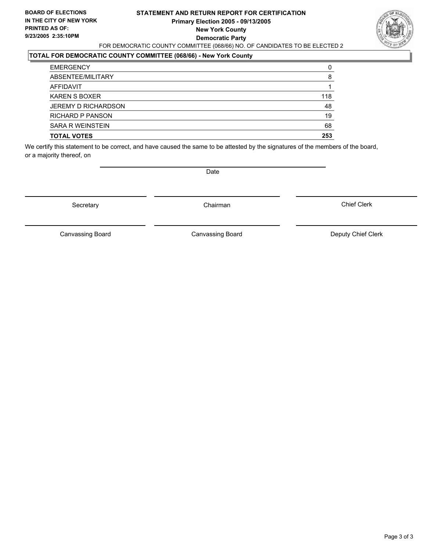#### **STATEMENT AND RETURN REPORT FOR CERTIFICATION Primary Election 2005 - 09/13/2005 New York County Democratic Party** FOR DEMOCRATIC COUNTY COMMITTEE (068/66) NO. OF CANDIDATES TO BE ELECTED 2



### **TOTAL FOR DEMOCRATIC COUNTY COMMITTEE (068/66) - New York County**

| <b>TOTAL VOTES</b>      | 253 |
|-------------------------|-----|
| <b>SARA R WEINSTEIN</b> | 68  |
| RICHARD P PANSON        | 19  |
| JEREMY D RICHARDSON     | 48  |
| <b>KAREN S BOXER</b>    | 118 |
| AFFIDAVIT               |     |
| ABSENTEE/MILITARY       | 8   |
| <b>EMERGENCY</b>        |     |

We certify this statement to be correct, and have caused the same to be attested by the signatures of the members of the board, or a majority thereof, on

Secretary **Chairman** 

Date

Chief Clerk

Canvassing Board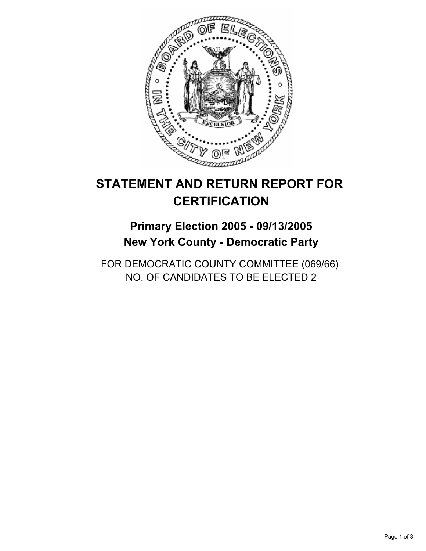

## **Primary Election 2005 - 09/13/2005 New York County - Democratic Party**

FOR DEMOCRATIC COUNTY COMMITTEE (069/66) NO. OF CANDIDATES TO BE ELECTED 2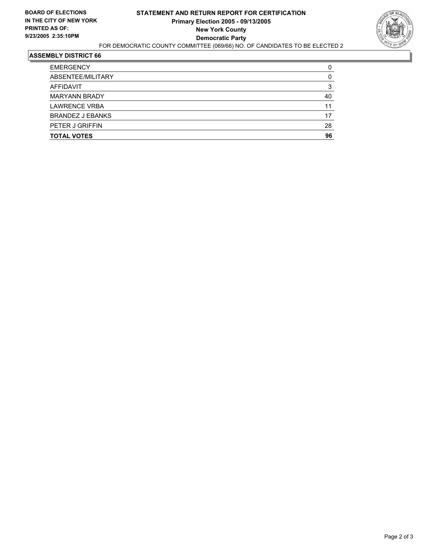

| <b>EMERGENCY</b>        |    |
|-------------------------|----|
| ABSENTEE/MILITARY       |    |
| AFFIDAVIT               |    |
| <b>MARYANN BRADY</b>    | 40 |
| <b>LAWRENCE VRBA</b>    | 11 |
| <b>BRANDEZ J EBANKS</b> | 17 |
| <b>PETER J GRIFFIN</b>  | 28 |
| <b>TOTAL VOTES</b>      | 96 |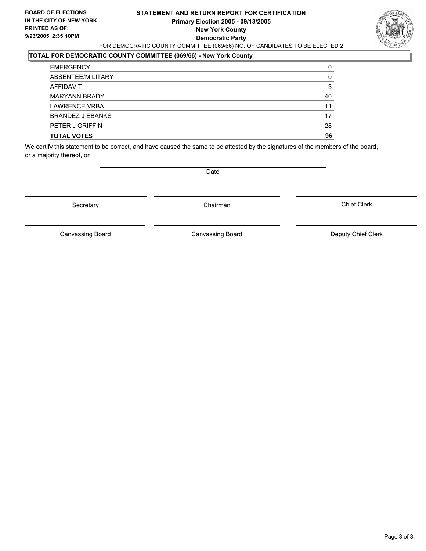#### **STATEMENT AND RETURN REPORT FOR CERTIFICATION Primary Election 2005 - 09/13/2005 New York County Democratic Party** FOR DEMOCRATIC COUNTY COMMITTEE (069/66) NO. OF CANDIDATES TO BE ELECTED 2



### **TOTAL FOR DEMOCRATIC COUNTY COMMITTEE (069/66) - New York County**

| <b>TOTAL VOTES</b>      | 96 |
|-------------------------|----|
| PETER J GRIFFIN         | 28 |
| <b>BRANDEZ J EBANKS</b> | 17 |
| <b>LAWRENCE VRBA</b>    | 11 |
| <b>MARYANN BRADY</b>    | 40 |
| AFFIDAVIT               |    |
| ABSENTEE/MILITARY       |    |
| <b>EMERGENCY</b>        |    |

We certify this statement to be correct, and have caused the same to be attested by the signatures of the members of the board, or a majority thereof, on

Secretary **Chairman** 

Date

Chief Clerk

Canvassing Board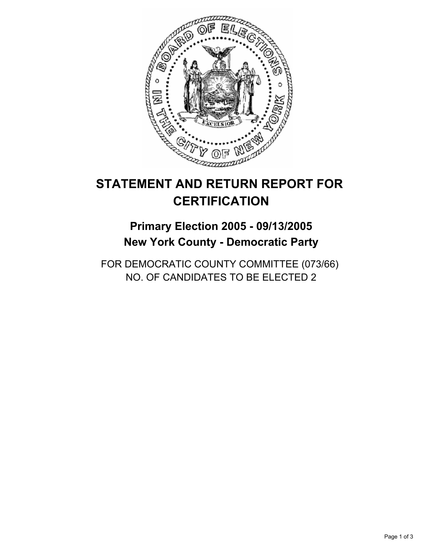

## **Primary Election 2005 - 09/13/2005 New York County - Democratic Party**

FOR DEMOCRATIC COUNTY COMMITTEE (073/66) NO. OF CANDIDATES TO BE ELECTED 2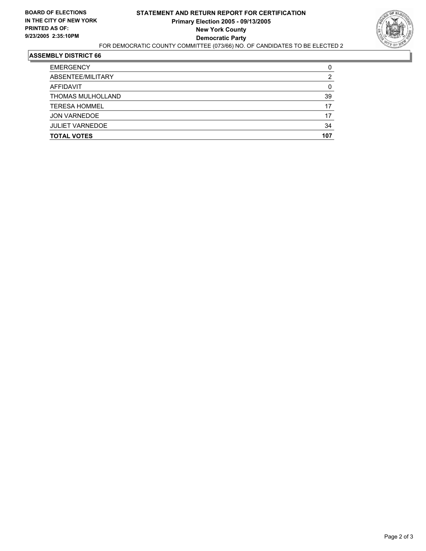

| <b>TOTAL VOTES</b>     | 107 |
|------------------------|-----|
| <b>JULIET VARNEDOE</b> | 34  |
| <b>JON VARNEDOE</b>    | 17  |
| <b>TERESA HOMMEL</b>   | 17  |
| THOMAS MULHOLLAND      | 39  |
| AFFIDAVIT              |     |
| ABSENTEE/MILITARY      |     |
| <b>EMERGENCY</b>       |     |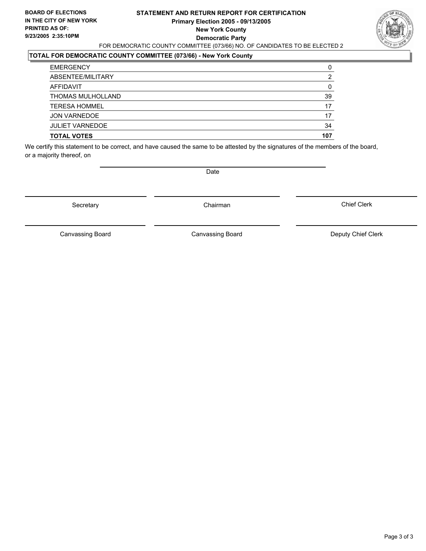#### **STATEMENT AND RETURN REPORT FOR CERTIFICATION Primary Election 2005 - 09/13/2005 New York County Democratic Party** FOR DEMOCRATIC COUNTY COMMITTEE (073/66) NO. OF CANDIDATES TO BE ELECTED 2



### **TOTAL FOR DEMOCRATIC COUNTY COMMITTEE (073/66) - New York County**

| <b>TOTAL VOTES</b>     | 107 |
|------------------------|-----|
| <b>JULIET VARNEDOE</b> | 34  |
| <b>JON VARNEDOE</b>    | 17  |
| <b>TERESA HOMMEL</b>   | 17  |
| THOMAS MULHOLLAND      | 39  |
| AFFIDAVIT              |     |
| ABSENTEE/MILITARY      |     |
| <b>EMERGENCY</b>       | G   |

We certify this statement to be correct, and have caused the same to be attested by the signatures of the members of the board, or a majority thereof, on

Secretary **Chairman** 

Date

Chief Clerk

Canvassing Board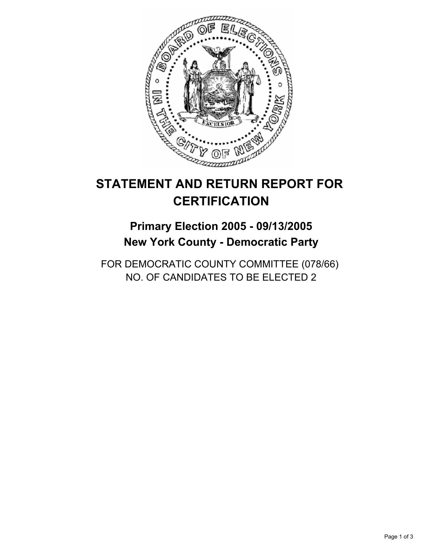

## **Primary Election 2005 - 09/13/2005 New York County - Democratic Party**

FOR DEMOCRATIC COUNTY COMMITTEE (078/66) NO. OF CANDIDATES TO BE ELECTED 2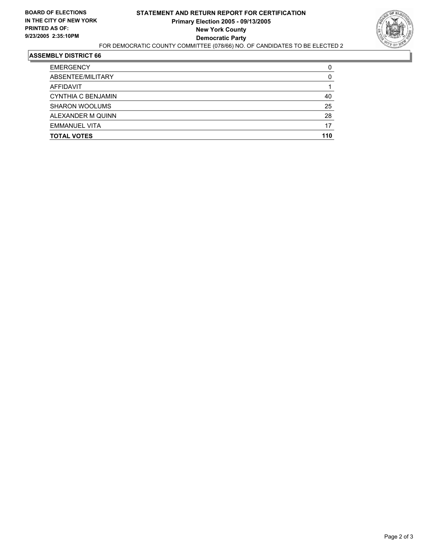

| <b>TOTAL VOTES</b>    | 110 |
|-----------------------|-----|
| <b>EMMANUEL VITA</b>  | 17  |
| ALEXANDER M QUINN     | 28  |
| <b>SHARON WOOLUMS</b> | 25  |
| CYNTHIA C BENJAMIN    | 40  |
| AFFIDAVIT             |     |
| ABSENTEE/MILITARY     |     |
| <b>EMERGENCY</b>      |     |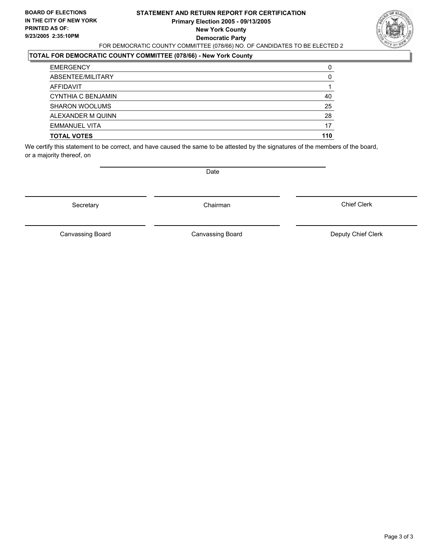#### **STATEMENT AND RETURN REPORT FOR CERTIFICATION Primary Election 2005 - 09/13/2005 New York County Democratic Party** FOR DEMOCRATIC COUNTY COMMITTEE (078/66) NO. OF CANDIDATES TO BE ELECTED 2



### **TOTAL FOR DEMOCRATIC COUNTY COMMITTEE (078/66) - New York County**

| <b>TOTAL VOTES</b>    | 110 |
|-----------------------|-----|
| <b>EMMANUEL VITA</b>  | 17  |
| ALEXANDER M QUINN     | 28  |
| <b>SHARON WOOLUMS</b> | 25  |
| CYNTHIA C BENJAMIN    | 40  |
| AFFIDAVIT             |     |
| ABSENTEE/MILITARY     | 0   |
| <b>EMERGENCY</b>      |     |

We certify this statement to be correct, and have caused the same to be attested by the signatures of the members of the board, or a majority thereof, on

Secretary **Chairman** 

Date

Chief Clerk

Canvassing Board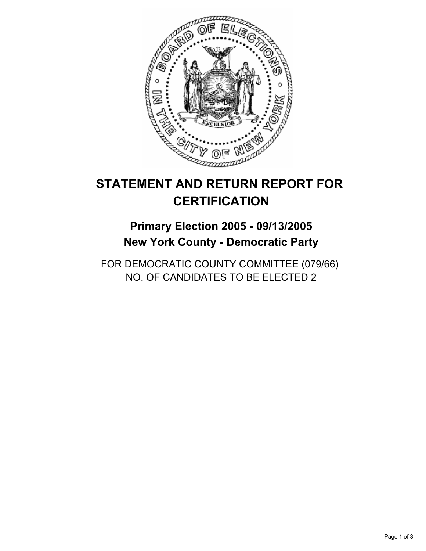

## **Primary Election 2005 - 09/13/2005 New York County - Democratic Party**

FOR DEMOCRATIC COUNTY COMMITTEE (079/66) NO. OF CANDIDATES TO BE ELECTED 2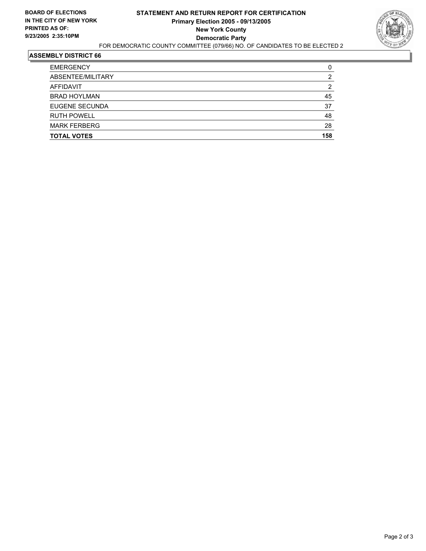

| 45  |
|-----|
| 37  |
| 48  |
| 28  |
| 158 |
|     |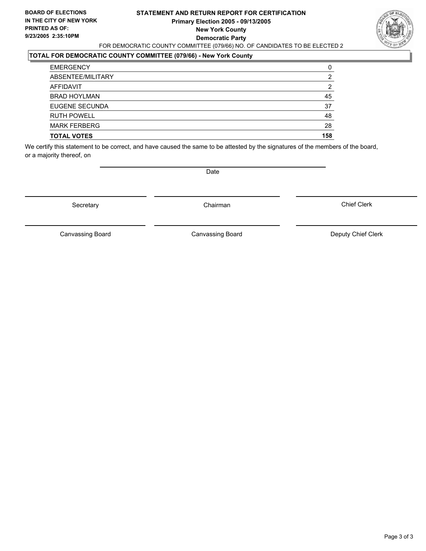#### **STATEMENT AND RETURN REPORT FOR CERTIFICATION Primary Election 2005 - 09/13/2005 New York County Democratic Party** FOR DEMOCRATIC COUNTY COMMITTEE (079/66) NO. OF CANDIDATES TO BE ELECTED 2



### **TOTAL FOR DEMOCRATIC COUNTY COMMITTEE (079/66) - New York County**

| <b>TOTAL VOTES</b>    | 158 |
|-----------------------|-----|
| <b>MARK FERBERG</b>   | 28  |
| <b>RUTH POWELL</b>    | 48  |
| <b>EUGENE SECUNDA</b> | 37  |
| <b>BRAD HOYLMAN</b>   | 45  |
| <b>AFFIDAVIT</b>      | כי  |
| ABSENTEE/MILITARY     | 2   |
| <b>EMERGENCY</b>      |     |

We certify this statement to be correct, and have caused the same to be attested by the signatures of the members of the board, or a majority thereof, on

Secretary **Chairman** 

Date

Chief Clerk

Canvassing Board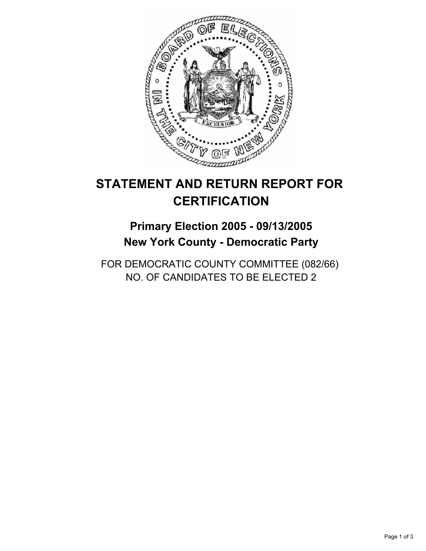

## **Primary Election 2005 - 09/13/2005 New York County - Democratic Party**

FOR DEMOCRATIC COUNTY COMMITTEE (082/66) NO. OF CANDIDATES TO BE ELECTED 2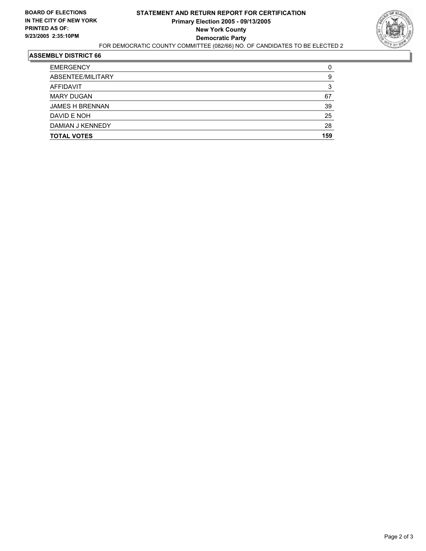

| <b>TOTAL VOTES</b>     | 159 |
|------------------------|-----|
| DAMIAN J KENNEDY       | 28  |
| DAVID E NOH            | 25  |
| <b>JAMES H BRENNAN</b> | 39  |
| <b>MARY DUGAN</b>      | 67  |
| AFFIDAVIT              |     |
| ABSENTEE/MILITARY      | g   |
| <b>EMERGENCY</b>       |     |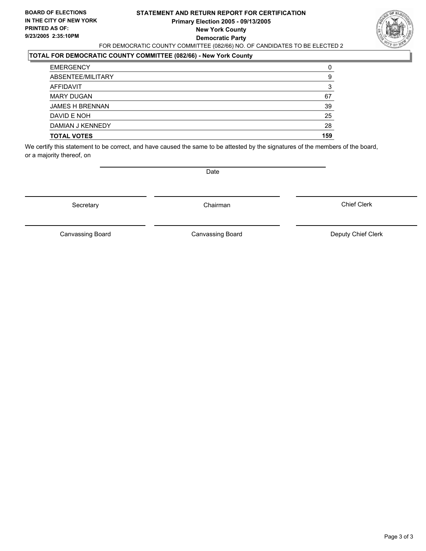#### **STATEMENT AND RETURN REPORT FOR CERTIFICATION Primary Election 2005 - 09/13/2005 New York County Democratic Party** FOR DEMOCRATIC COUNTY COMMITTEE (082/66) NO. OF CANDIDATES TO BE ELECTED 2



### **TOTAL FOR DEMOCRATIC COUNTY COMMITTEE (082/66) - New York County**

| <b>TOTAL VOTES</b>     | 159 |
|------------------------|-----|
| DAMIAN J KENNEDY       | 28  |
| DAVID E NOH            | 25  |
| <b>JAMES H BRENNAN</b> | 39  |
| <b>MARY DUGAN</b>      | 67  |
| <b>AFFIDAVIT</b>       |     |
| ABSENTEE/MILITARY      | 9   |
| <b>EMERGENCY</b>       |     |

We certify this statement to be correct, and have caused the same to be attested by the signatures of the members of the board, or a majority thereof, on

Secretary **Chairman** 

Date

Chief Clerk

Canvassing Board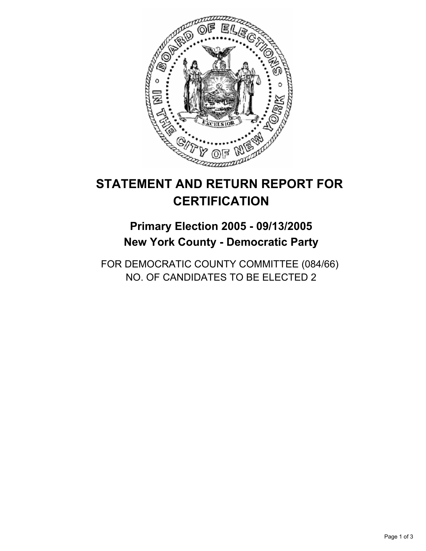

## **Primary Election 2005 - 09/13/2005 New York County - Democratic Party**

FOR DEMOCRATIC COUNTY COMMITTEE (084/66) NO. OF CANDIDATES TO BE ELECTED 2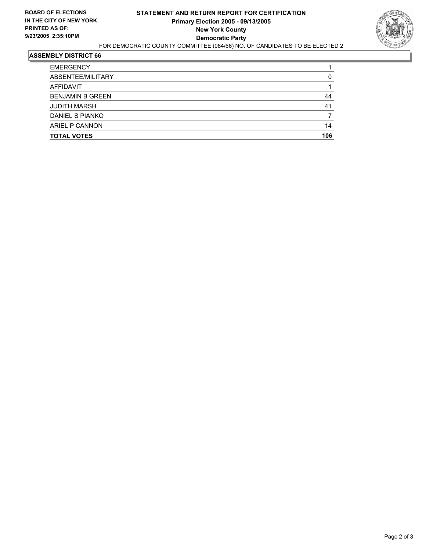

| <b>EMERGENCY</b>        |     |
|-------------------------|-----|
| ABSENTEE/MILITARY       |     |
| AFFIDAVIT               |     |
| <b>BENJAMIN B GREEN</b> | 44  |
| <b>JUDITH MARSH</b>     | 41  |
| DANIEL S PIANKO         |     |
| ARIEL P CANNON          | 14  |
| <b>TOTAL VOTES</b>      | 106 |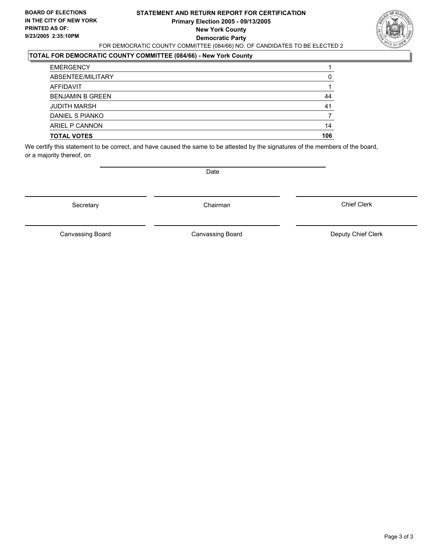#### **STATEMENT AND RETURN REPORT FOR CERTIFICATION Primary Election 2005 - 09/13/2005 New York County Democratic Party** FOR DEMOCRATIC COUNTY COMMITTEE (084/66) NO. OF CANDIDATES TO BE ELECTED 2



### **TOTAL FOR DEMOCRATIC COUNTY COMMITTEE (084/66) - New York County**

| <b>TOTAL VOTES</b>      | 106 |
|-------------------------|-----|
| ARIEL P CANNON          | 14  |
| DANIEL S PIANKO         |     |
| <b>JUDITH MARSH</b>     | 41  |
| <b>BENJAMIN B GREEN</b> | 44  |
| AFFIDAVIT               |     |
| ABSENTEE/MILITARY       |     |
| <b>EMERGENCY</b>        |     |

We certify this statement to be correct, and have caused the same to be attested by the signatures of the members of the board, or a majority thereof, on

Secretary **Chairman** 

Date

Chief Clerk

Canvassing Board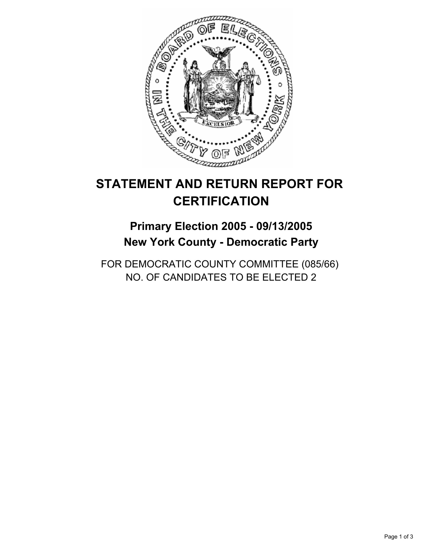

## **Primary Election 2005 - 09/13/2005 New York County - Democratic Party**

FOR DEMOCRATIC COUNTY COMMITTEE (085/66) NO. OF CANDIDATES TO BE ELECTED 2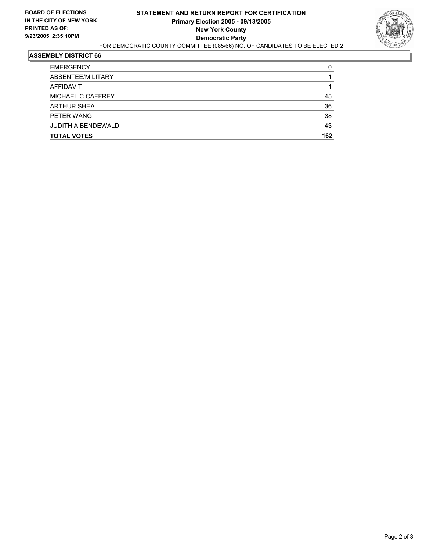

| <b>EMERGENCY</b>          |     |
|---------------------------|-----|
| ABSENTEE/MILITARY         |     |
| AFFIDAVIT                 |     |
| MICHAEL C CAFFREY         | 45  |
| <b>ARTHUR SHEA</b>        | 36  |
| PETER WANG                | 38  |
| <b>JUDITH A BENDEWALD</b> | 43  |
| <b>TOTAL VOTES</b>        | 162 |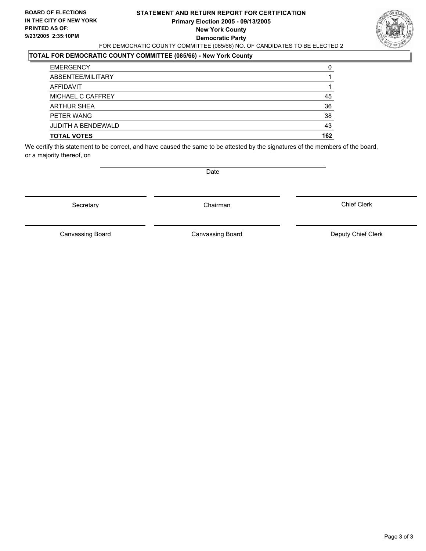#### **STATEMENT AND RETURN REPORT FOR CERTIFICATION Primary Election 2005 - 09/13/2005 New York County Democratic Party** FOR DEMOCRATIC COUNTY COMMITTEE (085/66) NO. OF CANDIDATES TO BE ELECTED 2



### **TOTAL FOR DEMOCRATIC COUNTY COMMITTEE (085/66) - New York County**

| <b>TOTAL VOTES</b>        | 162 |
|---------------------------|-----|
| <b>JUDITH A BENDEWALD</b> | 43  |
| PETER WANG                | 38  |
| <b>ARTHUR SHEA</b>        | 36  |
| MICHAEL C CAFFREY         | 45  |
| AFFIDAVIT                 |     |
| ABSENTEE/MILITARY         |     |
| <b>EMERGENCY</b>          |     |

We certify this statement to be correct, and have caused the same to be attested by the signatures of the members of the board, or a majority thereof, on

Secretary **Chairman** 

Date

Chief Clerk

Canvassing Board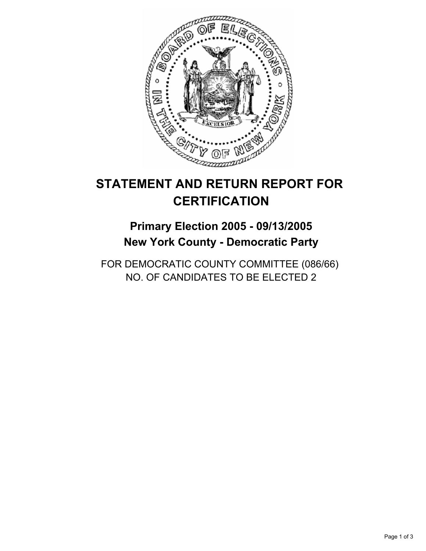

## **Primary Election 2005 - 09/13/2005 New York County - Democratic Party**

FOR DEMOCRATIC COUNTY COMMITTEE (086/66) NO. OF CANDIDATES TO BE ELECTED 2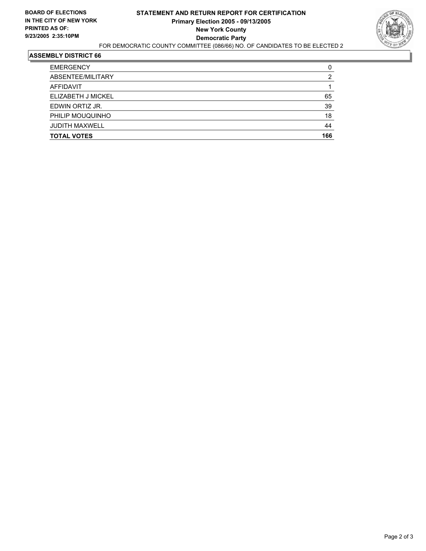

| <b>EMERGENCY</b>      | C   |
|-----------------------|-----|
| ABSENTEE/MILITARY     | 2   |
| AFFIDAVIT             |     |
| ELIZABETH J MICKEL    | 65  |
| EDWIN ORTIZ JR.       | 39  |
| PHILIP MOUQUINHO      | 18  |
| <b>JUDITH MAXWELL</b> | 44  |
| <b>TOTAL VOTES</b>    | 166 |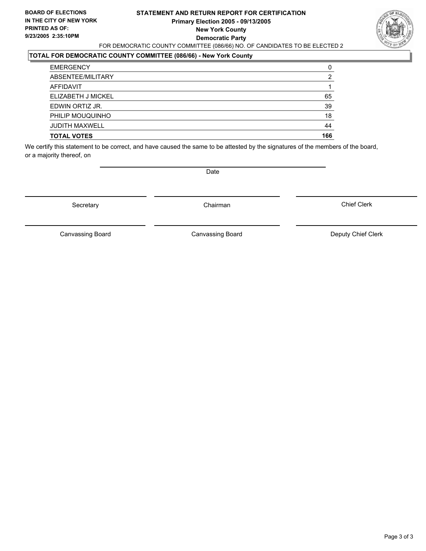#### **STATEMENT AND RETURN REPORT FOR CERTIFICATION Primary Election 2005 - 09/13/2005 New York County Democratic Party** FOR DEMOCRATIC COUNTY COMMITTEE (086/66) NO. OF CANDIDATES TO BE ELECTED 2



### **TOTAL FOR DEMOCRATIC COUNTY COMMITTEE (086/66) - New York County**

| <b>TOTAL VOTES</b>    | 166 |
|-----------------------|-----|
| <b>JUDITH MAXWELL</b> | 44  |
| PHILIP MOUQUINHO      | 18  |
| EDWIN ORTIZ JR.       | 39  |
| ELIZABETH J MICKEL    | 65  |
| AFFIDAVIT             |     |
| ABSENTEE/MILITARY     |     |
| <b>EMERGENCY</b>      | C   |

We certify this statement to be correct, and have caused the same to be attested by the signatures of the members of the board, or a majority thereof, on

Secretary **Chairman** 

Date

Chief Clerk

Canvassing Board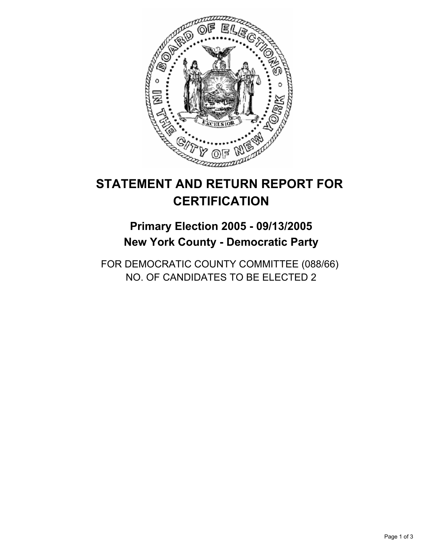

# **Primary Election 2005 - 09/13/2005 New York County - Democratic Party**

FOR DEMOCRATIC COUNTY COMMITTEE (088/66) NO. OF CANDIDATES TO BE ELECTED 2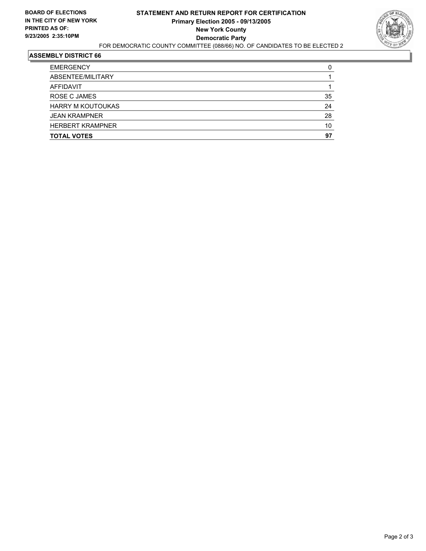

| <b>EMERGENCY</b>         |    |
|--------------------------|----|
| ABSENTEE/MILITARY        |    |
| AFFIDAVIT                |    |
| ROSE C JAMES             | 35 |
| <b>HARRY M KOUTOUKAS</b> | 24 |
| <b>JEAN KRAMPNER</b>     | 28 |
| <b>HERBERT KRAMPNER</b>  | 10 |
| <b>TOTAL VOTES</b>       | 97 |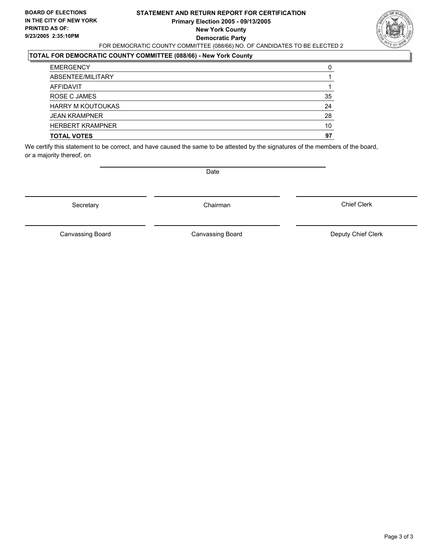## **STATEMENT AND RETURN REPORT FOR CERTIFICATION Primary Election 2005 - 09/13/2005 New York County Democratic Party** FOR DEMOCRATIC COUNTY COMMITTEE (088/66) NO. OF CANDIDATES TO BE ELECTED 2



## **TOTAL FOR DEMOCRATIC COUNTY COMMITTEE (088/66) - New York County**

| <b>EMERGENCY</b>         |    |
|--------------------------|----|
| ABSENTEE/MILITARY        |    |
| <b>AFFIDAVIT</b>         |    |
| ROSE C JAMES             | 35 |
| <b>HARRY M KOUTOUKAS</b> | 24 |
| <b>JEAN KRAMPNER</b>     | 28 |
| <b>HERBERT KRAMPNER</b>  | 10 |
| <b>TOTAL VOTES</b>       | 97 |

We certify this statement to be correct, and have caused the same to be attested by the signatures of the members of the board, or a majority thereof, on

Secretary **Chairman** 

Date

Chief Clerk

Canvassing Board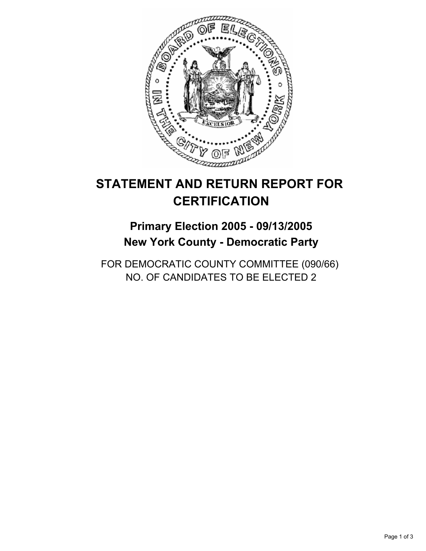

# **Primary Election 2005 - 09/13/2005 New York County - Democratic Party**

FOR DEMOCRATIC COUNTY COMMITTEE (090/66) NO. OF CANDIDATES TO BE ELECTED 2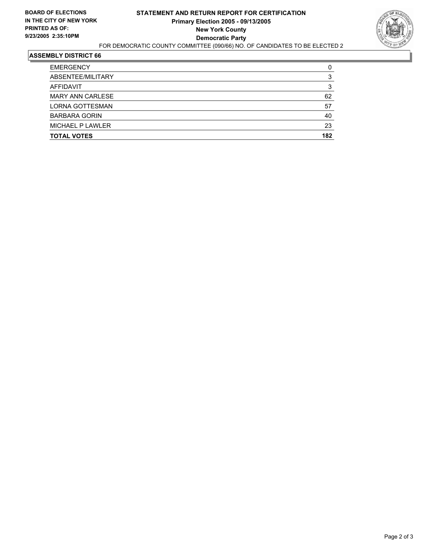

| <b>TOTAL VOTES</b>      | 182 |
|-------------------------|-----|
| MICHAEL P LAWLER        | 23  |
| <b>BARBARA GORIN</b>    | 40  |
| <b>LORNA GOTTESMAN</b>  | 57  |
| <b>MARY ANN CARLESE</b> | 62  |
| AFFIDAVIT               |     |
| ABSENTEE/MILITARY       |     |
| <b>EMERGENCY</b>        |     |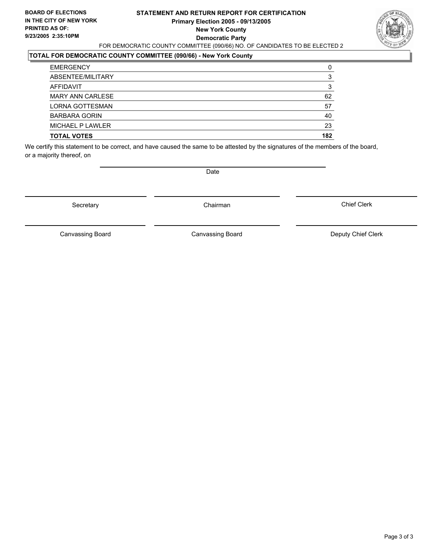## **STATEMENT AND RETURN REPORT FOR CERTIFICATION Primary Election 2005 - 09/13/2005 New York County Democratic Party** FOR DEMOCRATIC COUNTY COMMITTEE (090/66) NO. OF CANDIDATES TO BE ELECTED 2



## **TOTAL FOR DEMOCRATIC COUNTY COMMITTEE (090/66) - New York County**

| <b>TOTAL VOTES</b>     | 182 |
|------------------------|-----|
| MICHAEL P LAWLER       | 23  |
| <b>BARBARA GORIN</b>   | 40  |
| <b>LORNA GOTTESMAN</b> | 57  |
| MARY ANN CARLESE       | 62  |
| AFFIDAVIT              |     |
| ABSENTEE/MILITARY      |     |
| <b>EMERGENCY</b>       | 0   |

We certify this statement to be correct, and have caused the same to be attested by the signatures of the members of the board, or a majority thereof, on

Secretary **Chairman** 

Date

Chief Clerk

Canvassing Board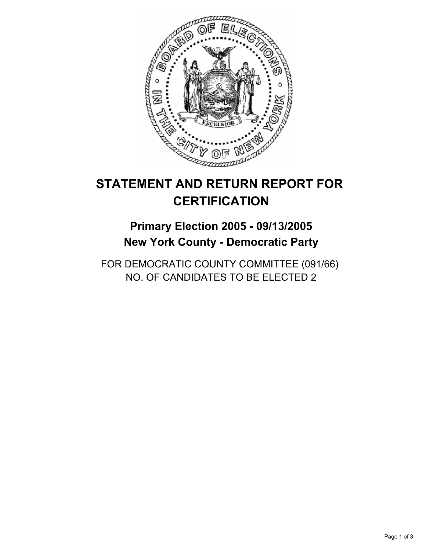

# **Primary Election 2005 - 09/13/2005 New York County - Democratic Party**

FOR DEMOCRATIC COUNTY COMMITTEE (091/66) NO. OF CANDIDATES TO BE ELECTED 2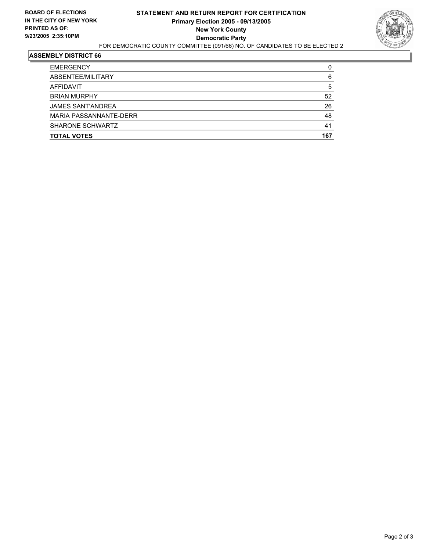

| <b>TOTAL VOTES</b>       | 167 |
|--------------------------|-----|
| SHARONE SCHWARTZ         | 41  |
| MARIA PASSANNANTE-DERR   | 48  |
| <b>JAMES SANT'ANDREA</b> | 26  |
| <b>BRIAN MURPHY</b>      | 52  |
| AFFIDAVIT                | b   |
| ABSENTEE/MILITARY        | 6   |
| <b>EMERGENCY</b>         |     |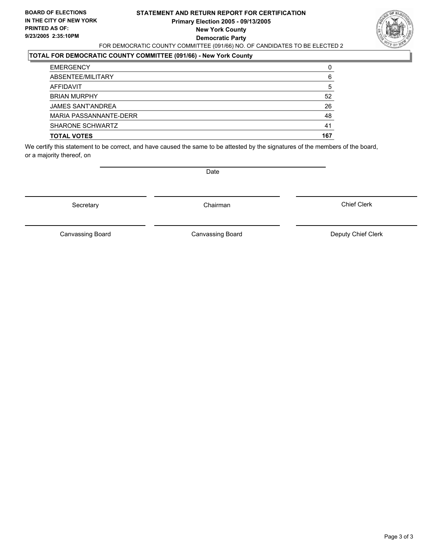## **STATEMENT AND RETURN REPORT FOR CERTIFICATION Primary Election 2005 - 09/13/2005 New York County Democratic Party** FOR DEMOCRATIC COUNTY COMMITTEE (091/66) NO. OF CANDIDATES TO BE ELECTED 2



## **TOTAL FOR DEMOCRATIC COUNTY COMMITTEE (091/66) - New York County**

| <b>TOTAL VOTES</b>       | 167 |
|--------------------------|-----|
| <b>SHARONE SCHWARTZ</b>  | 41  |
| MARIA PASSANNANTE-DERR   | 48  |
| <b>JAMES SANT'ANDREA</b> | 26  |
| <b>BRIAN MURPHY</b>      | 52  |
| AFFIDAVIT                | 5   |
| ABSENTEE/MILITARY        | 6   |
| <b>EMERGENCY</b>         |     |

We certify this statement to be correct, and have caused the same to be attested by the signatures of the members of the board, or a majority thereof, on

Secretary **Chairman** 

Date

Chief Clerk

Canvassing Board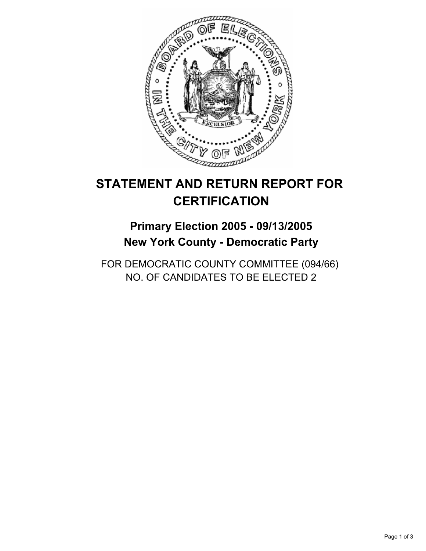

# **Primary Election 2005 - 09/13/2005 New York County - Democratic Party**

FOR DEMOCRATIC COUNTY COMMITTEE (094/66) NO. OF CANDIDATES TO BE ELECTED 2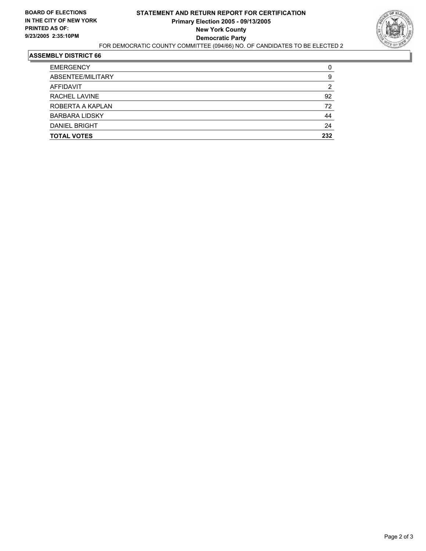

| <b>TOTAL VOTES</b>    | 232 |
|-----------------------|-----|
| <b>DANIEL BRIGHT</b>  | 24  |
| <b>BARBARA LIDSKY</b> | 44  |
| ROBERTA A KAPLAN      | 72  |
| RACHEL LAVINE         | 92  |
| AFFIDAVIT             | 2   |
| ABSENTEE/MILITARY     | 9   |
| <b>EMERGENCY</b>      |     |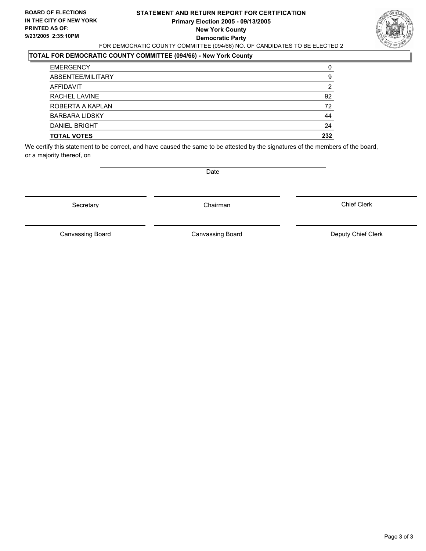## **STATEMENT AND RETURN REPORT FOR CERTIFICATION Primary Election 2005 - 09/13/2005 New York County Democratic Party** FOR DEMOCRATIC COUNTY COMMITTEE (094/66) NO. OF CANDIDATES TO BE ELECTED 2



#### **TOTAL FOR DEMOCRATIC COUNTY COMMITTEE (094/66) - New York County**

| 9   |
|-----|
| 2   |
| 92  |
| 72  |
| 44  |
| 24  |
| 232 |
|     |

We certify this statement to be correct, and have caused the same to be attested by the signatures of the members of the board, or a majority thereof, on

Secretary **Chairman** 

Date

Chief Clerk

Canvassing Board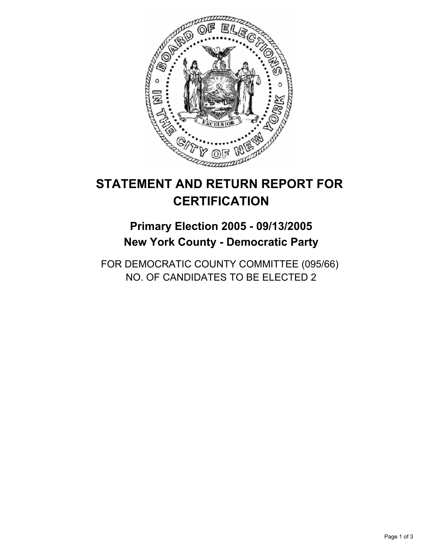

# **Primary Election 2005 - 09/13/2005 New York County - Democratic Party**

FOR DEMOCRATIC COUNTY COMMITTEE (095/66) NO. OF CANDIDATES TO BE ELECTED 2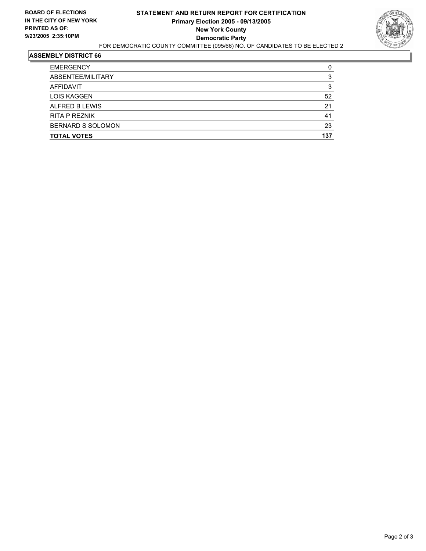

| ABSENTEE/MILITARY        |     |
|--------------------------|-----|
|                          |     |
| AFFIDAVIT                |     |
| <b>LOIS KAGGEN</b>       | 52  |
| ALFRED B LEWIS           | 21  |
| <b>RITA P REZNIK</b>     | 41  |
| <b>BERNARD S SOLOMON</b> | 23  |
| <b>TOTAL VOTES</b>       | 137 |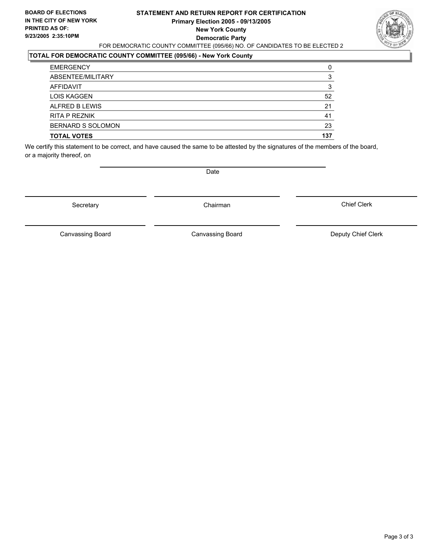## **STATEMENT AND RETURN REPORT FOR CERTIFICATION Primary Election 2005 - 09/13/2005 New York County Democratic Party** FOR DEMOCRATIC COUNTY COMMITTEE (095/66) NO. OF CANDIDATES TO BE ELECTED 2



## **TOTAL FOR DEMOCRATIC COUNTY COMMITTEE (095/66) - New York County**

| <b>EMERGENCY</b>         |     |
|--------------------------|-----|
| ABSENTEE/MILITARY        |     |
| AFFIDAVIT                |     |
| <b>LOIS KAGGEN</b>       | 52  |
| ALFRED B LEWIS           | 21  |
| RITA P REZNIK            | 41  |
| <b>BERNARD S SOLOMON</b> | 23  |
| <b>TOTAL VOTES</b>       | 137 |

We certify this statement to be correct, and have caused the same to be attested by the signatures of the members of the board, or a majority thereof, on

Secretary **Chairman** 

Date

Chief Clerk

Canvassing Board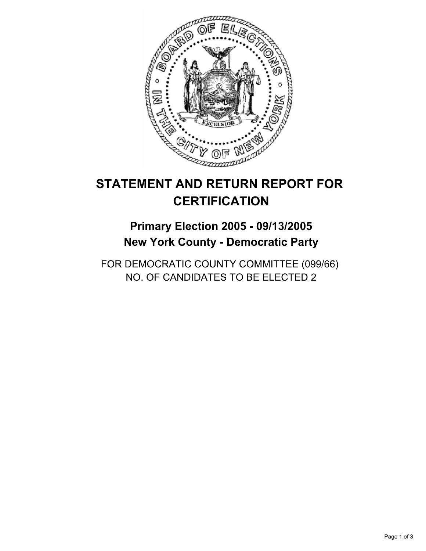

# **Primary Election 2005 - 09/13/2005 New York County - Democratic Party**

FOR DEMOCRATIC COUNTY COMMITTEE (099/66) NO. OF CANDIDATES TO BE ELECTED 2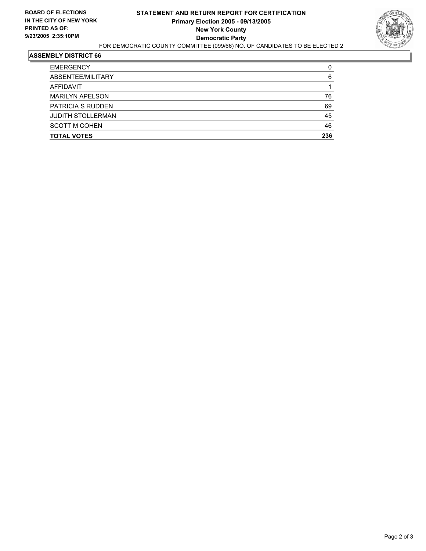

| <b>TOTAL VOTES</b>       | 236 |
|--------------------------|-----|
| <b>SCOTT M COHEN</b>     | 46  |
| <b>JUDITH STOLLERMAN</b> | 45  |
| <b>PATRICIA S RUDDEN</b> | 69  |
| <b>MARILYN APELSON</b>   | 76  |
| AFFIDAVIT                |     |
| ABSENTEE/MILITARY        | 6   |
| <b>EMERGENCY</b>         | C   |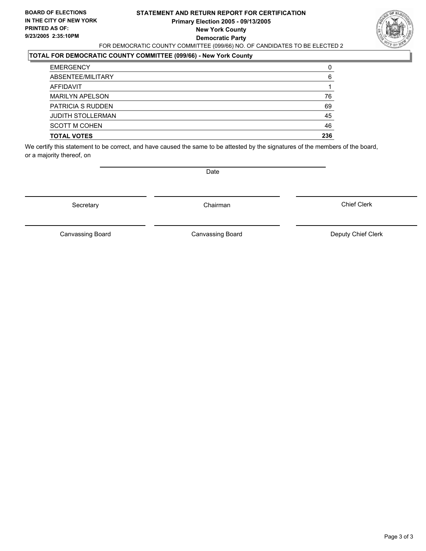## **STATEMENT AND RETURN REPORT FOR CERTIFICATION Primary Election 2005 - 09/13/2005 New York County Democratic Party** FOR DEMOCRATIC COUNTY COMMITTEE (099/66) NO. OF CANDIDATES TO BE ELECTED 2



#### **TOTAL FOR DEMOCRATIC COUNTY COMMITTEE (099/66) - New York County**

| <b>TOTAL VOTES</b>       | 236 |
|--------------------------|-----|
| <b>SCOTT M COHEN</b>     | 46  |
| <b>JUDITH STOLLERMAN</b> | 45  |
| <b>PATRICIA S RUDDEN</b> | 69  |
| <b>MARILYN APELSON</b>   | 76  |
| AFFIDAVIT                |     |
| ABSENTEE/MILITARY        | 6   |
| <b>EMERGENCY</b>         | 0   |

We certify this statement to be correct, and have caused the same to be attested by the signatures of the members of the board, or a majority thereof, on

Secretary **Chairman** 

Date

Chief Clerk

Canvassing Board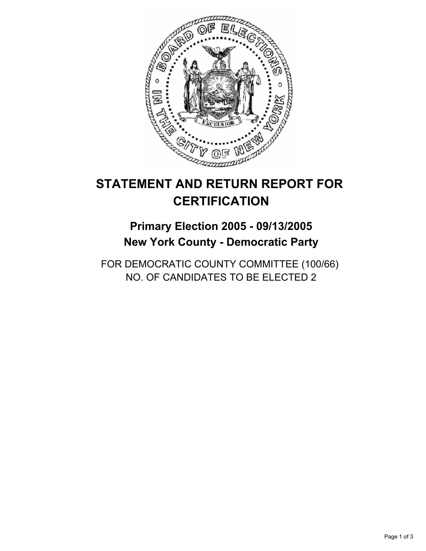

# **Primary Election 2005 - 09/13/2005 New York County - Democratic Party**

FOR DEMOCRATIC COUNTY COMMITTEE (100/66) NO. OF CANDIDATES TO BE ELECTED 2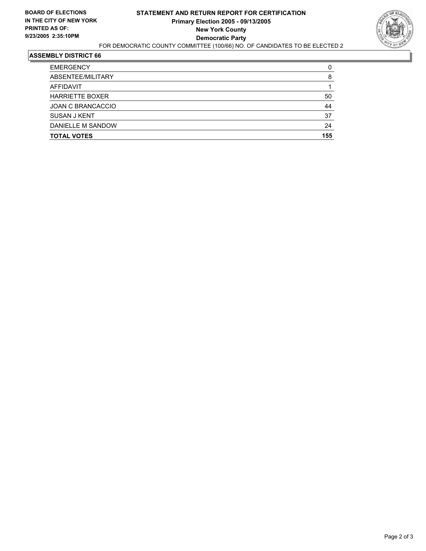

| <b>TOTAL VOTES</b>       | 155 |
|--------------------------|-----|
| DANIELLE M SANDOW        | 24  |
| <b>SUSAN J KENT</b>      | 37  |
| <b>JOAN C BRANCACCIO</b> | 44  |
| <b>HARRIETTE BOXER</b>   | 50  |
| AFFIDAVIT                |     |
| ABSENTEE/MILITARY        | 8   |
| <b>EMERGENCY</b>         |     |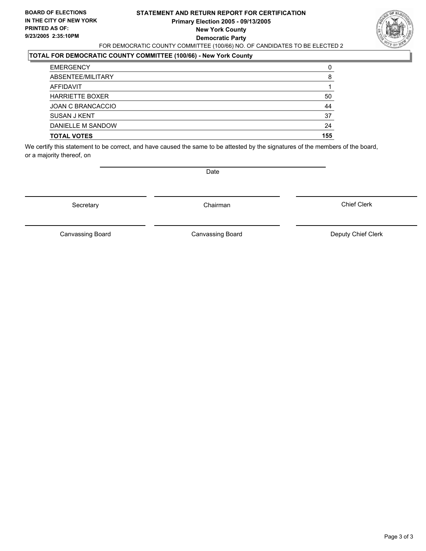## **STATEMENT AND RETURN REPORT FOR CERTIFICATION Primary Election 2005 - 09/13/2005 New York County Democratic Party** FOR DEMOCRATIC COUNTY COMMITTEE (100/66) NO. OF CANDIDATES TO BE ELECTED 2



## **TOTAL FOR DEMOCRATIC COUNTY COMMITTEE (100/66) - New York County**

| <b>TOTAL VOTES</b>       | 155 |
|--------------------------|-----|
| DANIELLE M SANDOW        | 24  |
| SUSAN J KENT             | 37  |
| <b>JOAN C BRANCACCIO</b> | 44  |
| <b>HARRIETTE BOXER</b>   | 50  |
| AFFIDAVIT                |     |
| ABSENTEE/MILITARY        | 8   |
| <b>EMERGENCY</b>         |     |

We certify this statement to be correct, and have caused the same to be attested by the signatures of the members of the board, or a majority thereof, on

Secretary **Chairman** 

Date

Chief Clerk

Canvassing Board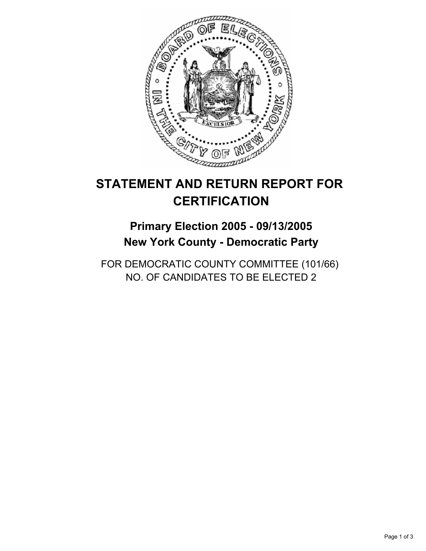

# **Primary Election 2005 - 09/13/2005 New York County - Democratic Party**

FOR DEMOCRATIC COUNTY COMMITTEE (101/66) NO. OF CANDIDATES TO BE ELECTED 2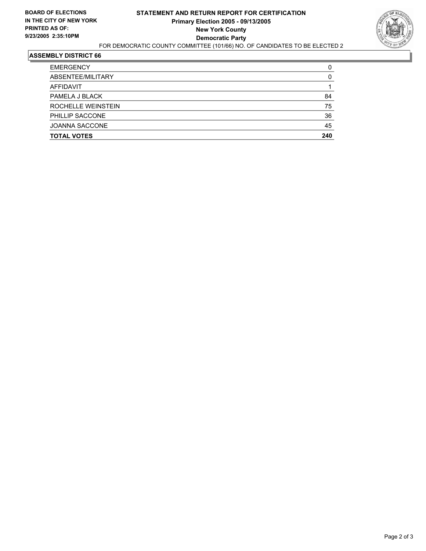

| <b>TOTAL VOTES</b>    | 240 |
|-----------------------|-----|
| <b>JOANNA SACCONE</b> | 45  |
| PHILLIP SACCONE       | 36  |
| ROCHELLE WEINSTEIN    | 75  |
| PAMELA J BLACK        | 84  |
| AFFIDAVIT             |     |
| ABSENTEE/MILITARY     |     |
| <b>EMERGENCY</b>      |     |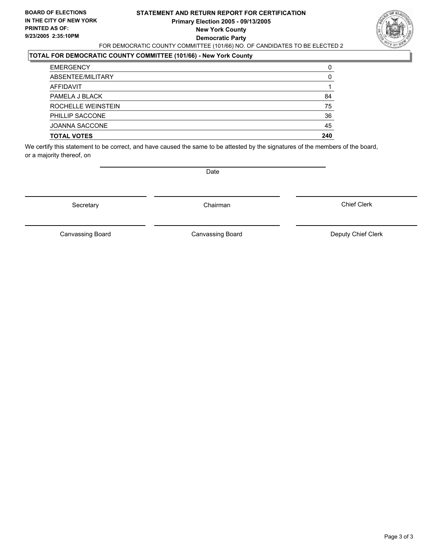## **STATEMENT AND RETURN REPORT FOR CERTIFICATION Primary Election 2005 - 09/13/2005 New York County Democratic Party** FOR DEMOCRATIC COUNTY COMMITTEE (101/66) NO. OF CANDIDATES TO BE ELECTED 2



## **TOTAL FOR DEMOCRATIC COUNTY COMMITTEE (101/66) - New York County**

| <b>EMERGENCY</b>      |     |
|-----------------------|-----|
| ABSENTEE/MILITARY     | 0   |
| AFFIDAVIT             |     |
| PAMELA J BLACK        | 84  |
| ROCHELLE WEINSTEIN    | 75  |
| PHILLIP SACCONE       | 36  |
| <b>JOANNA SACCONE</b> | 45  |
| <b>TOTAL VOTES</b>    | 240 |

We certify this statement to be correct, and have caused the same to be attested by the signatures of the members of the board, or a majority thereof, on

Secretary **Chairman** 

Date

Chief Clerk

Canvassing Board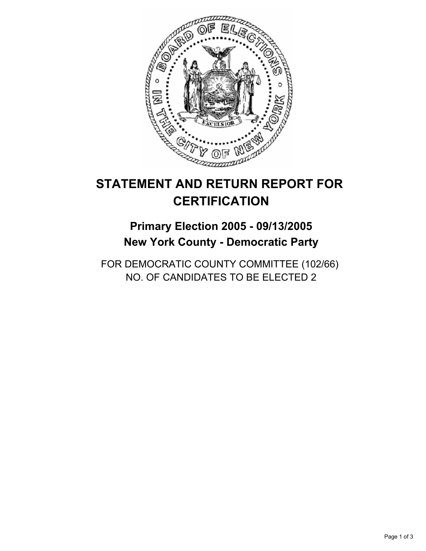

# **Primary Election 2005 - 09/13/2005 New York County - Democratic Party**

FOR DEMOCRATIC COUNTY COMMITTEE (102/66) NO. OF CANDIDATES TO BE ELECTED 2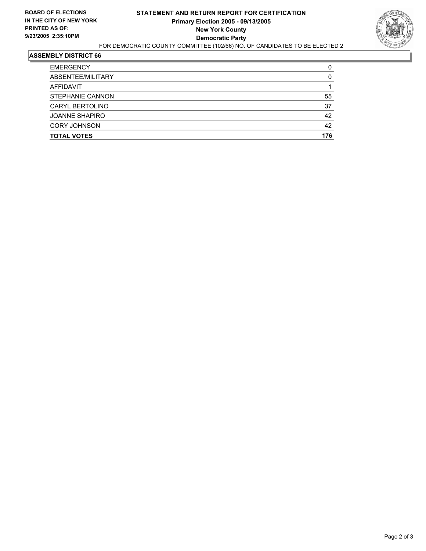

| <b>TOTAL VOTES</b>    | 176 |
|-----------------------|-----|
| <b>CORY JOHNSON</b>   | 42  |
| <b>JOANNE SHAPIRO</b> | 42  |
| CARYL BERTOLINO       | 37  |
| STEPHANIE CANNON      | 55  |
| AFFIDAVIT             |     |
| ABSENTEE/MILITARY     |     |
| <b>EMERGENCY</b>      |     |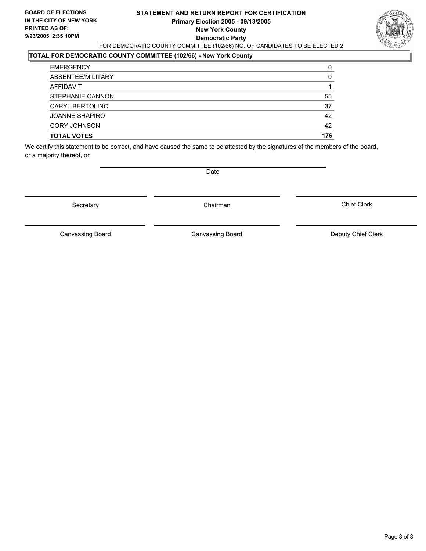## **STATEMENT AND RETURN REPORT FOR CERTIFICATION Primary Election 2005 - 09/13/2005 New York County Democratic Party** FOR DEMOCRATIC COUNTY COMMITTEE (102/66) NO. OF CANDIDATES TO BE ELECTED 2



## **TOTAL FOR DEMOCRATIC COUNTY COMMITTEE (102/66) - New York County**

| <b>TOTAL VOTES</b>      | 176 |
|-------------------------|-----|
| <b>CORY JOHNSON</b>     | 42  |
| <b>JOANNE SHAPIRO</b>   | 42  |
| CARYL BERTOLINO         | 37  |
| <b>STEPHANIE CANNON</b> | 55  |
| AFFIDAVIT               |     |
| ABSENTEE/MILITARY       | 0   |
| <b>EMERGENCY</b>        |     |

We certify this statement to be correct, and have caused the same to be attested by the signatures of the members of the board, or a majority thereof, on

Secretary **Chairman** 

Date

Chief Clerk

Canvassing Board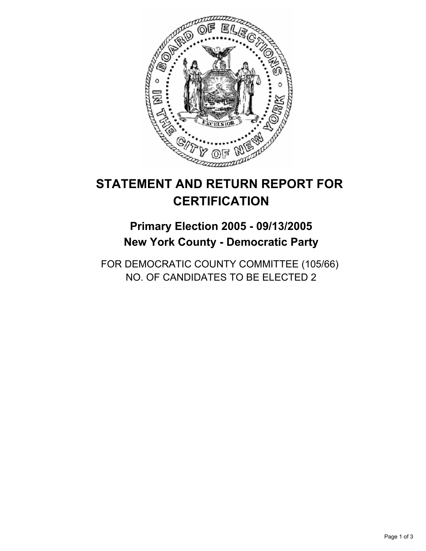

# **Primary Election 2005 - 09/13/2005 New York County - Democratic Party**

FOR DEMOCRATIC COUNTY COMMITTEE (105/66) NO. OF CANDIDATES TO BE ELECTED 2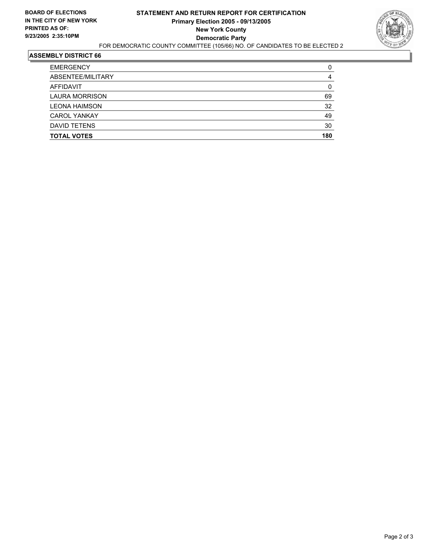

| <b>EMERGENCY</b>      |     |
|-----------------------|-----|
| ABSENTEE/MILITARY     |     |
| AFFIDAVIT             |     |
| <b>LAURA MORRISON</b> | 69  |
| <b>LEONA HAIMSON</b>  | 32  |
| <b>CAROL YANKAY</b>   | 49  |
| DAVID TETENS          | 30  |
| <b>TOTAL VOTES</b>    | 180 |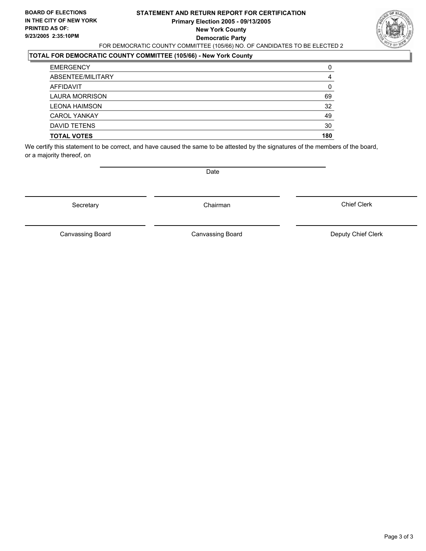## **STATEMENT AND RETURN REPORT FOR CERTIFICATION Primary Election 2005 - 09/13/2005 New York County Democratic Party** FOR DEMOCRATIC COUNTY COMMITTEE (105/66) NO. OF CANDIDATES TO BE ELECTED 2



## **TOTAL FOR DEMOCRATIC COUNTY COMMITTEE (105/66) - New York County**

| <b>TOTAL VOTES</b>    | 180 |
|-----------------------|-----|
| DAVID TETENS          | 30  |
| <b>CAROL YANKAY</b>   | 49  |
| <b>LEONA HAIMSON</b>  | 32  |
| <b>LAURA MORRISON</b> | 69  |
| AFFIDAVIT             |     |
| ABSENTEE/MILITARY     |     |
| <b>EMERGENCY</b>      |     |

We certify this statement to be correct, and have caused the same to be attested by the signatures of the members of the board, or a majority thereof, on

Secretary **Chairman** 

Date

Chief Clerk

Canvassing Board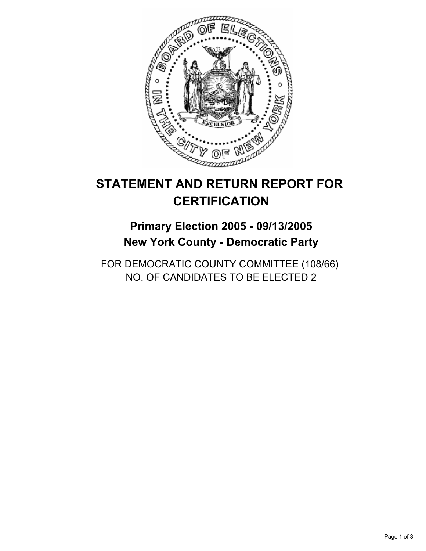

# **Primary Election 2005 - 09/13/2005 New York County - Democratic Party**

FOR DEMOCRATIC COUNTY COMMITTEE (108/66) NO. OF CANDIDATES TO BE ELECTED 2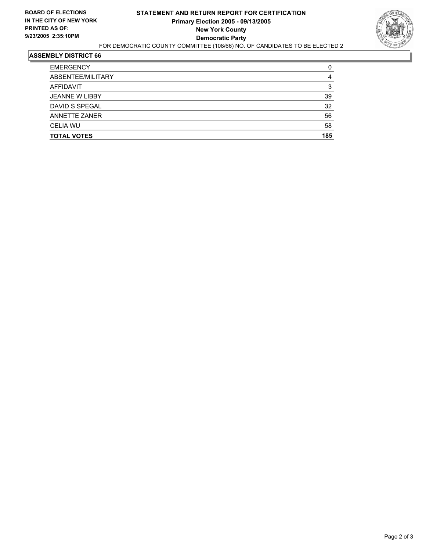

| <b>EMERGENCY</b>      |     |
|-----------------------|-----|
| ABSENTEE/MILITARY     |     |
| AFFIDAVIT             |     |
| <b>JEANNE W LIBBY</b> | 39  |
| DAVID S SPEGAL        | 32  |
| <b>ANNETTE ZANER</b>  | 56  |
| <b>CELIA WU</b>       | 58  |
| <b>TOTAL VOTES</b>    | 185 |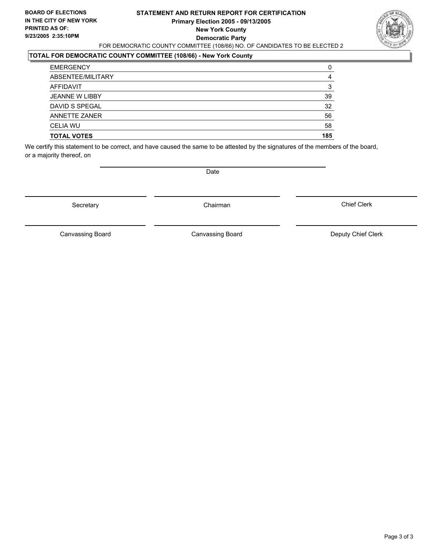## **STATEMENT AND RETURN REPORT FOR CERTIFICATION Primary Election 2005 - 09/13/2005 New York County Democratic Party** FOR DEMOCRATIC COUNTY COMMITTEE (108/66) NO. OF CANDIDATES TO BE ELECTED 2



#### **TOTAL FOR DEMOCRATIC COUNTY COMMITTEE (108/66) - New York County**

| <b>TOTAL VOTES</b>    | 185 |
|-----------------------|-----|
| <b>CELIA WU</b>       | 58  |
| <b>ANNETTE ZANER</b>  | 56  |
| DAVID S SPEGAL        | 32  |
| <b>JEANNE W LIBBY</b> | 39  |
| AFFIDAVIT             |     |
| ABSENTEE/MILITARY     |     |
| <b>EMERGENCY</b>      |     |

We certify this statement to be correct, and have caused the same to be attested by the signatures of the members of the board, or a majority thereof, on

Secretary **Chairman** 

Date

Chief Clerk

Canvassing Board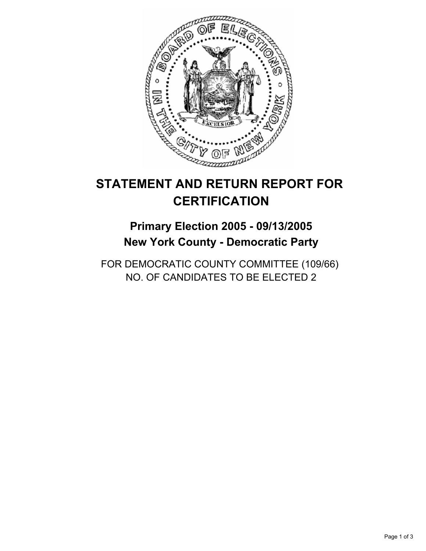

# **Primary Election 2005 - 09/13/2005 New York County - Democratic Party**

FOR DEMOCRATIC COUNTY COMMITTEE (109/66) NO. OF CANDIDATES TO BE ELECTED 2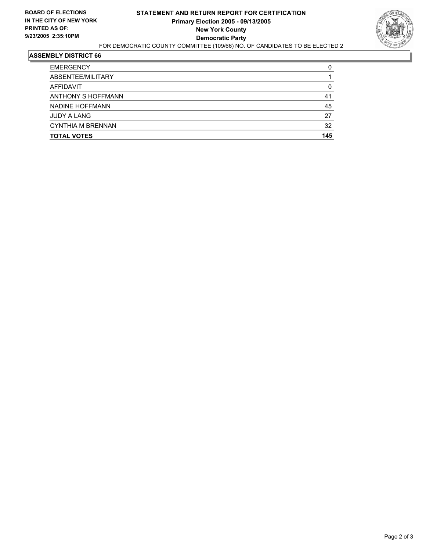

| <b>TOTAL VOTES</b>       | 145 |
|--------------------------|-----|
| <b>CYNTHIA M BRENNAN</b> | 32  |
| <b>JUDY A LANG</b>       | 27  |
| NADINE HOFFMANN          | 45  |
| ANTHONY S HOFFMANN       | 41  |
| AFFIDAVIT                |     |
| ABSENTEE/MILITARY        |     |
| <b>EMERGENCY</b>         |     |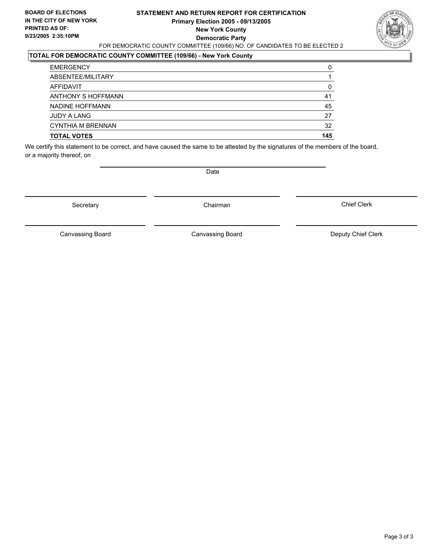## **STATEMENT AND RETURN REPORT FOR CERTIFICATION Primary Election 2005 - 09/13/2005 New York County Democratic Party** FOR DEMOCRATIC COUNTY COMMITTEE (109/66) NO. OF CANDIDATES TO BE ELECTED 2



## **TOTAL FOR DEMOCRATIC COUNTY COMMITTEE (109/66) - New York County**

| <b>TOTAL VOTES</b>       | 145 |
|--------------------------|-----|
| <b>CYNTHIA M BRENNAN</b> | 32  |
| <b>JUDY A LANG</b>       | 27  |
| NADINE HOFFMANN          | 45  |
| ANTHONY S HOFFMANN       | 41  |
| AFFIDAVIT                |     |
| ABSENTEE/MILITARY        |     |
| <b>EMERGENCY</b>         | 0   |

We certify this statement to be correct, and have caused the same to be attested by the signatures of the members of the board, or a majority thereof, on

Secretary **Chairman** 

Date

Chief Clerk

Canvassing Board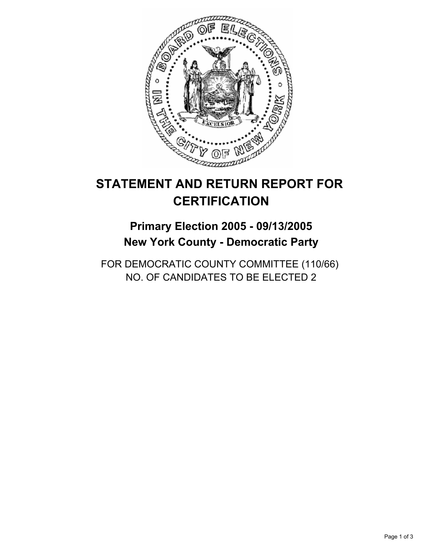

# **STATEMENT AND RETURN REPORT FOR CERTIFICATION**

## **Primary Election 2005 - 09/13/2005 New York County - Democratic Party**

FOR DEMOCRATIC COUNTY COMMITTEE (110/66) NO. OF CANDIDATES TO BE ELECTED 2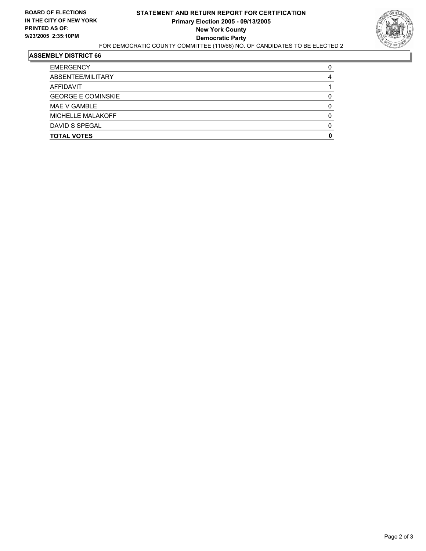

#### **ASSEMBLY DISTRICT 66**

| <b>EMERGENCY</b>          |  |
|---------------------------|--|
| ABSENTEE/MILITARY         |  |
| AFFIDAVIT                 |  |
| <b>GEORGE E COMINSKIE</b> |  |
| MAE V GAMBLE              |  |
| MICHELLE MALAKOFF         |  |
| DAVID S SPEGAL            |  |
| <b>TOTAL VOTES</b>        |  |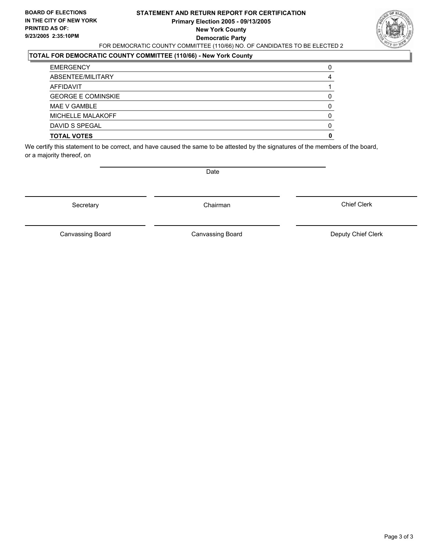#### **STATEMENT AND RETURN REPORT FOR CERTIFICATION Primary Election 2005 - 09/13/2005 New York County Democratic Party** FOR DEMOCRATIC COUNTY COMMITTEE (110/66) NO. OF CANDIDATES TO BE ELECTED 2



### **TOTAL FOR DEMOCRATIC COUNTY COMMITTEE (110/66) - New York County**

| <b>TOTAL VOTES</b>        |  |
|---------------------------|--|
| DAVID S SPEGAL            |  |
| MICHELLE MALAKOFF         |  |
| MAE V GAMBLE              |  |
| <b>GEORGE E COMINSKIE</b> |  |
| AFFIDAVIT                 |  |
| ABSENTEE/MILITARY         |  |
| <b>EMERGENCY</b>          |  |

We certify this statement to be correct, and have caused the same to be attested by the signatures of the members of the board, or a majority thereof, on

Secretary **Chairman** 

Date

Chief Clerk

Canvassing Board

Canvassing Board **Canvassing Board** Canvassing Board **Deputy Chief Clerk**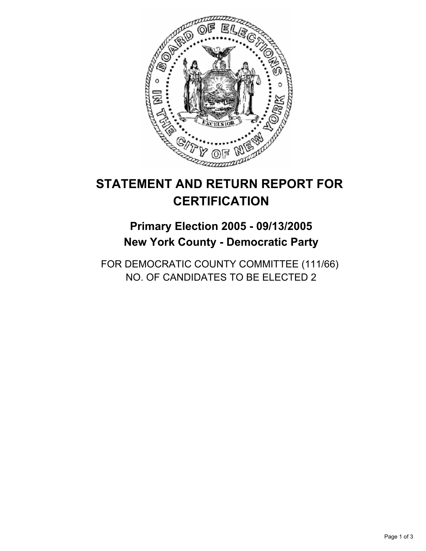

# **STATEMENT AND RETURN REPORT FOR CERTIFICATION**

## **Primary Election 2005 - 09/13/2005 New York County - Democratic Party**

FOR DEMOCRATIC COUNTY COMMITTEE (111/66) NO. OF CANDIDATES TO BE ELECTED 2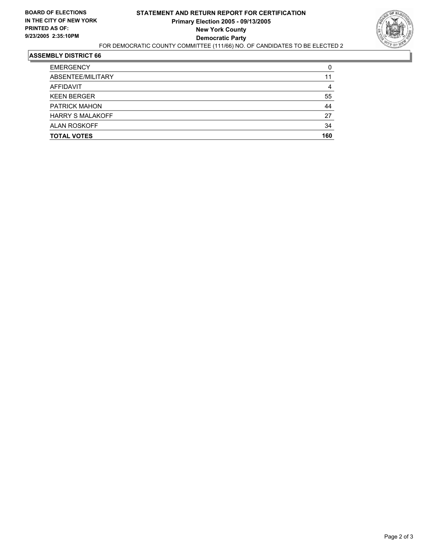

#### **ASSEMBLY DISTRICT 66**

| <b>EMERGENCY</b>        |     |
|-------------------------|-----|
| ABSENTEE/MILITARY       | 11  |
| AFFIDAVIT               |     |
| <b>KEEN BERGER</b>      | 55  |
| <b>PATRICK MAHON</b>    | 44  |
| <b>HARRY S MALAKOFF</b> | 27  |
| <b>ALAN ROSKOFF</b>     | 34  |
| <b>TOTAL VOTES</b>      | 160 |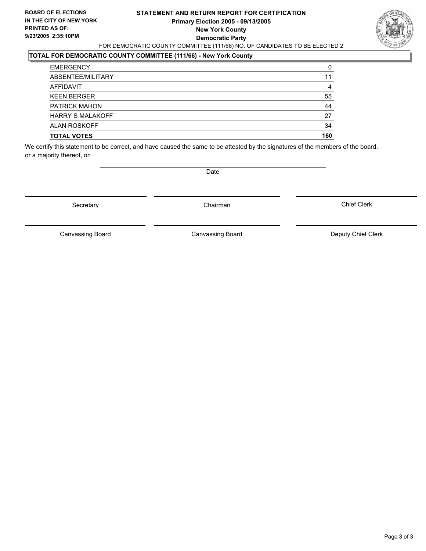#### **STATEMENT AND RETURN REPORT FOR CERTIFICATION Primary Election 2005 - 09/13/2005 New York County Democratic Party** FOR DEMOCRATIC COUNTY COMMITTEE (111/66) NO. OF CANDIDATES TO BE ELECTED 2



### **TOTAL FOR DEMOCRATIC COUNTY COMMITTEE (111/66) - New York County**

| <b>TOTAL VOTES</b>      | 160 |
|-------------------------|-----|
| <b>ALAN ROSKOFF</b>     | 34  |
| <b>HARRY S MALAKOFF</b> | 27  |
| <b>PATRICK MAHON</b>    | 44  |
| <b>KEEN BERGER</b>      | 55  |
| AFFIDAVIT               |     |
| ABSENTEE/MILITARY       | 11  |
| <b>EMERGENCY</b>        | 0   |

We certify this statement to be correct, and have caused the same to be attested by the signatures of the members of the board, or a majority thereof, on

Secretary **Chairman** 

Date

Chief Clerk

Canvassing Board

Canvassing Board **Canvassing Board** Canvassing Board **Deputy Chief Clerk**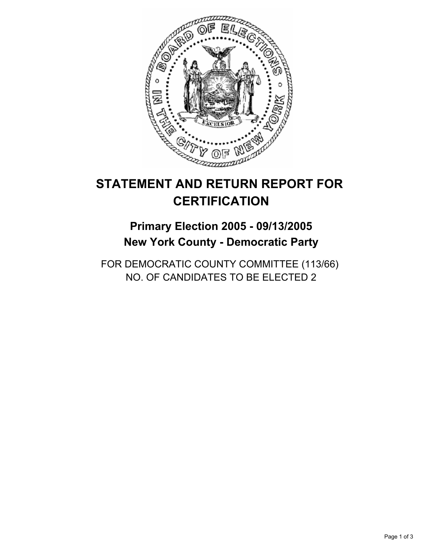

# **STATEMENT AND RETURN REPORT FOR CERTIFICATION**

## **Primary Election 2005 - 09/13/2005 New York County - Democratic Party**

FOR DEMOCRATIC COUNTY COMMITTEE (113/66) NO. OF CANDIDATES TO BE ELECTED 2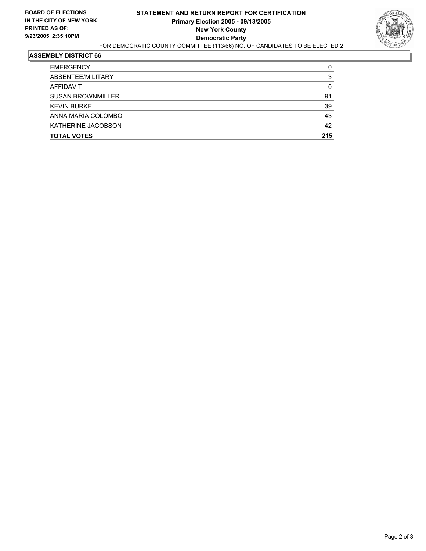

#### **ASSEMBLY DISTRICT 66**

| <b>EMERGENCY</b>         |     |
|--------------------------|-----|
| ABSENTEE/MILITARY        |     |
| AFFIDAVIT                |     |
| <b>SUSAN BROWNMILLER</b> | 91  |
| <b>KEVIN BURKE</b>       | 39  |
| ANNA MARIA COLOMBO       | 43  |
| KATHERINE JACOBSON       | 42  |
| <b>TOTAL VOTES</b>       | 215 |